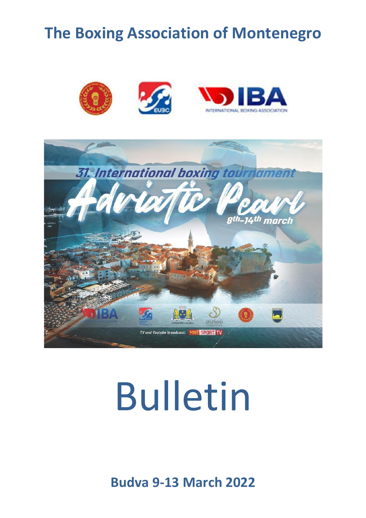# **The Boxing Association of Montenegro**





# Bulletin

**Budva 9-13 March 2022**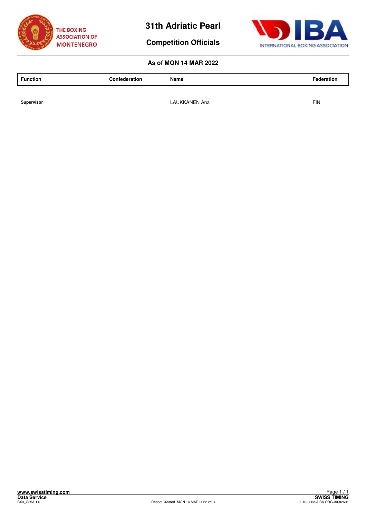

**Competition Officials**



# **As of MON 14 MAR 2022**

| <b>Function</b> | Confederation | Name | Federation |
|-----------------|---------------|------|------------|
|                 |               |      |            |

**Supervisor Supervisor Example 2.1 The CAUKKANEN Ana FIN**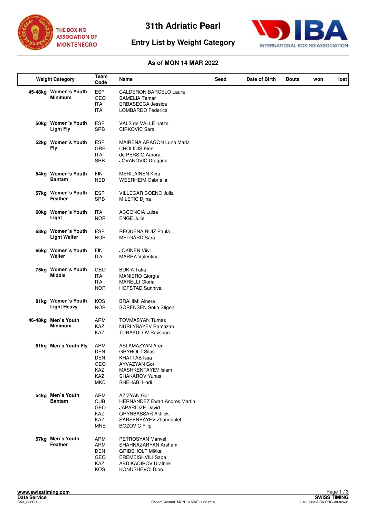

# **Entry List by Weight Category**



| <b>Weight Category</b>                    | Team<br>Code                                                | Name                                                                                                                                                         | Seed | Date of Birth | <b>Bouts</b> | won | lost |
|-------------------------------------------|-------------------------------------------------------------|--------------------------------------------------------------------------------------------------------------------------------------------------------------|------|---------------|--------------|-----|------|
| 45-48kg Women's Youth<br><b>Minimum</b>   | <b>ESP</b><br>GEO<br><b>ITA</b><br><b>ITA</b>               | CALDERON BARCELO Laura<br><b>SAMELIA Tamar</b><br><b>ERBASECCA Jessica</b><br>LOMBARDO Federica                                                              |      |               |              |     |      |
| 50kg Women's Youth<br><b>Light Fly</b>    | <b>ESP</b><br><b>SRB</b>                                    | VALS de VALLE Iratze<br><b>CIRKOVIC Sara</b>                                                                                                                 |      |               |              |     |      |
| 52kg Women's Youth<br>Fly                 | <b>ESP</b><br><b>GRE</b><br><b>ITA</b><br><b>SRB</b>        | <b>MAIRENA ARAGON Luna Maria</b><br><b>CHOLIDIS Eleni</b><br>de PERSIO Aurora<br>JOVANOVIC Dragana                                                           |      |               |              |     |      |
| 54kg Women's Youth<br><b>Bantam</b>       | <b>FIN</b><br><b>NED</b>                                    | <b>MERILAINEN Kiira</b><br><b>WEERHEIM Gabriella</b>                                                                                                         |      |               |              |     |      |
| 57kg Women's Youth<br>Feather             | <b>ESP</b><br><b>SRB</b>                                    | VILLEGAR COENO Julia<br>MILETIC Djina                                                                                                                        |      |               |              |     |      |
| 60kg Women's Youth<br>Light               | <b>ITA</b><br><b>NOR</b>                                    | <b>ACCONCIA Luisa</b><br><b>ENGE Julie</b>                                                                                                                   |      |               |              |     |      |
| 63kg Women's Youth<br><b>Light Welter</b> | <b>ESP</b><br><b>NOR</b>                                    | REQUENA RUIZ Paula<br>MELGÅRD Sara                                                                                                                           |      |               |              |     |      |
| 66kg Women's Youth<br>Welter              | <b>FIN</b><br><b>ITA</b>                                    | JOKINEN Viivi<br><b>MARRA Valentina</b>                                                                                                                      |      |               |              |     |      |
| 75kg Women's Youth<br><b>Middle</b>       | GEO<br><b>ITA</b><br><b>ITA</b><br><b>NOR</b>               | <b>BUKIA Tatia</b><br><b>MANIERO Giorgia</b><br><b>MARELLI Gloria</b><br><b>HOFSTAD Sunniva</b>                                                              |      |               |              |     |      |
| 81kg Women's Youth<br><b>Light Heavy</b>  | KOS<br><b>NOR</b>                                           | <b>BRAHIMI Alnera</b><br>SØRENSEN Sofia Stigen                                                                                                               |      |               |              |     |      |
| 46-48kg Men's Youth<br><b>Minimum</b>     | <b>ARM</b><br>KAZ<br>KAZ                                    | <b>TOVMASYAN Tumas</b><br><b>NURLYBAYEV Ramazan</b><br><b>TURAKULOV Ravshan</b>                                                                              |      |               |              |     |      |
| 51kg Men's Youth Fly                      | ARM<br>DEN<br><b>DEN</b><br>GEO<br>KAZ<br>KAZ<br><b>MKD</b> | ASLAMAZYAN Aren<br><b>GRYHOLT Silas</b><br>KHATTAB Issa<br>AYVAZYAN Gor<br>MASHKENTAYEV Islam<br><b>SHAKAROV Yunus</b><br>SHEHABI Hadi                       |      |               |              |     |      |
| 54kg Men's Youth<br><b>Bantam</b>         | ARM<br><b>CUB</b><br>GEO<br>KAZ<br>KAZ<br><b>MNE</b>        | <b>AZIZYAN Gor</b><br><b>HERNANDEZ Ewart Andres Martin</b><br>JAPARIDZE David<br><b>ORYNBASSAR Aktilek</b><br>SARSENBAYEV Zhandaulet<br><b>BOZOVIC Filip</b> |      |               |              |     |      |
| 57kg Men's Youth<br>Feather               | ARM<br>ARM<br>DEN<br>GEO<br>KAZ<br>KOS                      | PETROSYAN Manvel<br>SHAHNAZARYAN Arsham<br>GRIBSHOLT Mikkel<br>EREMEISHVILI Saba<br><b>ABDIKADIROV Uralbek</b><br>KONUSHEVCI Dion                            |      |               |              |     |      |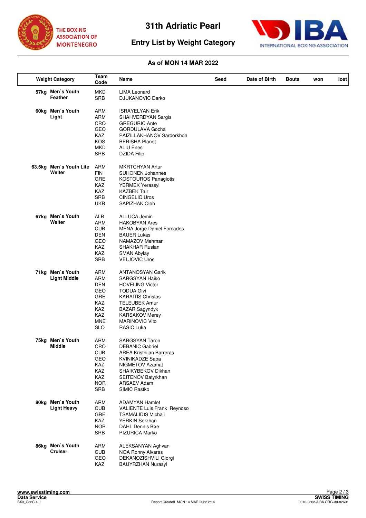





| <b>Weight Category</b> |                                         | Team<br>Code | Name                                      | Seed | Date of Birth | <b>Bouts</b> | won | lost |
|------------------------|-----------------------------------------|--------------|-------------------------------------------|------|---------------|--------------|-----|------|
|                        | 57kg Men's Youth                        | <b>MKD</b>   | <b>LIMA Leonard</b>                       |      |               |              |     |      |
|                        | Feather                                 | <b>SRB</b>   | DJUKANOVIC Darko                          |      |               |              |     |      |
|                        |                                         |              |                                           |      |               |              |     |      |
|                        | 60kg Men's Youth                        | ARM          | <b>ISRAYELYAN Erik</b>                    |      |               |              |     |      |
|                        | Light                                   | ARM          | SHAHVERDYAN Sargis                        |      |               |              |     |      |
|                        |                                         | CRO          | <b>GREGURIC Ante</b>                      |      |               |              |     |      |
|                        |                                         | GEO          | GORDULAVA Gocha                           |      |               |              |     |      |
|                        |                                         | KAZ          | PAIZILLAKHANOV Sardorkhon                 |      |               |              |     |      |
|                        |                                         | KOS          | <b>BERISHA Planet</b>                     |      |               |              |     |      |
|                        |                                         | <b>MKD</b>   | <b>ALIU Enes</b>                          |      |               |              |     |      |
|                        |                                         | SRB          | <b>DZIDA Filip</b>                        |      |               |              |     |      |
|                        |                                         |              |                                           |      |               |              |     |      |
|                        | 63.5kg Men's Youth Lite                 | ARM          | MKRTCHYAN Artur                           |      |               |              |     |      |
|                        | Welter                                  | <b>FIN</b>   | <b>SUHONEN Johannes</b>                   |      |               |              |     |      |
|                        |                                         | <b>GRE</b>   | <b>KOSTOUROS Panagiotis</b>               |      |               |              |     |      |
|                        |                                         | KAZ          | YERMEK Yerassyl                           |      |               |              |     |      |
|                        |                                         | KAZ          | <b>KAZBEK Tair</b>                        |      |               |              |     |      |
|                        |                                         | <b>SRB</b>   | <b>CINGELIC Uros</b>                      |      |               |              |     |      |
|                        |                                         | <b>UKR</b>   | SAPIZHAK Oleh                             |      |               |              |     |      |
|                        |                                         |              |                                           |      |               |              |     |      |
|                        | 67kg Men's Youth                        | ALB          | <b>ALLUCA Jemin</b>                       |      |               |              |     |      |
|                        | Welter                                  | ARM          | <b>HAKOBYAN Ares</b>                      |      |               |              |     |      |
|                        |                                         | <b>CUB</b>   | <b>MENA Jorge Daniel Forcades</b>         |      |               |              |     |      |
|                        |                                         | <b>DEN</b>   | <b>BAUER Lukas</b>                        |      |               |              |     |      |
|                        |                                         | GEO          | NAMAZOV Mehman                            |      |               |              |     |      |
|                        |                                         | KAZ          | <b>SHAKHAR Ruslan</b>                     |      |               |              |     |      |
|                        |                                         | KAZ          | <b>SMAN Abylay</b>                        |      |               |              |     |      |
|                        |                                         | <b>SRB</b>   | <b>VELJOVIC Uros</b>                      |      |               |              |     |      |
|                        |                                         |              |                                           |      |               |              |     |      |
|                        | 71kg Men's Youth<br><b>Light Middle</b> | ARM<br>ARM   | <b>ANTANOSYAN Garik</b><br>SARGSYAN Haiko |      |               |              |     |      |
|                        |                                         | DEN          | <b>HOVELING Victor</b>                    |      |               |              |     |      |
|                        |                                         | GEO          | <b>TODUA Givi</b>                         |      |               |              |     |      |
|                        |                                         | <b>GRE</b>   | <b>KARAITIS Christos</b>                  |      |               |              |     |      |
|                        |                                         | KAZ          | <b>TELEUBEK Arnur</b>                     |      |               |              |     |      |
|                        |                                         | KAZ          | <b>BAZAR Sagyndyk</b>                     |      |               |              |     |      |
|                        |                                         | KAZ          | <b>KARSAKOV Merey</b>                     |      |               |              |     |      |
|                        |                                         | <b>MNE</b>   | <b>MARINOVIC Vito</b>                     |      |               |              |     |      |
|                        |                                         | <b>SLO</b>   | <b>RASIC Luka</b>                         |      |               |              |     |      |
|                        |                                         |              |                                           |      |               |              |     |      |
|                        | 75kg Men's Youth                        | ARM          | <b>SARGSYAN Taron</b>                     |      |               |              |     |      |
|                        | <b>Middle</b>                           | CRO          | <b>DEBANIC Gabriel</b>                    |      |               |              |     |      |
|                        |                                         | <b>CUB</b>   | <b>AREA Kristhijan Barreras</b>           |      |               |              |     |      |
|                        |                                         | GEO          | <b>KVINIKADZE Saba</b>                    |      |               |              |     |      |
|                        |                                         | <b>KAZ</b>   | NIGMETOV Azamat                           |      |               |              |     |      |
|                        |                                         | KAZ          | SHAIKYBEKOV Dikhan                        |      |               |              |     |      |
|                        |                                         | KAZ          | SEITENOV Batyrkhan                        |      |               |              |     |      |
|                        |                                         | <b>NOR</b>   | ARSAEV Adam                               |      |               |              |     |      |
|                        |                                         | SRB          | SIMIC Rastko                              |      |               |              |     |      |
|                        | 80kg Men's Youth                        | ARM          | <b>ADAMYAN Hamlet</b>                     |      |               |              |     |      |
|                        | <b>Light Heavy</b>                      | <b>CUB</b>   | VALIENTE Luis Frank Reynoso               |      |               |              |     |      |
|                        |                                         | <b>GRE</b>   | <b>TSAMALIDIS Michail</b>                 |      |               |              |     |      |
|                        |                                         | <b>KAZ</b>   | <b>YERKIN Serzhan</b>                     |      |               |              |     |      |
|                        |                                         | <b>NOR</b>   | DAHL Dennis Bøe                           |      |               |              |     |      |
|                        |                                         | <b>SRB</b>   | PIZURICA Marko                            |      |               |              |     |      |
|                        |                                         |              |                                           |      |               |              |     |      |
|                        | 86kg Men's Youth                        | ARM          | ALEKSANYAN Aghvan                         |      |               |              |     |      |
|                        | <b>Cruiser</b>                          | <b>CUB</b>   | <b>NOA Ronny Alvares</b>                  |      |               |              |     |      |
|                        |                                         | GEO          | DEKANOZISHVILI Giorgi                     |      |               |              |     |      |
|                        |                                         | KAZ          | <b>BAUYRZHAN Nurasyl</b>                  |      |               |              |     |      |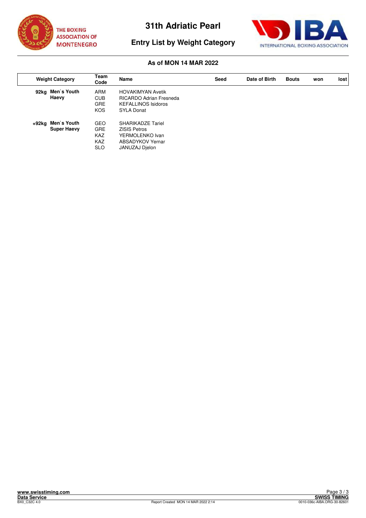



# **Entry List by Weight Category**

|       | <b>Weight Category</b>            | Team<br>Code                                                       | Name                                                                                                     | Seed | Date of Birth | <b>Bouts</b> | won | lost |
|-------|-----------------------------------|--------------------------------------------------------------------|----------------------------------------------------------------------------------------------------------|------|---------------|--------------|-----|------|
|       | 92kg Men's Youth<br>Haevy         | ARM<br><b>CUB</b><br><b>GRE</b><br><b>KOS</b>                      | <b>HOVAKIMYAN Avetik</b><br><b>RICARDO Adrian Fresneda</b><br><b>KEFALLINOS Isidoros</b><br>SYLA Donat   |      |               |              |     |      |
| +92ka | Men's Youth<br><b>Super Haevy</b> | <b>GEO</b><br><b>GRE</b><br><b>KAZ</b><br><b>KAZ</b><br><b>SLO</b> | <b>SHARIKADZE Tariel</b><br><b>ZISIS Petros</b><br>YERMOLENKO Ivan<br>ABSADYKOV Yernar<br>JANUZAJ Djelon |      |               |              |     |      |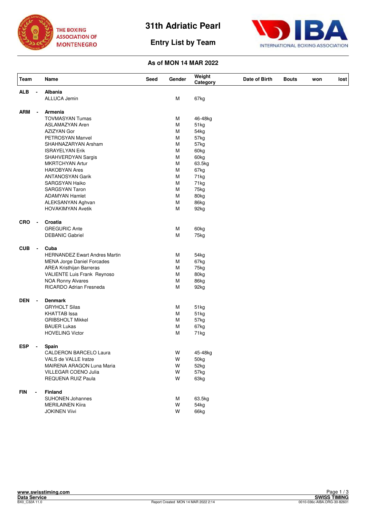





| Team                         | Name                                           | Seed | Gender | Weight<br>Category | Date of Birth | <b>Bouts</b> | won | lost |
|------------------------------|------------------------------------------------|------|--------|--------------------|---------------|--------------|-----|------|
| <b>ALB</b>                   | <b>Albania</b>                                 |      |        |                    |               |              |     |      |
|                              | ALLUCA Jemin                                   |      | M      | 67kg               |               |              |     |      |
| ARM<br>$\blacksquare$        | <b>Armenia</b>                                 |      |        |                    |               |              |     |      |
|                              | <b>TOVMASYAN Tumas</b>                         |      | м      | 46-48kg            |               |              |     |      |
|                              | <b>ASLAMAZYAN Aren</b>                         |      | M      | 51kg               |               |              |     |      |
|                              | AZIZYAN Gor                                    |      | M      | 54kg               |               |              |     |      |
|                              | PETROSYAN Manvel                               |      | M      | 57kg               |               |              |     |      |
|                              | SHAHNAZARYAN Arsham                            |      | M      | 57kg               |               |              |     |      |
|                              | <b>ISRAYELYAN Erik</b>                         |      | M      | 60kg               |               |              |     |      |
|                              | SHAHVERDYAN Sargis                             |      | M      | 60kg               |               |              |     |      |
|                              | <b>MKRTCHYAN Artur</b>                         |      | M      | 63.5kg             |               |              |     |      |
|                              | <b>HAKOBYAN Ares</b>                           |      | M      | 67kg               |               |              |     |      |
|                              | <b>ANTANOSYAN Garik</b>                        |      | M<br>M | 71kg               |               |              |     |      |
|                              | <b>SARGSYAN Haiko</b><br><b>SARGSYAN Taron</b> |      | M      | 71kg<br>75kg       |               |              |     |      |
|                              | <b>ADAMYAN Hamlet</b>                          |      | M      | 80kg               |               |              |     |      |
|                              | ALEKSANYAN Aghvan                              |      | M      | 86kg               |               |              |     |      |
|                              | <b>HOVAKIMYAN Avetik</b>                       |      | M      | 92kg               |               |              |     |      |
| <b>CRO</b><br>$\blacksquare$ | Croatia                                        |      |        |                    |               |              |     |      |
|                              | <b>GREGURIC Ante</b>                           |      | M      | 60kg               |               |              |     |      |
|                              | <b>DEBANIC Gabriel</b>                         |      | M      | 75kg               |               |              |     |      |
| <b>CUB</b><br>$\blacksquare$ | Cuba                                           |      |        |                    |               |              |     |      |
|                              | <b>HERNANDEZ Ewart Andres Martin</b>           |      | М      | 54kg               |               |              |     |      |
|                              | <b>MENA Jorge Daniel Forcades</b>              |      | M      | 67kg               |               |              |     |      |
|                              | <b>AREA Kristhijan Barreras</b>                |      | M      | 75kg               |               |              |     |      |
|                              | VALIENTE Luis Frank Reynoso                    |      | M      | 80kg               |               |              |     |      |
|                              | <b>NOA Ronny Alvares</b>                       |      | M      | 86kg               |               |              |     |      |
|                              | <b>RICARDO Adrian Fresneda</b>                 |      | M      | 92kg               |               |              |     |      |
| <b>DEN</b><br>$\blacksquare$ | <b>Denmark</b>                                 |      |        |                    |               |              |     |      |
|                              | <b>GRYHOLT Silas</b>                           |      | M      | 51kg               |               |              |     |      |
|                              | <b>KHATTAB</b> Issa                            |      | M      | 51kg               |               |              |     |      |
|                              | <b>GRIBSHOLT Mikkel</b>                        |      | M      | 57kg               |               |              |     |      |
|                              | <b>BAUER Lukas</b><br><b>HOVELING Victor</b>   |      | M<br>M | 67kg<br>71kg       |               |              |     |      |
|                              |                                                |      |        |                    |               |              |     |      |
| <b>ESP</b>                   | Spain<br><b>CALDERON BARCELO Laura</b>         |      | W      |                    |               |              |     |      |
|                              | VALS de VALLE Iratze                           |      | W      | 45-48kg<br>50kg    |               |              |     |      |
|                              | MAIRENA ARAGON Luna Maria                      |      | W      | 52kg               |               |              |     |      |
|                              | VILLEGAR COENO Julia                           |      | W      | 57kg               |               |              |     |      |
|                              | REQUENA RUIZ Paula                             |      | W      | 63kg               |               |              |     |      |
| <b>FIN</b>                   | <b>Finland</b>                                 |      |        |                    |               |              |     |      |
|                              | <b>SUHONEN Johannes</b>                        |      | М      | 63.5kg             |               |              |     |      |
|                              | <b>MERILAINEN Kiira</b>                        |      | W      | 54kg               |               |              |     |      |
|                              | <b>JOKINEN Viivi</b>                           |      | W      | 66kg               |               |              |     |      |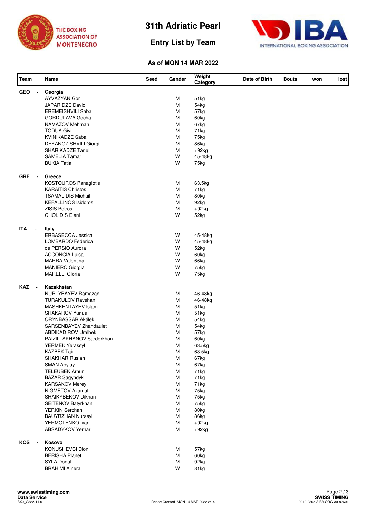





| Team                                   | Name                        | Seed | Gender | Weight<br>Category | Date of Birth | <b>Bouts</b> | won | lost |
|----------------------------------------|-----------------------------|------|--------|--------------------|---------------|--------------|-----|------|
| <b>GEO</b><br>$\overline{\phantom{a}}$ | Georgia                     |      |        |                    |               |              |     |      |
|                                        | AYVAZYAN Gor                |      | M      | 51kg               |               |              |     |      |
|                                        | <b>JAPARIDZE David</b>      |      | M      | 54kg               |               |              |     |      |
|                                        | <b>EREMEISHVILI Saba</b>    |      | M      | 57kg               |               |              |     |      |
|                                        | GORDULAVA Gocha             |      | M      | 60kg               |               |              |     |      |
|                                        | NAMAZOV Mehman              |      | M      | 67kg               |               |              |     |      |
|                                        | <b>TODUA Givi</b>           |      | M      | 71kg               |               |              |     |      |
|                                        | KVINIKADZE Saba             |      | M      | 75kg               |               |              |     |      |
|                                        | DEKANOZISHVILI Giorgi       |      | M      | 86kg               |               |              |     |      |
|                                        | <b>SHARIKADZE Tariel</b>    |      | M      | $+92kg$            |               |              |     |      |
|                                        | <b>SAMELIA Tamar</b>        |      | W      | 45-48kg            |               |              |     |      |
|                                        | <b>BUKIA Tatia</b>          |      | W      | 75kg               |               |              |     |      |
| GRE                                    | Greece                      |      |        |                    |               |              |     |      |
|                                        | <b>KOSTOUROS Panagiotis</b> |      | М      | 63.5kg             |               |              |     |      |
|                                        | <b>KARAITIS Christos</b>    |      | М      | 71kg               |               |              |     |      |
|                                        | <b>TSAMALIDIS Michail</b>   |      | M      | 80kg               |               |              |     |      |
|                                        | <b>KEFALLINOS Isidoros</b>  |      | M      | 92kg               |               |              |     |      |
|                                        | <b>ZISIS Petros</b>         |      | M      | $+92kg$            |               |              |     |      |
|                                        | <b>CHOLIDIS Eleni</b>       |      | W      | 52kg               |               |              |     |      |
| <b>ITA</b><br>$\blacksquare$           | Italy                       |      |        |                    |               |              |     |      |
|                                        | ERBASECCA Jessica           |      | W      | 45-48kg            |               |              |     |      |
|                                        | LOMBARDO Federica           |      | W      | 45-48kg            |               |              |     |      |
|                                        | de PERSIO Aurora            |      | W      | 52kg               |               |              |     |      |
|                                        | <b>ACCONCIA Luisa</b>       |      | W      | 60kg               |               |              |     |      |
|                                        | <b>MARRA Valentina</b>      |      | W      | 66kg               |               |              |     |      |
|                                        | MANIERO Giorgia             |      | W      | 75kg               |               |              |     |      |
|                                        | <b>MARELLI Gloria</b>       |      | W      | 75kg               |               |              |     |      |
| <b>KAZ</b><br>$\sim$                   | Kazakhstan                  |      |        |                    |               |              |     |      |
|                                        | NURLYBAYEV Ramazan          |      | М      | 46-48kg            |               |              |     |      |
|                                        | <b>TURAKULOV Ravshan</b>    |      | M      | 46-48kg            |               |              |     |      |
|                                        | MASHKENTAYEV Islam          |      | M      | 51kg               |               |              |     |      |
|                                        | <b>SHAKAROV Yunus</b>       |      | М      | 51kg               |               |              |     |      |
|                                        | <b>ORYNBASSAR Aktilek</b>   |      | M      | 54kg               |               |              |     |      |
|                                        | SARSENBAYEV Zhandaulet      |      | M      | 54kg               |               |              |     |      |
|                                        | <b>ABDIKADIROV Uralbek</b>  |      | М      | 57kg               |               |              |     |      |
|                                        | PAIZILLAKHANOV Sardorkhon   |      | M      | 60kg               |               |              |     |      |
|                                        | <b>YERMEK Yerassyl</b>      |      | M      | 63.5kg             |               |              |     |      |
|                                        | <b>KAZBEK Tair</b>          |      | M      | 63.5kg             |               |              |     |      |
|                                        | <b>SHAKHAR Ruslan</b>       |      | M      | 67kg               |               |              |     |      |
|                                        | <b>SMAN Abylay</b>          |      | М      | 67kg               |               |              |     |      |
|                                        | <b>TELEUBEK Arnur</b>       |      | м      | 71kg               |               |              |     |      |
|                                        | <b>BAZAR Sagyndyk</b>       |      | M      | 71kg               |               |              |     |      |
|                                        | <b>KARSAKOV Merey</b>       |      | M      | 71kg               |               |              |     |      |
|                                        | <b>NIGMETOV Azamat</b>      |      | М      | 75kg               |               |              |     |      |
|                                        | SHAIKYBEKOV Dikhan          |      | м      | 75kg               |               |              |     |      |
|                                        | SEITENOV Batyrkhan          |      | M      | 75kg               |               |              |     |      |
|                                        | <b>YERKIN Serzhan</b>       |      | M      | 80kg               |               |              |     |      |
|                                        | <b>BAUYRZHAN Nurasyl</b>    |      | M      | 86kg               |               |              |     |      |
|                                        | YERMOLENKO Ivan             |      | М      | $+92kg$            |               |              |     |      |
|                                        | <b>ABSADYKOV Yernar</b>     |      | М      | $+92kg$            |               |              |     |      |
| KOS                                    | Kosovo                      |      |        |                    |               |              |     |      |
|                                        | KONUSHEVCI Dion             |      | М      | 57kg               |               |              |     |      |
|                                        | <b>BERISHA Planet</b>       |      | М      | 60kg               |               |              |     |      |
|                                        | <b>SYLA Donat</b>           |      | М      | 92kg               |               |              |     |      |
|                                        | <b>BRAHIMI Alnera</b>       |      | W      | 81kg               |               |              |     |      |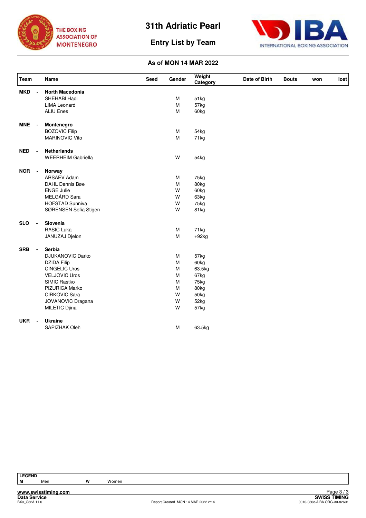

**Entry List by Team**



# **As of MON 14 MAR 2022**

| Team       |                          | Name                      | Seed | Gender    | Weight<br>Category | Date of Birth | <b>Bouts</b> | won | lost |
|------------|--------------------------|---------------------------|------|-----------|--------------------|---------------|--------------|-----|------|
| <b>MKD</b> | $\blacksquare$           | North Macedonia           |      |           |                    |               |              |     |      |
|            |                          | SHEHABI Hadi              |      | M         | 51kg               |               |              |     |      |
|            |                          | <b>LIMA Leonard</b>       |      | M         | 57kg               |               |              |     |      |
|            |                          | <b>ALIU Enes</b>          |      | M         | 60 <sub>kg</sub>   |               |              |     |      |
| <b>MNE</b> | $\overline{\phantom{a}}$ | Montenegro                |      |           |                    |               |              |     |      |
|            |                          | <b>BOZOVIC Filip</b>      |      | M         | 54kg               |               |              |     |      |
|            |                          | <b>MARINOVIC Vito</b>     |      | M         | 71kg               |               |              |     |      |
| <b>NED</b> | $\blacksquare$           | <b>Netherlands</b>        |      |           |                    |               |              |     |      |
|            |                          | <b>WEERHEIM Gabriella</b> |      | W         | 54 <sub>kg</sub>   |               |              |     |      |
| <b>NOR</b> | $\blacksquare$           | Norway                    |      |           |                    |               |              |     |      |
|            |                          | <b>ARSAEV Adam</b>        |      | M         | 75kg               |               |              |     |      |
|            |                          | DAHL Dennis Bøe           |      | M         | 80kg               |               |              |     |      |
|            |                          | <b>ENGE Julie</b>         |      | W         | 60kg               |               |              |     |      |
|            |                          | MELGÅRD Sara              |      | W         | 63kg               |               |              |     |      |
|            |                          | <b>HOFSTAD Sunniva</b>    |      | W         | 75kg               |               |              |     |      |
|            |                          | SØRENSEN Sofia Stigen     |      | W         | 81kg               |               |              |     |      |
| <b>SLO</b> | $\blacksquare$           | Slovenia                  |      |           |                    |               |              |     |      |
|            |                          | <b>RASIC Luka</b>         |      | M         | 71kg               |               |              |     |      |
|            |                          | JANUZAJ Djelon            |      | M         | $+92kg$            |               |              |     |      |
| <b>SRB</b> | $\blacksquare$           | Serbia                    |      |           |                    |               |              |     |      |
|            |                          | <b>DJUKANOVIC Darko</b>   |      | M         | 57kg               |               |              |     |      |
|            |                          | <b>DZIDA Filip</b>        |      | ${\sf M}$ | 60kg               |               |              |     |      |
|            |                          | <b>CINGELIC Uros</b>      |      | M         | 63.5kg             |               |              |     |      |
|            |                          | <b>VELJOVIC Uros</b>      |      | M         | 67kg               |               |              |     |      |
|            |                          | SIMIC Rastko              |      | M         | 75kg               |               |              |     |      |
|            |                          | <b>PIZURICA Marko</b>     |      | M         | 80kg               |               |              |     |      |
|            |                          | <b>CIRKOVIC Sara</b>      |      | W         | 50kg               |               |              |     |      |
|            |                          | JOVANOVIC Dragana         |      | W         | 52kg               |               |              |     |      |
|            |                          | MILETIC Djina             |      | W         | 57kg               |               |              |     |      |
| <b>UKR</b> |                          | <b>Ukraine</b>            |      |           |                    |               |              |     |      |
|            |                          | SAPIZHAK Oleh             |      | M         | 63.5kg             |               |              |     |      |

**LEGEND**

**M** Men **W** Women

**www.swisstiming.com**

**Data Service SWISS TIMING** Exage 37.3<br>
BXVISS TIMING<br>
Beport Created MON 14 MAR 2022 2:14 0010-036c-AIBA.ORG-30-82601 Page 3 / 3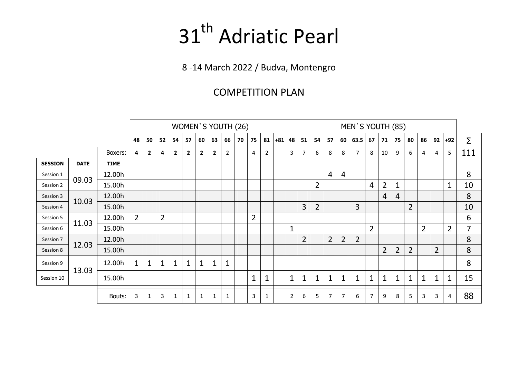# 31<sup>th</sup> Adriatic Pearl

8 -14 March 2022 / Budva, Montengro

# COMPETITION PLAN

|                |             |             |                |                |                |                | WOMEN'S YOUTH (26) |                |              |                |    |                |    |       |                |                |                |                |                | MEN'S YOUTH (85) |                |                |                |                |                |                |                |                |
|----------------|-------------|-------------|----------------|----------------|----------------|----------------|--------------------|----------------|--------------|----------------|----|----------------|----|-------|----------------|----------------|----------------|----------------|----------------|------------------|----------------|----------------|----------------|----------------|----------------|----------------|----------------|----------------|
|                |             |             | 48             | 50             | 52             | 54             | 57                 | 60             | 63           | 66             | 70 | 75             | 81 | $+81$ | 48             | 51             | 54             | 57             | 60             | 63.5             | 67             | 71             | 75             | 80             | 86             | 92             | $+92$          | Σ              |
|                |             | Boxers:     | 4              | $\overline{2}$ | 4              | $\overline{2}$ | $\overline{2}$     | $\overline{2}$ | $\mathbf{2}$ | $\overline{2}$ |    | $\overline{a}$ | 2  |       | 3              | $\overline{7}$ | 6              | 8              | 8              | 7                | 8              | 10             | 9              | 6              | 4              | 4              | 5              | 111            |
| <b>SESSION</b> | <b>DATE</b> | <b>TIME</b> |                |                |                |                |                    |                |              |                |    |                |    |       |                |                |                |                |                |                  |                |                |                |                |                |                |                |                |
| Session 1      | 09.03       | 12.00h      |                |                |                |                |                    |                |              |                |    |                |    |       |                |                |                | $\overline{4}$ | $\overline{4}$ |                  |                |                |                |                |                |                |                | 8              |
| Session 2      |             | 15.00h      |                |                |                |                |                    |                |              |                |    |                |    |       |                |                | 2              |                |                |                  | $\overline{4}$ | $\overline{2}$ | $\mathbf{1}$   |                |                |                | $\mathbf{1}$   | 10             |
| Session 3      | 10.03       | 12.00h      |                |                |                |                |                    |                |              |                |    |                |    |       |                |                |                |                |                |                  |                | 4              | 4              |                |                |                |                | 8              |
| Session 4      |             | 15.00h      |                |                |                |                |                    |                |              |                |    |                |    |       |                | 3              | $\overline{2}$ |                |                | 3                |                |                |                | $\overline{2}$ |                |                |                | 10             |
| Session 5      |             | 12.00h      | $\overline{2}$ |                | $\overline{2}$ |                |                    |                |              |                |    | $\overline{2}$ |    |       |                |                |                |                |                |                  |                |                |                |                |                |                |                | 6              |
| Session 6      | 11.03       | 15.00h      |                |                |                |                |                    |                |              |                |    |                |    |       | $\mathbf{1}$   |                |                |                |                |                  | $\overline{2}$ |                |                |                | $\overline{2}$ |                | $\overline{2}$ | $\overline{7}$ |
| Session 7      |             | 12.00h      |                |                |                |                |                    |                |              |                |    |                |    |       |                | $\overline{2}$ |                | $\overline{2}$ | $\overline{2}$ | $\overline{2}$   |                |                |                |                |                |                |                | 8              |
| Session 8      | 12.03       | 15.00h      |                |                |                |                |                    |                |              |                |    |                |    |       |                |                |                |                |                |                  |                | $\overline{2}$ | $\overline{2}$ | $\overline{2}$ |                | $\overline{2}$ |                | 8              |
| Session 9      |             | 12.00h      | $\mathbf{1}$   | 1              | $\mathbf{1}$   | 1              | 1                  | 1              | 1            | 1              |    |                |    |       |                |                |                |                |                |                  |                |                |                |                |                |                |                | 8              |
| Session 10     | 13.03       | 15.00h      |                |                |                |                |                    |                |              |                |    | $\mathbf{1}$   | 1  |       | $\mathbf{1}$   | 1              | $\mathbf{1}$   | $\mathbf 1$    | $\mathbf{1}$   | 1                | $\mathbf{1}$   | $\mathbf{1}$   | $\mathbf{1}$   | 1              | 1              | $\mathbf{1}$   | $\mathbf{1}$   | 15             |
|                |             | Bouts:      | 3              |                | 3              | 1              | 1                  | 1              |              | 1              |    | 3              | 1  |       | $\overline{2}$ | 6              | 5              | $\overline{7}$ | 7              | 6                | $\overline{7}$ | 9              | 8              | 5              | 3              | 3              | 4              | 88             |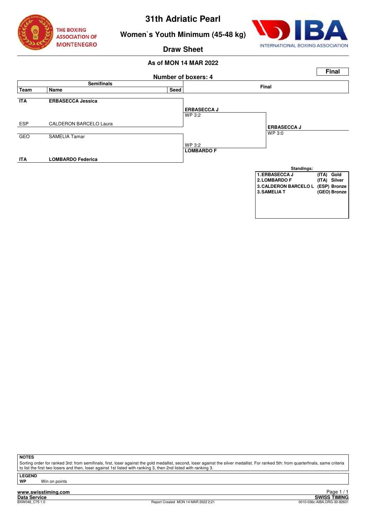



# **Women`s Youth Minimum (45-48 kg)**

**Draw Sheet**

# **As of MON 14 MAR 2022**



**NOTES**

Sorting order for ranked 3rd: from semifinals, first, loser against the gold medallist, second, loser against the silver medallist. For ranked 5th: from quarterfinals, same criteria to list the first two losers and then, loser against 1st listed with ranking 3, then 2nd listed with ranking 3.

**LEGEND**

**Win on points** 

**www.swisstiming.com**<br>Data Service<br>BXW048 C75 1.0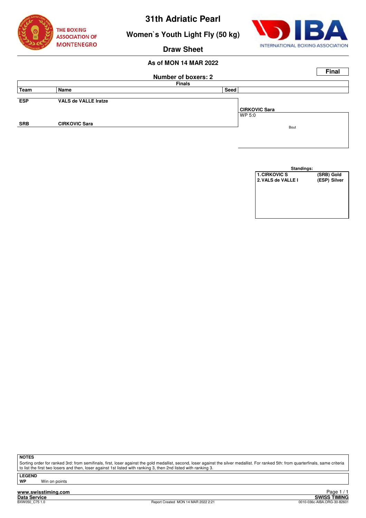

**Women`s Youth Light Fly (50 kg)**



### **Draw Sheet**

# **As of MON 14 MAR 2022**

|            |                             |                            |                      | <b>Final</b> |
|------------|-----------------------------|----------------------------|----------------------|--------------|
|            |                             | <b>Number of boxers: 2</b> |                      |              |
|            |                             | <b>Finals</b>              |                      |              |
| Team       | Name                        | Seed                       |                      |              |
|            |                             |                            |                      |              |
| <b>ESP</b> | <b>VALS de VALLE Iratze</b> |                            |                      |              |
|            |                             |                            | <b>CIRKOVIC Sara</b> |              |
|            |                             |                            | WP 5:0               |              |
| <b>SRB</b> | <b>CIRKOVIC Sara</b>        |                            | Bout                 |              |
|            |                             |                            |                      |              |
|            |                             |                            |                      |              |

| Standings:           |              |
|----------------------|--------------|
| <b>1. CIRKOVIC S</b> | (SRB) Gold   |
| 2. VALS de VALLE I   | (ESP) Silver |
|                      |              |
|                      |              |
|                      |              |
|                      |              |
|                      |              |
|                      |              |

**NOTES**

Sorting order for ranked 3rd: from semifinals, first, loser against the gold medallist, second, loser against the silver medallist. For ranked 5th: from quarterfinals, same criteria to list the first two losers and then, loser against 1st listed with ranking 3, then 2nd listed with ranking 3.

**LEGEND**

**Win on points** 

**www.swisstiming.com Data Service SWISS TIMING**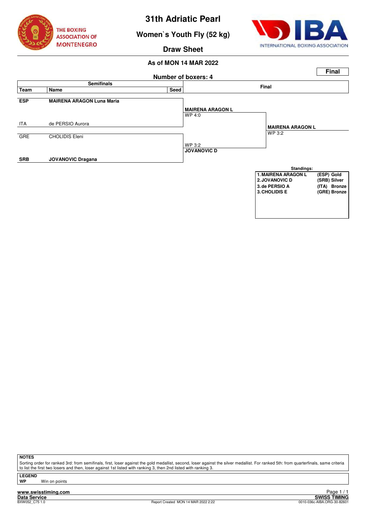

**Women`s Youth Fly (52 kg)**



**Draw Sheet**

# **As of MON 14 MAR 2022**



**NOTES**

Sorting order for ranked 3rd: from semifinals, first, loser against the gold medallist, second, loser against the silver medallist. For ranked 5th: from quarterfinals, same criteria to list the first two losers and then, loser against 1st listed with ranking 3, then 2nd listed with ranking 3.

**LEGEND**

**Win on points**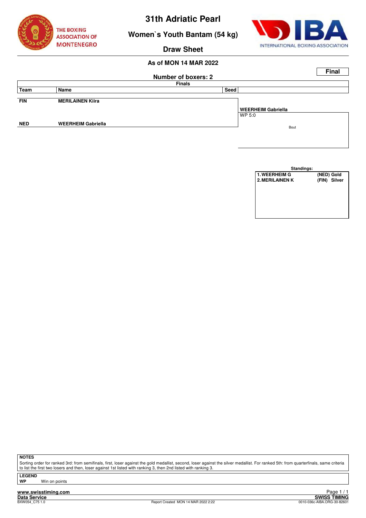

**Women`s Youth Bantam (54 kg)**



**Draw Sheet**

# **As of MON 14 MAR 2022**

|            |                           |                            | <b>Final</b>       |
|------------|---------------------------|----------------------------|--------------------|
|            |                           | <b>Number of boxers: 2</b> |                    |
|            |                           | <b>Finals</b>              |                    |
| Team       | Name                      | Seed                       |                    |
|            |                           |                            |                    |
| <b>FIN</b> | <b>MERILAINEN Kiira</b>   |                            |                    |
|            |                           |                            | WEERHEIM Gabriella |
|            |                           |                            | WP 5:0             |
| <b>NED</b> | <b>WEERHEIM Gabriella</b> |                            |                    |
|            |                           |                            | Bout               |
|            |                           |                            |                    |

| Standings:             |              |
|------------------------|--------------|
| <b>1. WEERHEIM G</b>   | (NED) Gold   |
| <b>2. MERILAINEN K</b> | (FIN) Silver |
|                        |              |
|                        |              |
|                        |              |
|                        |              |
|                        |              |
|                        |              |

**NOTES**

Sorting order for ranked 3rd: from semifinals, first, loser against the gold medallist, second, loser against the silver medallist. For ranked 5th: from quarterfinals, same criteria to list the first two losers and then, loser against 1st listed with ranking 3, then 2nd listed with ranking 3.

**LEGEND**

**Win on points** 

**www.swisstiming.com Data Service SWISS TIMING**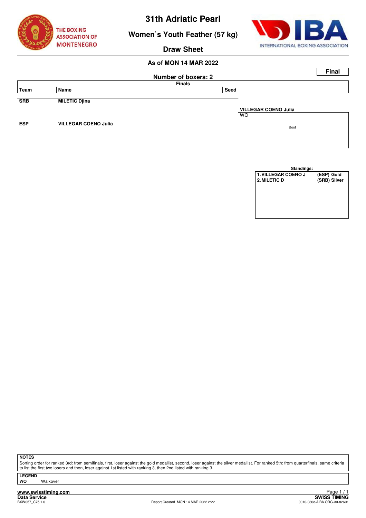

**Women`s Youth Feather (57 kg)**



**Draw Sheet**

# **As of MON 14 MAR 2022**

|            |                             |                     |                             | <b>Final</b> |
|------------|-----------------------------|---------------------|-----------------------------|--------------|
|            |                             | Number of boxers: 2 |                             |              |
|            |                             | <b>Finals</b>       |                             |              |
| Team       | Name                        | Seed                |                             |              |
|            |                             |                     |                             |              |
| <b>SRB</b> | <b>MILETIC Djina</b>        |                     |                             |              |
|            |                             |                     | <b>VILLEGAR COENO Julia</b> |              |
|            |                             |                     | <b>WO</b>                   |              |
| <b>ESP</b> | <b>VILLEGAR COENO Julia</b> |                     | Bout                        |              |
|            |                             |                     |                             |              |
|            |                             |                     |                             |              |

| Standings:          |              |
|---------------------|--------------|
| 1. VILLEGAR COENO J | (ESP) Gold   |
| 2. MILETIC D        | (SRB) Silver |
|                     |              |
|                     |              |
|                     |              |
|                     |              |
|                     |              |
|                     |              |

**NOTES**

Sorting order for ranked 3rd: from semifinals, first, loser against the gold medallist, second, loser against the silver medallist. For ranked 5th: from quarterfinals, same criteria to list the first two losers and then, loser against 1st listed with ranking 3, then 2nd listed with ranking 3.

**LEGEND Walkover** 

**www.swisstiming.com**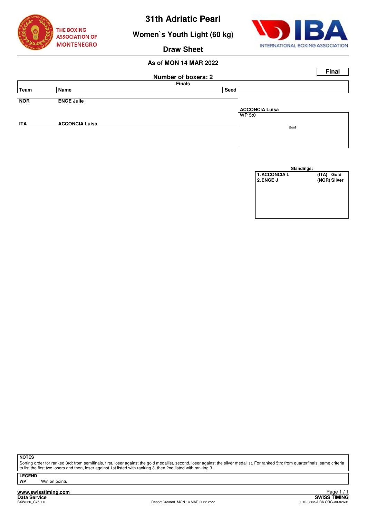

**Women`s Youth Light (60 kg)**



**Draw Sheet**

# **As of MON 14 MAR 2022**

|            |                       |                            | <b>Final</b>          |
|------------|-----------------------|----------------------------|-----------------------|
|            |                       | <b>Number of boxers: 2</b> |                       |
|            |                       | <b>Finals</b>              |                       |
| Team       | Name                  | Seed                       |                       |
|            |                       |                            |                       |
| <b>NOR</b> | <b>ENGE Julie</b>     |                            |                       |
|            |                       |                            | <b>ACCONCIA Luisa</b> |
|            |                       |                            | WP 5:0                |
| <b>ITA</b> | <b>ACCONCIA Luisa</b> |                            |                       |
|            |                       |                            | Bout                  |
|            |                       |                            |                       |

| Standings:           |              |
|----------------------|--------------|
| <b>1. ACCONCIA L</b> | (ITA) Gold   |
| 2. ENGE J            | (NOR) Silver |
|                      |              |
|                      |              |
|                      |              |
|                      |              |
|                      |              |
|                      |              |

**NOTES**

Sorting order for ranked 3rd: from semifinals, first, loser against the gold medallist, second, loser against the silver medallist. For ranked 5th: from quarterfinals, same criteria to list the first two losers and then, loser against 1st listed with ranking 3, then 2nd listed with ranking 3.

**LEGEND**

**Win on points** 

**www.swisstiming.com Data Service SWISS TIMING**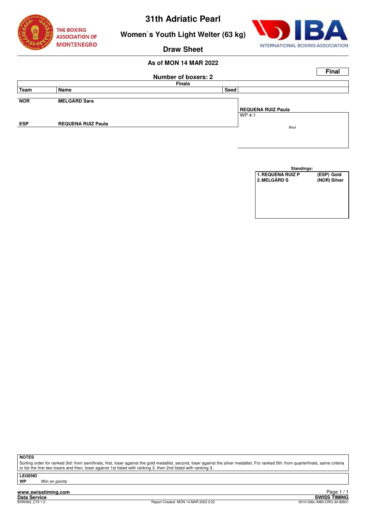



**Women`s Youth Light Welter (63 kg)**

# **Draw Sheet**

# **As of MON 14 MAR 2022**

|            |                           |                            | <b>Final</b>       |  |
|------------|---------------------------|----------------------------|--------------------|--|
|            |                           | <b>Number of boxers: 2</b> |                    |  |
|            |                           | <b>Finals</b>              |                    |  |
| Team       | Name                      | Seed                       |                    |  |
|            |                           |                            |                    |  |
| <b>NOR</b> | <b>MELGÅRD Sara</b>       |                            |                    |  |
|            |                           |                            | REQUENA RUIZ Paula |  |
|            |                           |                            | WP 4:1             |  |
| <b>ESP</b> | <b>REQUENA RUIZ Paula</b> |                            | Bout               |  |
|            |                           |                            |                    |  |
|            |                           |                            |                    |  |

| Standings:               |              |
|--------------------------|--------------|
| <b>1. REQUENA RUIZ P</b> | (ESP) Gold   |
| 2. MELGÅRD S             | (NOR) Silver |
|                          |              |
|                          |              |
|                          |              |
|                          |              |
|                          |              |
|                          |              |

**NOTES**

Sorting order for ranked 3rd: from semifinals, first, loser against the gold medallist, second, loser against the silver medallist. For ranked 5th: from quarterfinals, same criteria to list the first two losers and then, loser against 1st listed with ranking 3, then 2nd listed with ranking 3.

**LEGEND**

**WP** Win on points

**www.swisstiming.com Data Service SWISS TIMING**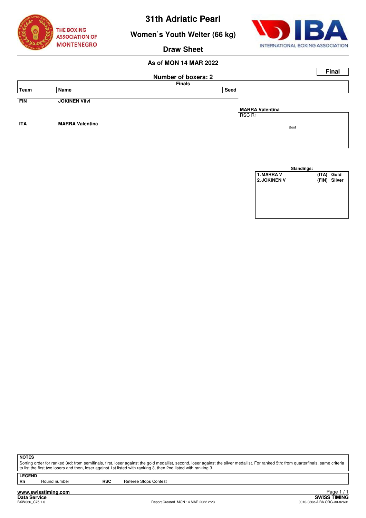

**Women`s Youth Welter (66 kg)**



**Draw Sheet**

# **As of MON 14 MAR 2022**

|            |                        |                            |                        | <b>Final</b> |
|------------|------------------------|----------------------------|------------------------|--------------|
|            |                        | <b>Number of boxers: 2</b> |                        |              |
|            |                        | <b>Finals</b>              |                        |              |
| Team       | Name                   | Seed                       |                        |              |
|            |                        |                            |                        |              |
| <b>FIN</b> | <b>JOKINEN Viivi</b>   |                            |                        |              |
|            |                        |                            | <b>MARRA Valentina</b> |              |
|            |                        |                            | RSC R1                 |              |
| <b>ITA</b> | <b>MARRA Valentina</b> |                            | Bout                   |              |
|            |                        |                            |                        |              |
|            |                        |                            |                        |              |

| Standings: |              |
|------------|--------------|
|            | (ITA) Gold   |
|            | (FIN) Silver |
|            |              |
|            |              |
|            |              |
|            |              |
|            |              |
|            |              |
|            |              |

**NOTES**

Sorting order for ranked 3rd: from semifinals, first, loser against the gold medallist, second, loser against the silver medallist. For ranked 5th: from quarterfinals, same criteria to list the first two losers and then, loser against 1st listed with ranking 3, then 2nd listed with ranking 3.

**LEGEND**

Round number **RSC** Referee Stops Contest

**www.swisstiming.com Data Service SWISS TIMING**

ا 1 H Eager<br>SWISS TIMING<br>0010-036c-AIBA.ORG-30-82601 0010-036c-AIBA.ORG-30-82601 0010-036c-AIBA.ORG-30-82601 Page 1/1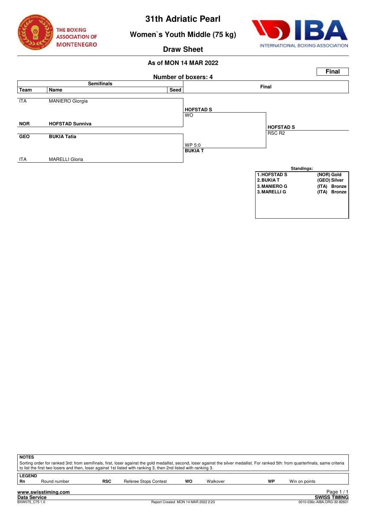

# **Women`s Youth Middle (75 kg)**



### **Draw Sheet**



| <b>NOTES</b><br>Sorting order for ranked 3rd: from semifinals, first, loser against the gold medallist, second, loser against the silver medallist. For ranked 5th: from quarterfinals, same criteria<br>to list the first two losers and then, loser against 1st listed with ranking 3, then 2nd listed with ranking 3. |              |                                     |                       |    |          |    |                                                    |  |
|--------------------------------------------------------------------------------------------------------------------------------------------------------------------------------------------------------------------------------------------------------------------------------------------------------------------------|--------------|-------------------------------------|-----------------------|----|----------|----|----------------------------------------------------|--|
| <b>LEGEND</b><br>Rn                                                                                                                                                                                                                                                                                                      | Round number | <b>RSC</b>                          | Referee Stops Contest | WO | Walkover | WP | Win on points                                      |  |
| Page $1/1$<br>www.swisstiming.com                                                                                                                                                                                                                                                                                        |              |                                     |                       |    |          |    |                                                    |  |
| Data Service<br>BXW075 C75 1.0                                                                                                                                                                                                                                                                                           |              | Report Created MON 14 MAR 2022 2:23 |                       |    |          |    | <b>SWISS TIMING</b><br>0010-036c-AIBA.ORG-30-82601 |  |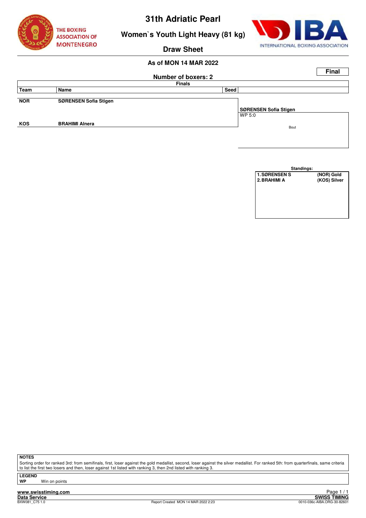



# **Women`s Youth Light Heavy (81 kg)**

# **Draw Sheet**

# **As of MON 14 MAR 2022**

|            |                              |                            | <b>Final</b>          |
|------------|------------------------------|----------------------------|-----------------------|
|            |                              | <b>Number of boxers: 2</b> |                       |
|            |                              | <b>Finals</b>              |                       |
| Team       | Name                         | Seed                       |                       |
|            |                              |                            |                       |
| <b>NOR</b> | <b>SØRENSEN Sofia Stigen</b> |                            |                       |
|            |                              |                            | SØRENSEN Sofia Stigen |
|            |                              |                            | WP 5:0                |
| <b>KOS</b> | <b>BRAHIMI Alnera</b>        |                            |                       |
|            |                              |                            | Bout                  |
|            |                              |                            |                       |



**NOTES**

Sorting order for ranked 3rd: from semifinals, first, loser against the gold medallist, second, loser against the silver medallist. For ranked 5th: from quarterfinals, same criteria to list the first two losers and then, loser against 1st listed with ranking 3, then 2nd listed with ranking 3.

**LEGEND**

**Win on points** 

**www.swisstiming.com Data Service SWISS TIMING**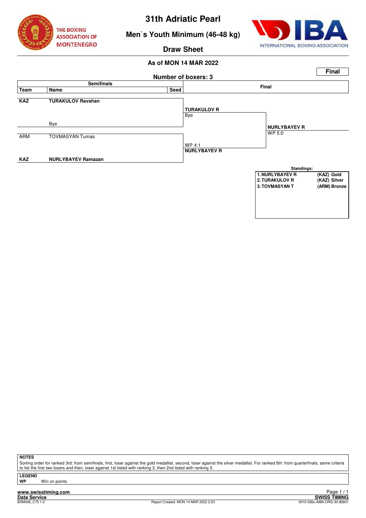

# **Men`s Youth Minimum (46-48 kg)**



**Draw Sheet**

### **As of MON 14 MAR 2022**



**NOTES**

Sorting order for ranked 3rd: from semifinals, first, loser against the gold medallist, second, loser against the silver medallist. For ranked 5th: from quarterfinals, same criteria to list the first two losers and then, loser against 1st listed with ranking 3, then 2nd listed with ranking 3.

**LEGEND**

**Win on points** 

**www.swisstiming.com Data Service SWISS TIMING**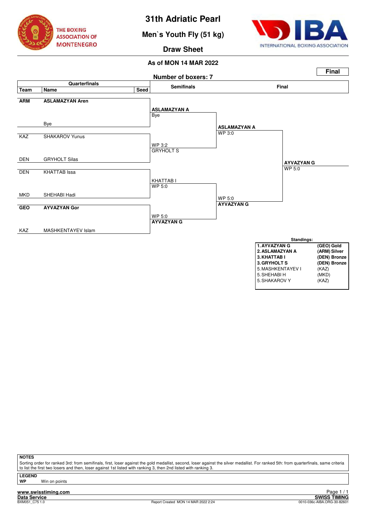

**Men`s Youth Fly (51 kg)**



**Draw Sheet**

### **As of MON 14 MAR 2022**



**NOTES**

Sorting order for ranked 3rd: from semifinals, first, loser against the gold medallist, second, loser against the silver medallist. For ranked 5th: from quarterfinals, same criteria to list the first two losers and then, loser against 1st listed with ranking 3, then 2nd listed with ranking 3.

**LEGEND**

**www.swisstiming.com Win on points**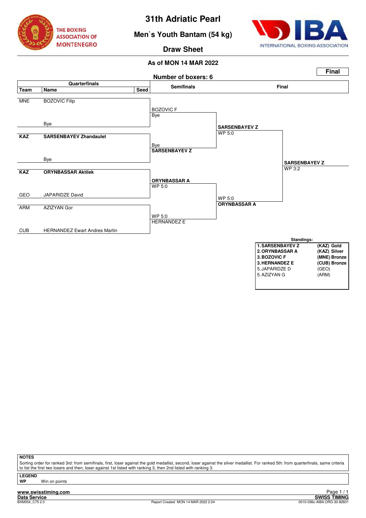

**Men`s Youth Bantam (54 kg)**



**Draw Sheet**

**As of MON 14 MAR 2022**



**NOTES**

Sorting order for ranked 3rd: from semifinals, first, loser against the gold medallist, second, loser against the silver medallist. For ranked 5th: from quarterfinals, same criteria to list the first two losers and then, loser against 1st listed with ranking 3, then 2nd listed with ranking 3.

**LEGEND**

**Win on points**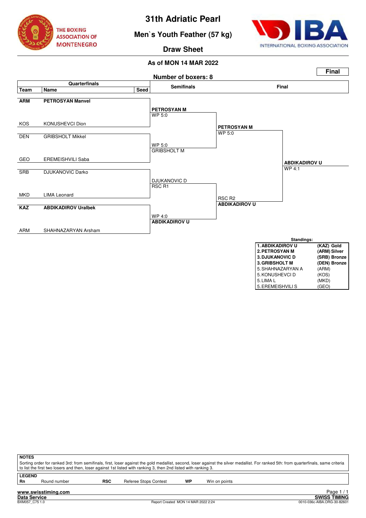

**Men`s Youth Feather (57 kg)**



**Draw Sheet**



| <b>3. DJUKANOVIC D</b> | (SRB) Bronze |
|------------------------|--------------|
| <b>3. GRIBSHOLT M</b>  | (DEN) Bronze |
| 5. SHAHNAZARYAN A      | (ARM)        |
| 5. KONUSHEVCI D        | (KOS)        |
| 5. LIMA L              | (MKD)        |
| 5. EREMEISHVILI S      | (GEO)        |

| <b>NOTES</b> |                                                                                                                                                                                       |            |                                                                                                                 |    |               |  |  |
|--------------|---------------------------------------------------------------------------------------------------------------------------------------------------------------------------------------|------------|-----------------------------------------------------------------------------------------------------------------|----|---------------|--|--|
|              | Sorting order for ranked 3rd: from semifinals, first, loser against the gold medallist, second, loser against the silver medallist. For ranked 5th: from quarterfinals, same criteria |            |                                                                                                                 |    |               |  |  |
|              |                                                                                                                                                                                       |            | to list the first two losers and then, loser against 1st listed with ranking 3, then 2nd listed with ranking 3. |    |               |  |  |
|              | <b>LEGEND</b>                                                                                                                                                                         |            |                                                                                                                 |    |               |  |  |
|              |                                                                                                                                                                                       |            |                                                                                                                 |    |               |  |  |
| Rn           | Round number                                                                                                                                                                          | <b>RSC</b> | Referee Stops Contest                                                                                           | WP | Win on points |  |  |
|              |                                                                                                                                                                                       |            |                                                                                                                 |    |               |  |  |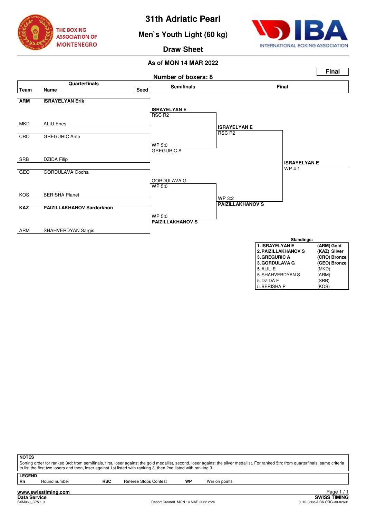

# **Men`s Youth Light (60 kg)**



**Draw Sheet**



| <b>3. GREGURIC A</b>  | (CRO) Bronze |
|-----------------------|--------------|
| <b>3. GORDULAVA G</b> | (GEO) Bronze |
| 5. ALIU E             | (MKD)        |
| 5. SHAHVERDYAN S      | (ARM)        |
| 5. DZIDA F            | (SRB)        |
| 5. BERISHA P          | (KOS)        |

| <b>NOTES</b>        |                     |            | to list the first two losers and then, loser against 1st listed with ranking 3, then 2nd listed with ranking 3. |    |               | Sorting order for ranked 3rd: from semifinals, first, loser against the gold medallist, second, loser against the silver medallist. For ranked 5th: from quarterfinals, same criteria |
|---------------------|---------------------|------------|-----------------------------------------------------------------------------------------------------------------|----|---------------|---------------------------------------------------------------------------------------------------------------------------------------------------------------------------------------|
| <b>LEGEND</b><br>Rn | Round number        | <b>RSC</b> | Referee Stops Contest                                                                                           | WP | Win on points |                                                                                                                                                                                       |
|                     | www.swisstiming.com |            |                                                                                                                 |    |               | Page                                                                                                                                                                                  |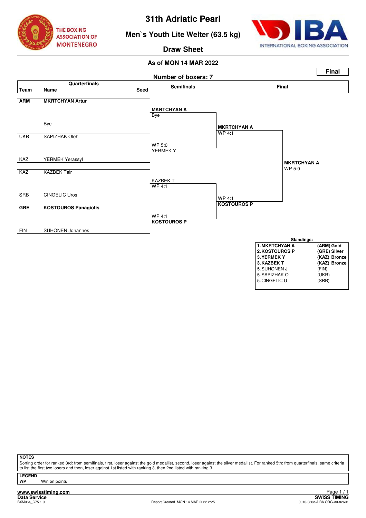

**Men`s Youth Lite Welter (63.5 kg)**



# **Draw Sheet**

### **As of MON 14 MAR 2022**



| 3. KAZBEK T   | (KAZ) Bronze |
|---------------|--------------|
| 5. SUHONEN J  | (FIN)        |
| 5. SAPIZHAK O | (UKR)        |
| 5. CINGELIC U | (SRB)        |
|               |              |

**NOTES**

Sorting order for ranked 3rd: from semifinals, first, loser against the gold medallist, second, loser against the silver medallist. For ranked 5th: from quarterfinals, same criteria to list the first two losers and then, loser against 1st listed with ranking 3, then 2nd listed with ranking 3.

**LEGEND**

**Win on points**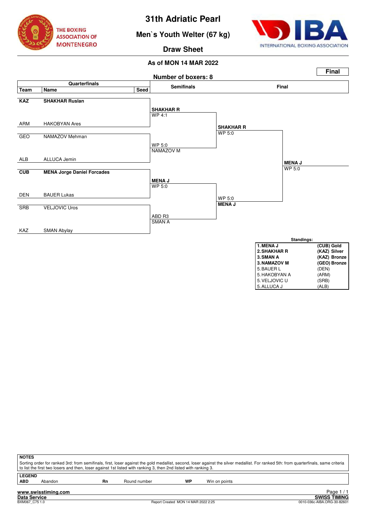

**Men`s Youth Welter (67 kg)**



5. ALLUCA J

**Draw Sheet**



| <b>NOTES</b>                                                                                                                                                                          |                                                                                                                 |    |              |    |               |  |  |  |  |  |  |  |
|---------------------------------------------------------------------------------------------------------------------------------------------------------------------------------------|-----------------------------------------------------------------------------------------------------------------|----|--------------|----|---------------|--|--|--|--|--|--|--|
| Sorting order for ranked 3rd: from semifinals, first, loser against the gold medallist, second, loser against the silver medallist. For ranked 5th: from quarterfinals, same criteria |                                                                                                                 |    |              |    |               |  |  |  |  |  |  |  |
|                                                                                                                                                                                       | to list the first two losers and then, loser against 1st listed with ranking 3, then 2nd listed with ranking 3. |    |              |    |               |  |  |  |  |  |  |  |
|                                                                                                                                                                                       | <b>LEGEND</b>                                                                                                   |    |              |    |               |  |  |  |  |  |  |  |
| <b>ABD</b>                                                                                                                                                                            | Abandon                                                                                                         | Rn | Round number | WP | Win on points |  |  |  |  |  |  |  |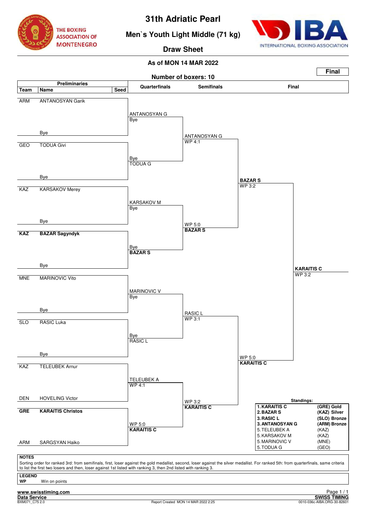

# **Men`s Youth Light Middle (71 kg)**



**Draw Sheet**

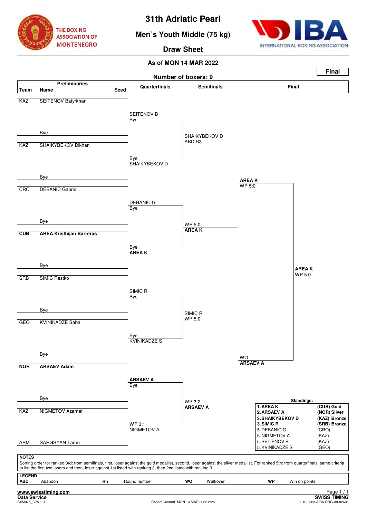

# **Men`s Youth Middle (75 kg)**



# **Draw Sheet**

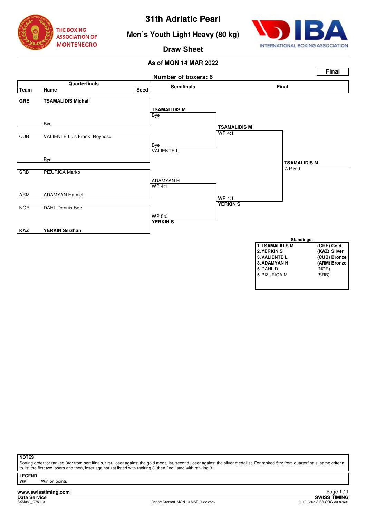

# **Men`s Youth Light Heavy (80 kg)**



# **Draw Sheet**

### **As of MON 14 MAR 2022**



**NOTES**

Sorting order for ranked 3rd: from semifinals, first, loser against the gold medallist, second, loser against the silver medallist. For ranked 5th: from quarterfinals, same criteria to list the first two losers and then, loser against 1st listed with ranking 3, then 2nd listed with ranking 3.

**LEGEND**

**Win on points** 

**www.swisstiming.com**<br>Data Service<br>BXM080\_C75.1.0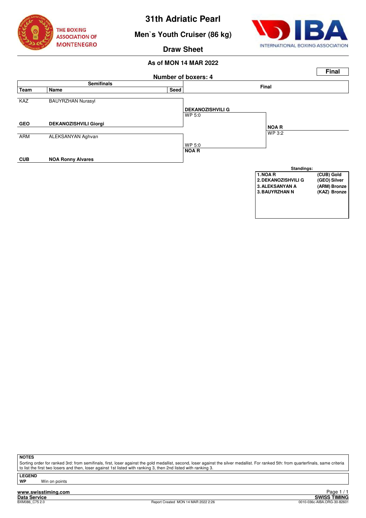

# **Men`s Youth Cruiser (86 kg)**



# **Draw Sheet**

### **As of MON 14 MAR 2022**



### **NOTES**

Sorting order for ranked 3rd: from semifinals, first, loser against the gold medallist, second, loser against the silver medallist. For ranked 5th: from quarterfinals, same criteria to list the first two losers and then, loser against 1st listed with ranking 3, then 2nd listed with ranking 3.

**LEGEND**

**Win on points** 

**www.swisstiming.com**<br>Data Service<br>BXM086 C75.2.0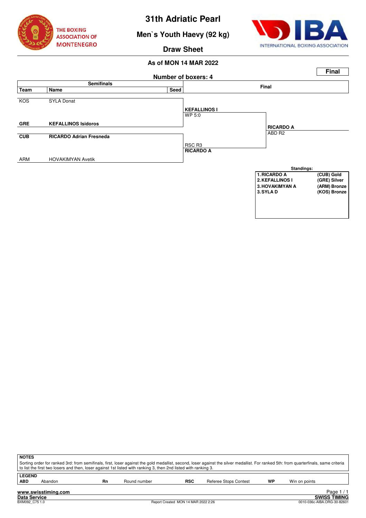

**Men`s Youth Haevy (92 kg)**



**Draw Sheet**



| <b>NOTES</b><br>Sorting order for ranked 3rd: from semifinals, first, loser against the gold medallist, second, loser against the silver medallist. For ranked 5th: from quarterfinals, same criteria<br>to list the first two losers and then, loser against 1st listed with ranking 3, then 2nd listed with ranking 3. |         |    |              |     |                              |    |               |  |  |  |  |
|--------------------------------------------------------------------------------------------------------------------------------------------------------------------------------------------------------------------------------------------------------------------------------------------------------------------------|---------|----|--------------|-----|------------------------------|----|---------------|--|--|--|--|
| <b>LEGEND</b><br><b>ABD</b>                                                                                                                                                                                                                                                                                              | Abandon | Rn | Round number | RSC | <b>Referee Stops Contest</b> | WP | Win on points |  |  |  |  |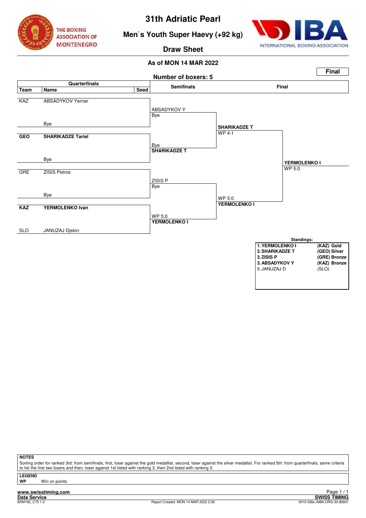

**Men`s Youth Super Haevy (+92 kg)**



**Draw Sheet**

# **As of MON 14 MAR 2022**



### **NOTES**

Sorting order for ranked 3rd: from semifinals, first, loser against the gold medallist, second, loser against the silver medallist. For ranked 5th: from quarterfinals, same criteria to list the first two losers and then, loser against 1st listed with ranking 3, then 2nd listed with ranking 3.

**LEGEND**

**Win on points**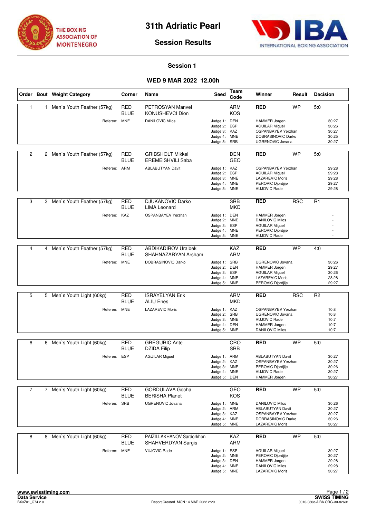



### **Session 1**

# **WED 9 MAR 2022 12.00h**

|                |   | Order Bout Weight Category   | Corner                    | Name                                                | Seed                                                                         | Team<br>Code                    | Winner                                                                                                                   | Result     | <b>Decision</b> |                                           |
|----------------|---|------------------------------|---------------------------|-----------------------------------------------------|------------------------------------------------------------------------------|---------------------------------|--------------------------------------------------------------------------------------------------------------------------|------------|-----------------|-------------------------------------------|
| $\mathbf{1}$   | 1 | Men's Youth Feather (57kg)   | <b>RED</b><br><b>BLUE</b> | PETROSYAN Manvel<br>KONUSHEVCI Dion                 |                                                                              | <b>ARM</b><br><b>KOS</b>        | <b>RED</b>                                                                                                               | <b>WP</b>  | 5:0             |                                           |
|                |   | Referee: MNE                 |                           | <b>DANILOVIC Milos</b>                              | Judge 1: DEN<br>Judge 2: ESP<br>Judge 3: KAZ<br>Judge 4: MNE<br>Judge 5:     | SRB                             | <b>HAMMER Jorgen</b><br><b>AGUILAR Miguel</b><br>OSPANBAYEV Yerzhan<br>DOBRASINOVIC Darko<br>UGRENOVIC Jovana            |            |                 | 30:27<br>30:26<br>30:27<br>30:25<br>30:27 |
| $\overline{2}$ |   | 2 Men's Youth Feather (57kg) | <b>RED</b><br><b>BLUE</b> | <b>GRIBSHOLT Mikkel</b><br><b>EREMEISHVILI Saba</b> |                                                                              | DEN<br><b>GEO</b>               | <b>RED</b>                                                                                                               | <b>WP</b>  | 5:0             |                                           |
|                |   | Referee: ARM                 |                           | <b>ABLABUTYAN Davit</b>                             | Judge 1: KAZ<br>Judge 2:<br>Judge 3: MNE<br>Judge 4: MNE<br>Judge 5: MNE     | ESP                             | <b>OSPANBAYEV Yerzhan</b><br><b>AGUILAR Miguel</b><br><b>LAZAREVIC Moris</b><br>PEROVIC Djordjije<br><b>VUJOVIC Rade</b> |            |                 | 29:28<br>29:28<br>29:28<br>29:27<br>29:28 |
| 3              | 3 | Men's Youth Feather (57kg)   | RED<br><b>BLUE</b>        | <b>DJUKANOVIC Darko</b><br><b>LIMA Leonard</b>      |                                                                              | <b>SRB</b><br><b>MKD</b>        | <b>RED</b>                                                                                                               | <b>RSC</b> | R1              |                                           |
|                |   | Referee:                     | KAZ                       | OSPANBAYEV Yerzhan                                  | Judge 1: DEN<br>Judge 2:<br>Judge 3: ESP<br>Judge 4:<br>Judge 5:             | <b>MNE</b><br><b>MNE</b><br>MNE | <b>HAMMER Jorgen</b><br><b>DANILOVIC Milos</b><br><b>AGUILAR Miguel</b><br>PEROVIC Djordjije<br><b>VUJOVIC Rade</b>      |            |                 |                                           |
|                |   |                              |                           |                                                     |                                                                              |                                 |                                                                                                                          |            |                 |                                           |
| 4              | 4 | Men's Youth Feather (57kg)   | <b>RED</b><br><b>BLUE</b> | <b>ABDIKADIROV Uralbek</b><br>SHAHNAZARYAN Arsham   |                                                                              | <b>KAZ</b><br><b>ARM</b>        | <b>RED</b>                                                                                                               | <b>WP</b>  | 4:0             |                                           |
|                |   | Referee: MNE                 |                           | DOBRASINOVIC Darko                                  | Judge 1: SRB<br>Judge 2:<br>Judge 3: ESP<br>Judge 4: MNE<br>Judge 5:         | DEN<br><b>MNE</b>               | <b>UGRENOVIC Jovana</b><br>HAMMER Jorgen<br><b>AGUILAR Miguel</b><br><b>LAZAREVIC Moris</b><br>PEROVIC Djordjije         |            |                 | 30:26<br>29:27<br>30:26<br>28:28<br>29:27 |
|                |   |                              |                           |                                                     |                                                                              |                                 |                                                                                                                          |            |                 |                                           |
| 5              |   | 5 Men's Youth Light (60kg)   | <b>RED</b><br><b>BLUE</b> | <b>ISRAYELYAN Erik</b><br><b>ALIU Enes</b>          |                                                                              | <b>ARM</b><br><b>MKD</b>        | <b>RED</b>                                                                                                               | <b>RSC</b> | R <sub>2</sub>  |                                           |
|                |   | Referee: MNE                 |                           | <b>LAZAREVIC Moris</b>                              | Judge 1: KAZ<br>Judge 2: SRB<br>Judge 3: MNE<br>Judge 4: DEN<br>Judge 5:     | <b>MNE</b>                      | OSPANBAYEV Yerzhan<br><b>UGRENOVIC Jovana</b><br><b>VUJOVIC Rade</b><br>HAMMER Jorgen<br><b>DANILOVIC Milos</b>          |            |                 | 10:8<br>10:8<br>10:7<br>10:7<br>10:7      |
| 6              | 6 | Men's Youth Light (60kg)     | RED                       | <b>GREGURIC Ante</b>                                |                                                                              | CRO                             | <b>RED</b>                                                                                                               | <b>WP</b>  | 5.0             |                                           |
|                |   |                              | <b>BLUE</b>               | <b>DZIDA Filip</b>                                  |                                                                              | <b>SRB</b>                      |                                                                                                                          |            |                 |                                           |
|                |   | Referee: ESP                 |                           | <b>AGUILAR Miguel</b>                               | Judge 1: ARM<br>Judge 2:<br>Judge 3: MNE<br>Judge 4: MNE<br>Judge 5: DEN     | KAZ                             | <b>ABLABUTYAN Davit</b><br>OSPANBAYEV Yerzhan<br>PEROVIC Djordjije<br><b>VUJOVIC Rade</b><br>HAMMER Jorgen               |            |                 | 30:27<br>30:27<br>30:26<br>30:27<br>30:27 |
| $\overline{7}$ |   | 7 Men's Youth Light (60kg)   | RED                       | <b>GORDULAVA Gocha</b>                              |                                                                              | GEO                             | <b>RED</b>                                                                                                               | <b>WP</b>  | 5:0             |                                           |
|                |   |                              | <b>BLUE</b>               | <b>BERISHA Planet</b>                               |                                                                              | KOS                             |                                                                                                                          |            |                 |                                           |
|                |   | Referee:                     | SRB                       | UGRENOVIC Jovana                                    | Judge 1: MNE<br>Judge 2: ARM<br>Judge 3: KAZ<br>Judge 4: MNE<br>Judge 5: MNE |                                 | <b>DANILOVIC Milos</b><br><b>ABLABUTYAN Davit</b><br>OSPANBAYEV Yerzhan<br>DOBRASINOVIC Darko<br><b>LAZAREVIC Moris</b>  |            |                 | 30:26<br>30:27<br>30:27<br>30:26<br>30:27 |
| 8              | 8 | Men's Youth Light (60kg)     | <b>RED</b><br><b>BLUE</b> | PAIZILLAKHANOV Sardorkhon<br>SHAHVERDYAN Sargis     |                                                                              | KAZ<br>ARM                      | <b>RED</b>                                                                                                               | <b>WP</b>  | 5:0             |                                           |
|                |   | Referee: MNE                 |                           | <b>VUJOVIC Rade</b>                                 | Judge 1: ESP<br>Judge 2: MNE<br>Judge 3: DEN<br>Judge 4: MNE<br>Judge 5: MNE |                                 | <b>AGUILAR Miguel</b><br>PEROVIC Djordjije<br><b>HAMMER Jorgen</b><br><b>DANILOVIC Milos</b><br>LAZAREVIC Moris          |            |                 | 30:27<br>30:27<br>29:28<br>29:28<br>30:27 |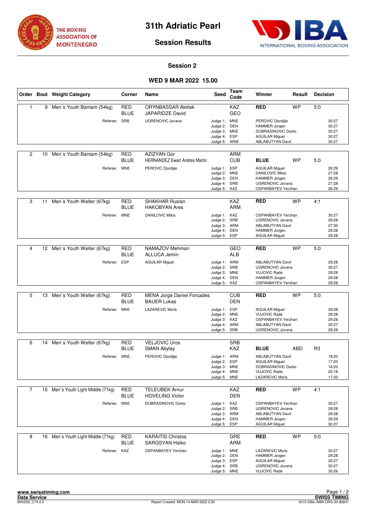



### **Session 2**

# **WED 9 MAR 2022 15.00**

|                |    | Order Bout Weight Category         | Corner                    | Name                                                    | <b>Seed</b>                                                              | Team<br>Code                           | Winner                                                                                                                    | Result     | <b>Decision</b> |                                           |
|----------------|----|------------------------------------|---------------------------|---------------------------------------------------------|--------------------------------------------------------------------------|----------------------------------------|---------------------------------------------------------------------------------------------------------------------------|------------|-----------------|-------------------------------------------|
| $\mathbf{1}$   |    | 9 Men's Youth Bantam (54kg)        | <b>RED</b><br><b>BLUE</b> | <b>ORYNBASSAR Aktilek</b><br>JAPARIDZE David            |                                                                          | KAZ<br><b>GEO</b>                      | <b>RED</b>                                                                                                                | <b>WP</b>  | 5.0             |                                           |
|                |    | Referee: SRB                       |                           | <b>UGRENOVIC Jovana</b>                                 | Judge 1: MNE<br>Judge 2:<br>Judge 3:<br>Judge 4:<br>Judge 5:             | <b>DEN</b><br><b>MNE</b><br>ESP<br>ARM | PEROVIC Djordjije<br>HAMMER Jorgen<br>DOBRASINOVIC Darko<br><b>AGUILAR Miguel</b><br><b>ABLABUTYAN Davit</b>              |            |                 | 30:27<br>30:27<br>30:27<br>30:27<br>30:27 |
| $\overline{2}$ | 10 | Men's Youth Bantam (54kg)          | RED<br><b>BLUE</b>        | AZIZYAN Gor<br><b>HERNANDEZ Ewart Andres Martin</b>     |                                                                          | <b>ARM</b><br><b>CUB</b>               | <b>BLUE</b>                                                                                                               | <b>WP</b>  | 5:0             |                                           |
|                |    | Referee: MNE                       |                           | PEROVIC Djordjije                                       | Judge 1:<br>Judge 2:<br>Judge 3: DEN<br>Judge 4: SRB<br>Judge 5: KAZ     | ESP<br><b>MNE</b>                      | <b>AGUILAR Miguel</b><br><b>DANILOVIC Milos</b><br>HAMMER Jorgen<br><b>UGRENOVIC Jovana</b><br>OSPANBAYEV Yerzhan         |            |                 | 26:29<br>27:28<br>26:29<br>27:28<br>26:29 |
| 3              | 11 | Men's Youth Welter (67kg)          | <b>RED</b><br><b>BLUE</b> | <b>SHAKHAR Ruslan</b><br><b>HAKOBYAN Ares</b>           |                                                                          | <b>KAZ</b><br><b>ARM</b>               | <b>RED</b>                                                                                                                | <b>WP</b>  | 4:1             |                                           |
|                |    | Referee:                           | <b>MNE</b>                | <b>DANILOVIC Milos</b>                                  | Judge 1: KAZ<br>Judge 2: SRB<br>Judge 3: ARM<br>Judge 4:<br>Judge 5:     | DEN<br>ESP                             | OSPANBAYEV Yerzhan<br><b>UGRENOVIC Jovana</b><br><b>ABLABUTYAN Davit</b><br><b>HAMMER Jorgen</b><br><b>AGUILAR Miguel</b> |            |                 | 30:27<br>29:28<br>27:30<br>29:28<br>29:28 |
|                |    |                                    |                           |                                                         |                                                                          |                                        |                                                                                                                           |            |                 |                                           |
| $\overline{4}$ |    | 12 Men's Youth Welter (67kg)       | <b>RED</b><br><b>BLUE</b> | NAMAZOV Mehman<br>ALLUCA Jemin                          |                                                                          | GEO<br><b>ALB</b>                      | RED                                                                                                                       | <b>WP</b>  | 5:0             |                                           |
|                |    | Referee: ESP                       |                           | <b>AGUILAR Miguel</b>                                   | Judge 1: ARM<br>Judge 2:<br>Judge 3: MNE<br>Judge 4:<br>Judge 5:         | SRB<br><b>DEN</b><br>KAZ               | <b>ABLABUTYAN Davit</b><br><b>UGRENOVIC Jovana</b><br><b>VUJOVIC Rade</b><br>HAMMER Jorgen<br>OSPANBAYEV Yerzhan          |            |                 | 29:28<br>30:27<br>29:28<br>29:28<br>29:28 |
|                |    |                                    |                           |                                                         |                                                                          |                                        |                                                                                                                           |            |                 |                                           |
| 5              |    | 13 Men's Youth Welter (67kg)       | <b>RED</b><br><b>BLUE</b> | <b>MENA Jorge Daniel Forcades</b><br><b>BAUER Lukas</b> |                                                                          | <b>CUB</b><br><b>DEN</b>               | <b>RED</b>                                                                                                                | <b>WP</b>  | 5:0             |                                           |
|                |    | Referee: MNE                       |                           | <b>LAZAREVIC Moris</b>                                  | Judge 1: ESP<br>Judge 2: MNE<br>Judge 3:<br>Judge 4: ARM<br>Judge 5: SRB | KAZ                                    | <b>AGUILAR Miguel</b><br><b>VUJOVIC Rade</b><br>OSPANBAYEV Yerzhan<br><b>ABLABUTYAN Davit</b><br><b>UGRENOVIC Jovana</b>  |            |                 | 29:28<br>29:28<br>29:28<br>30:27<br>29:28 |
| 6              | 14 | Men's Youth Welter (67kg)          | <b>RED</b>                | <b>VELJOVIC Uros</b>                                    |                                                                          | <b>SRB</b>                             |                                                                                                                           |            |                 |                                           |
|                |    |                                    | <b>BLUE</b>               | SMAN Abylay                                             |                                                                          | KAZ                                    | <b>BLUE</b>                                                                                                               | <b>ABD</b> | R <sub>3</sub>  |                                           |
|                |    | Referee: MNE                       |                           | PEROVIC Djordjije                                       | Judge 1: ARM<br>Judge 2:<br>Judge 3: MNE<br>Judge 4: MNE<br>Judge 5: MNE | ESP                                    | <b>ABLABUTYAN Davit</b><br><b>AGUILAR Miguel</b><br>DOBRASINOVIC Darko<br><b>VUJOVIC Rade</b><br><b>LAZAREVIC Moris</b>   |            |                 | 18:20<br>17:20<br>18:20<br>20:18<br>17:20 |
| $\overline{7}$ |    | 15 Men's Youth Light Middle (71kg) | <b>RED</b>                | <b>TELEUBEK Arnur</b>                                   |                                                                          | KAZ                                    | <b>RED</b>                                                                                                                | <b>WP</b>  | 4:1             |                                           |
|                |    |                                    | <b>BLUE</b>               | <b>HOVELING Victor</b>                                  |                                                                          | <b>DEN</b>                             |                                                                                                                           |            |                 |                                           |
|                |    | Referee: MNE                       |                           | DOBRASINOVIC Darko                                      | Judge 1: KAZ<br>Judge 2: SRB<br>Judge 3: ARM<br>Judge 4:<br>Judge 5:     | DEN<br>ESP                             | OSPANBAYEV Yerzhan<br>UGRENOVIC Jovana<br><b>ABLABUTYAN Davit</b><br><b>HAMMER Jorgen</b><br>AGUILAR Miguel               |            |                 | 30:27<br>29:28<br>29:28<br>28:29<br>30:27 |
| 8              | 16 | Men's Youth Light Middle (71kg)    | RED<br>BLUE               | <b>KARAITIS Christos</b><br><b>SARGSYAN Haiko</b>       |                                                                          | GRE<br>ARM                             | RED                                                                                                                       | <b>WP</b>  | 5:0             |                                           |
|                |    | Referee: KAZ                       |                           | OSPANBAYEV Yerzhan                                      | Judge 1: MNE<br>Judge 2:<br>Judge 3: ESP<br>Judge 4: SRB<br>Judge 5: MNE | DEN                                    | <b>LAZAREVIC Moris</b><br>HAMMER Jorgen<br><b>AGUILAR Miguel</b><br>UGRENOVIC Jovana<br><b>VUJOVIC Rade</b>               |            |                 | 30:27<br>29:28<br>30:27<br>30:27<br>30:26 |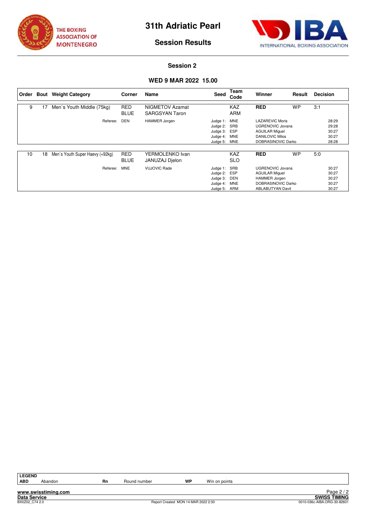



### **Session 2**

# **WED 9 MAR 2022 15.00**

| l Order | Bout | <b>Weight Category</b>          | Corner                    | Name                                     | Seed                                                                 | Team<br>Code             | Winner                                                                                                                    | Result    | <b>Decision</b> |                                           |
|---------|------|---------------------------------|---------------------------|------------------------------------------|----------------------------------------------------------------------|--------------------------|---------------------------------------------------------------------------------------------------------------------------|-----------|-----------------|-------------------------------------------|
| 9       | 17   | Men's Youth Middle (75kg)       | <b>RED</b><br><b>BLUE</b> | NIGMETOV Azamat<br><b>SARGSYAN Taron</b> |                                                                      | KAZ<br><b>ARM</b>        | <b>RED</b>                                                                                                                | <b>WP</b> | 3:1             |                                           |
|         |      | Referee:                        | DEN                       | <b>HAMMER Jorgen</b>                     | Judge 1: MNE<br>Judge 2: SRB<br>Judge 3: ESP<br>Judge 4:<br>Judge 5: | MNE<br>MNE               | LAZAREVIC Moris<br>UGRENOVIC Jovana<br><b>AGUILAR Miquel</b><br><b>DANILOVIC Milos</b><br>DOBRASINOVIC Darko              |           |                 | 28:29<br>29:28<br>30:27<br>30:27<br>28:28 |
| 10      | 18   | Men's Youth Super Haevy (+92kg) | <b>RED</b><br><b>BLUE</b> | YERMOLENKO Ivan<br>JANUZAJ Djelon        |                                                                      | <b>KAZ</b><br><b>SLO</b> | <b>RED</b>                                                                                                                | <b>WP</b> | 5:0             |                                           |
|         |      | Referee:                        | <b>MNE</b>                | <b>VUJOVIC Rade</b>                      | Judge 1: SRB<br>Judge 2: ESP<br>Judge 3:<br>Judge 4:<br>Judge 5:     | DEN<br><b>MNE</b><br>ARM | <b>UGRENOVIC Jovana</b><br><b>AGUILAR Miquel</b><br><b>HAMMER Jorgen</b><br>DOBRASINOVIC Darko<br><b>ABLABUTYAN Davit</b> |           |                 | 30:27<br>30:27<br>30:27<br>30:27<br>30:27 |

| G<br>٠.<br>- |
|--------------|
|              |

**www.swisstiming.com**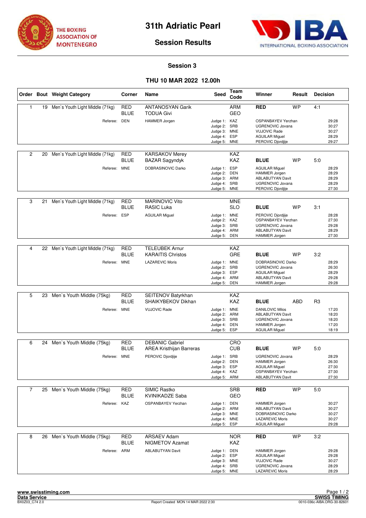



# **Session 3**

# **THU 10 MAR 2022 12.00h**

|                |    | Order Bout Weight Category      | Corner                    | Name                                              | <b>Seed</b>                                                                  | Team<br>Code                    | Winner                                                                                                                    | Result    | <b>Decision</b> |                                           |
|----------------|----|---------------------------------|---------------------------|---------------------------------------------------|------------------------------------------------------------------------------|---------------------------------|---------------------------------------------------------------------------------------------------------------------------|-----------|-----------------|-------------------------------------------|
| $\mathbf{1}$   | 19 | Men's Youth Light Middle (71kg) | <b>RED</b><br><b>BLUE</b> | <b>ANTANOSYAN Garik</b><br><b>TODUA Givi</b>      |                                                                              | <b>ARM</b><br><b>GEO</b>        | <b>RED</b>                                                                                                                | <b>WP</b> | 4:1             |                                           |
|                |    | Referee: DEN                    |                           | HAMMER Jorgen                                     | Judge 1: KAZ<br>Judge 2: SRB<br>Judge 3:<br>Judge 4:<br>Judge 5:             | <b>MNE</b><br>ESP<br><b>MNE</b> | OSPANBAYEV Yerzhan<br><b>UGRENOVIC Jovana</b><br><b>VUJOVIC Rade</b><br><b>AGUILAR Miguel</b><br>PEROVIC Djordjije        |           |                 | 29:28<br>30:27<br>30:27<br>28:29<br>29:27 |
| $\overline{2}$ | 20 | Men's Youth Light Middle (71kg) | RED<br><b>BLUE</b>        | <b>KARSAKOV Merey</b><br><b>BAZAR Sagyndyk</b>    |                                                                              | KAZ<br><b>KAZ</b>               | <b>BLUE</b>                                                                                                               | <b>WP</b> | 5:0             |                                           |
|                |    | Referee: MNE                    |                           | DOBRASINOVIC Darko                                | Judge 1:<br>Judge 2:<br>Judge 3: ARM<br>Judge 4:<br>Judge 5: MNE             | ESP<br><b>DEN</b><br>SRB        | <b>AGUILAR Miguel</b><br><b>HAMMER Jorgen</b><br><b>ABLABUTYAN Davit</b><br><b>UGRENOVIC Jovana</b><br>PEROVIC Djordjije  |           |                 | 28:29<br>28:29<br>28:29<br>28:29<br>27:30 |
| 3              | 21 | Men's Youth Light Middle (71kg) | <b>RED</b><br><b>BLUE</b> | <b>MARINOVIC Vito</b><br><b>RASIC Luka</b>        |                                                                              | <b>MNE</b><br><b>SLO</b>        | <b>BLUE</b>                                                                                                               | <b>WP</b> | 3:1             |                                           |
|                |    | Referee:                        | <b>ESP</b>                | <b>AGUILAR Miguel</b>                             | Judge 1: MNE<br>Judge 2: KAZ<br>Judge 3: SRB<br>Judge 4: ARM<br>Judge 5:     | DEN                             | PEROVIC Djordjije<br>OSPANBAYEV Yerzhan<br><b>UGRENOVIC Jovana</b><br><b>ABLABUTYAN Davit</b><br>HAMMER Jorgen            |           |                 | 28:28<br>27:30<br>29:28<br>28:29<br>27:30 |
|                |    |                                 |                           |                                                   |                                                                              |                                 |                                                                                                                           |           |                 |                                           |
| $\overline{4}$ | 22 | Men's Youth Light Middle (71kg) | <b>RED</b><br><b>BLUE</b> | <b>TELEUBEK Arnur</b><br><b>KARAITIS Christos</b> |                                                                              | KAZ<br>GRE                      | <b>BLUE</b>                                                                                                               | <b>WP</b> | 3:2             |                                           |
|                |    | Referee: MNE                    |                           | <b>LAZAREVIC Moris</b>                            | Judge 1: MNE<br>Judge 2: SRB<br>Judge 3:<br>Judge 4: ARM<br>Judge 5:         | <b>ESP</b><br>DEN               | DOBRASINOVIC Darko<br><b>UGRENOVIC Jovana</b><br><b>AGUILAR Miguel</b><br><b>ABLABUTYAN Davit</b><br><b>HAMMER Jorgen</b> |           |                 | 28:29<br>26:30<br>28:29<br>29:28<br>29:28 |
|                |    |                                 |                           |                                                   |                                                                              |                                 |                                                                                                                           |           |                 |                                           |
| 5              | 23 | Men's Youth Middle (75kg)       | <b>RED</b><br><b>BLUE</b> | SEITENOV Batyrkhan<br>SHAIKYBEKOV Dikhan          |                                                                              | <b>KAZ</b><br><b>KAZ</b>        | <b>BLUE</b>                                                                                                               | ABD       | R <sub>3</sub>  |                                           |
|                |    | Referee: MNE                    |                           | <b>VUJOVIC Rade</b>                               | Judge 1: MNE<br>Judge 2:<br>Judge 3:<br>Judge 4:<br>Judge 5:                 | ARM<br>SRB<br>DEN<br>ESP        | <b>DANILOVIC Milos</b><br><b>ABLABUTYAN Davit</b><br><b>UGRENOVIC Jovana</b><br>HAMMER Jorgen<br><b>AGUILAR Miquel</b>    |           |                 | 17:20<br>18:20<br>18:20<br>17:20<br>18:19 |
| 6              | 24 | Men's Youth Middle (75kg)       | <b>RED</b>                | <b>DEBANIC Gabriel</b>                            |                                                                              | CRO                             |                                                                                                                           |           |                 |                                           |
|                |    |                                 | <b>BLUE</b>               | <b>AREA Kristhijan Barreras</b>                   |                                                                              | <b>CUB</b>                      | <b>BLUE</b>                                                                                                               | <b>WP</b> | 5:0             |                                           |
|                |    | Referee: MNE                    |                           | PEROVIC Djordjije                                 | Judge 1: SRB<br>Judge 2:<br>Judge 3: ESP<br>Judge 4: KAZ<br>Judge 5: ARM     | DEN                             | <b>UGRENOVIC Jovana</b><br><b>HAMMER Jorgen</b><br><b>AGUILAR Miguel</b><br>OSPANBAYEV Yerzhan<br><b>ABLABUTYAN Davit</b> |           |                 | 28:29<br>26:30<br>27:30<br>27:30<br>27:30 |
| $\overline{7}$ |    | 25 Men's Youth Middle (75kg)    | <b>RED</b>                | <b>SIMIC Rastko</b>                               |                                                                              | <b>SRB</b>                      | <b>RED</b>                                                                                                                | <b>WP</b> | 5:0             |                                           |
|                |    |                                 | <b>BLUE</b>               | <b>KVINIKADZE Saba</b>                            |                                                                              | GEO                             |                                                                                                                           |           |                 |                                           |
|                |    | Referee: KAZ                    |                           | <b>OSPANBAYEV Yerzhan</b>                         | Judge 1: DEN<br>Judge 2: ARM<br>Judge 3: MNE<br>Judge 4: MNE<br>Judge 5:     | ESP                             | <b>HAMMER Jorgen</b><br><b>ABLABUTYAN Davit</b><br>DOBRASINOVIC Darko<br><b>LAZAREVIC Moris</b><br>AGUILAR Miguel         |           |                 | 30:27<br>30:27<br>30:27<br>30:27<br>29:28 |
| 8              | 26 | Men's Youth Middle (75kg)       | <b>RED</b><br>BLUE        | <b>ARSAEV Adam</b><br><b>NIGMETOV Azamat</b>      |                                                                              | <b>NOR</b><br>KAZ               | RED                                                                                                                       | <b>WP</b> | 3:2             |                                           |
|                |    | Referee: ARM                    |                           | <b>ABLABUTYAN Davit</b>                           | Judge 1: DEN<br>Judge 2: ESP<br>Judge 3: MNE<br>Judge 4: SRB<br>Judge 5: MNE |                                 | <b>HAMMER Jorgen</b><br><b>AGUILAR Miguel</b><br><b>VUJOVIC Rade</b><br>UGRENOVIC Jovana<br>LAZAREVIC Moris               |           |                 | 29:28<br>29:28<br>30:27<br>28:29<br>28:29 |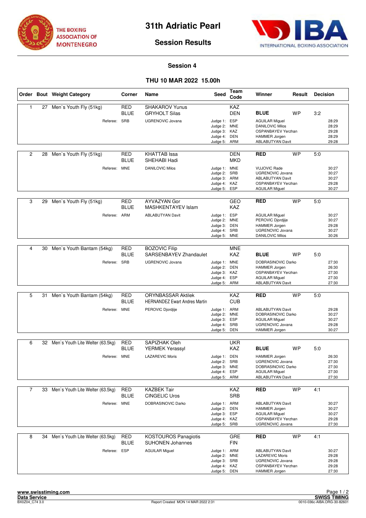



### **Session 4**

# **THU 10 MAR 2022 15.00h**

|                |    | Order Bout Weight Category                          | Corner                    | Name                                                                                   | Seed                                                                         | Team<br>Code                           | Winner                                                                                                                                  | Result    | <b>Decision</b> |                                           |
|----------------|----|-----------------------------------------------------|---------------------------|----------------------------------------------------------------------------------------|------------------------------------------------------------------------------|----------------------------------------|-----------------------------------------------------------------------------------------------------------------------------------------|-----------|-----------------|-------------------------------------------|
| 1              | 27 | Men's Youth Fly (51kg)<br>Referee: SRB              | RED<br><b>BLUE</b>        | <b>SHAKAROV Yunus</b><br><b>GRYHOLT Silas</b><br><b>UGRENOVIC Jovana</b>               | Judge 1: ESP<br>Judge 2: MNE<br>Judge 3: KAZ<br>Judge 4: DEN<br>Judge 5:     | KAZ<br><b>DEN</b><br>ARM               | <b>BLUE</b><br><b>AGUILAR Miguel</b><br><b>DANILOVIC Milos</b><br>OSPANBAYEV Yerzhan<br><b>HAMMER Jorgen</b><br><b>ABLABUTYAN Davit</b> | <b>WP</b> | 3:2             | 28:29<br>28:29<br>29:28<br>28:29<br>29:28 |
| $\overline{2}$ | 28 | Men's Youth Fly (51kg)<br>Referee: MNE              | RED<br><b>BLUE</b>        | <b>KHATTAB</b> Issa<br>SHEHABI Hadi<br><b>DANILOVIC Milos</b>                          | Judge 1: MNE<br>Judge 2: SRB<br>Judge 3: ARM<br>Judge 4: KAZ<br>Judge 5: ESP | DEN<br><b>MKD</b>                      | <b>RED</b><br><b>VUJOVIC Rade</b><br><b>UGRENOVIC Jovana</b><br><b>ABLABUTYAN Davit</b><br>OSPANBAYEV Yerzhan<br><b>AGUILAR Miguel</b>  | <b>WP</b> | 5.0             | 30:27<br>30:27<br>30:27<br>29:28<br>30:27 |
| 3              | 29 | Men's Youth Fly (51kg)<br>Referee: ARM              | RED<br><b>BLUE</b>        | AYVAZYAN Gor<br><b>MASHKENTAYEV Islam</b><br><b>ABLABUTYAN Davit</b>                   | Judge 1: ESP<br>Judge 2: MNE<br>Judge 3: DEN<br>Judge 4: SRB<br>Judge 5: MNE | GEO<br><b>KAZ</b>                      | <b>RED</b><br><b>AGUILAR Miguel</b><br>PEROVIC Djordjije<br>HAMMER Jorgen<br><b>UGRENOVIC Jovana</b><br><b>DANILOVIC Milos</b>          | <b>WP</b> | 5:0             | 30:27<br>30:27<br>29:28<br>30:27<br>30:26 |
| 4              | 30 | Men's Youth Bantam (54kg)<br>Referee: SRB           | <b>RED</b><br><b>BLUE</b> | <b>BOZOVIC Filip</b><br>SARSENBAYEV Zhandaulet<br><b>UGRENOVIC Jovana</b>              | Judge 1: MNE<br>Judge 2:<br>Judge 3: KAZ<br>Judge 4: ESP<br>Judge 5: ARM     | <b>MNE</b><br><b>KAZ</b><br><b>DEN</b> | <b>BLUE</b><br>DOBRASINOVIC Darko<br>HAMMER Jorgen<br>OSPANBAYEV Yerzhan<br><b>AGUILAR Miguel</b><br><b>ABLABUTYAN Davit</b>            | <b>WP</b> | 5:0             | 27:30<br>26:30<br>27:30<br>27:30<br>27:30 |
| 5              | 31 | Men's Youth Bantam (54kg)<br>Referee: MNE           | <b>RED</b><br><b>BLUE</b> | <b>ORYNBASSAR Aktilek</b><br><b>HERNANDEZ Ewart Andres Martin</b><br>PEROVIC Djordjije | Judge 1: ARM<br>Judge 2: MNE<br>Judge 3: ESP<br>Judge 4: SRB<br>Judge 5:     | KAZ<br><b>CUB</b><br>DEN               | <b>RED</b><br><b>ABLABUTYAN Davit</b><br>DOBRASINOVIC Darko<br><b>AGUILAR Miguel</b><br>UGRENOVIC Jovana<br><b>HAMMER Jorgen</b>        | <b>WP</b> | 5:0             | 29:28<br>30:27<br>30:27<br>29:28<br>30:27 |
| 6              |    | 32 Men's Youth Lite Welter (63.5kg)<br>Referee: MNE | RED<br><b>BLUE</b>        | SAPIZHAK Oleh<br><b>YERMEK Yerassyl</b><br><b>LAZAREVIC Moris</b>                      | Judge 1: DEN<br>Judge 2: SRB<br>Judge 3: MNE<br>Judge 4: ESP<br>Judge 5: ARM | UKR<br><b>KAZ</b>                      | <b>BLUE</b><br><b>HAMMER Jorgen</b><br>UGRENOVIC Jovana<br>DOBRASINOVIC Darko<br><b>AGUILAR Miguel</b><br><b>ABLABUTYAN Davit</b>       | <b>WP</b> | 5.0             | 26:30<br>27:30<br>27:30<br>27:30<br>27:30 |
| $\overline{7}$ | 33 | Men's Youth Lite Welter (63.5kg)<br>Referee: MNE    | <b>RED</b><br><b>BLUE</b> | <b>KAZBEK Tair</b><br><b>CINGELIC Uros</b><br>DOBRASINOVIC Darko                       | Judge 1: ARM<br>Judge 2: DEN<br>Judge 3: ESP<br>Judge 4: KAZ<br>Judge 5: SRB | <b>KAZ</b><br><b>SRB</b>               | <b>RED</b><br><b>ABLABUTYAN Davit</b><br><b>HAMMER Jorgen</b><br><b>AGUILAR Miguel</b><br>OSPANBAYEV Yerzhan<br><b>UGRENOVIC Jovana</b> | <b>WP</b> | 4:1             | 30:27<br>30:27<br>30:27<br>29:28<br>27:30 |
| 8              | 34 | Men's Youth Lite Welter (63.5kg)<br>Referee: ESP    | <b>RED</b><br><b>BLUE</b> | <b>KOSTOUROS Panagiotis</b><br><b>SUHONEN Johannes</b><br><b>AGUILAR Miguel</b>        | Judge 1: ARM<br>Judge 2: MNE<br>Judge 3: SRB<br>Judge 4: KAZ<br>Judge 5: DEN | GRE<br><b>FIN</b>                      | <b>RED</b><br><b>ABLABUTYAN Davit</b><br><b>LAZAREVIC Moris</b><br>UGRENOVIC Jovana<br>OSPANBAYEV Yerzhan<br>HAMMER Jorgen              | <b>WP</b> | 4:1             | 30:27<br>29:28<br>29:28<br>29:28<br>27:30 |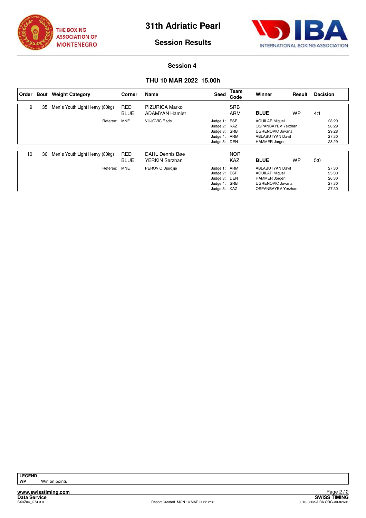



### **Session 4**

# **THU 10 MAR 2022 15.00h**

| Order |    | <b>Bout</b> Weight Category    | Corner                    | Name                                           | Seed                                                                     | Team<br>Code             | Winner                                                                                                                           | Result | <b>Decision</b> |                                           |
|-------|----|--------------------------------|---------------------------|------------------------------------------------|--------------------------------------------------------------------------|--------------------------|----------------------------------------------------------------------------------------------------------------------------------|--------|-----------------|-------------------------------------------|
| 9     | 35 | Men's Youth Light Heavy (80kg) | <b>RED</b><br><b>BLUE</b> | <b>PIZURICA Marko</b><br><b>ADAMYAN Hamlet</b> |                                                                          | <b>SRB</b><br><b>ARM</b> | <b>BLUE</b>                                                                                                                      | WP     | 4:1             |                                           |
|       |    | Referee:                       | <b>MNE</b>                | <b>VUJOVIC Rade</b>                            | Judge 1: ESP<br>Judge 2: KAZ<br>Judge 3:<br>Judge 4: ARM<br>Judge 5:     | SRB<br>DEN               | <b>AGUILAR Miquel</b><br>OSPANBAYEV Yerzhan<br><b>UGRENOVIC Jovana</b><br><b>ABLABUTYAN Davit</b><br>HAMMER Jorgen               |        |                 | 28:29<br>28:29<br>29:28<br>27:30<br>28:29 |
| 10    | 36 | Men's Youth Light Heavy (80kg) | <b>RED</b><br><b>BLUE</b> | DAHL Dennis Bøe<br>YERKIN Serzhan              |                                                                          | <b>NOR</b><br>KAZ        | <b>BLUE</b>                                                                                                                      | WP     | 5:0             |                                           |
|       |    | Referee:                       | <b>MNE</b>                | PEROVIC Diordille                              | Judge 1: ARM<br>Judge 2: ESP<br>Judge 3:<br>Judge 4: SRB<br>Judge 5: KAZ | DEN                      | <b>ABLABUTYAN Davit</b><br><b>AGUILAR Miguel</b><br><b>HAMMER Jorgen</b><br><b>UGRENOVIC Jovana</b><br><b>OSPANBAYEV Yerzhan</b> |        |                 | 27:30<br>25:30<br>26:30<br>27:30<br>27:30 |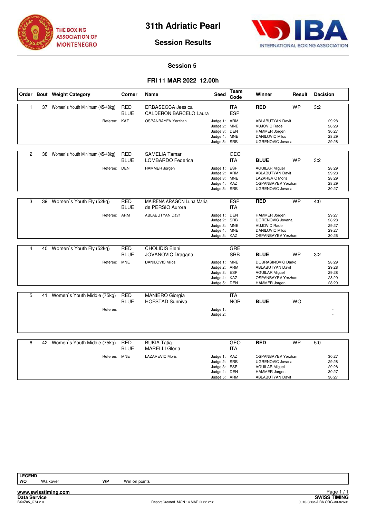



# **Session 5**

# **FRI 11 MAR 2022 12.00h**

|                         |    | Order Bout Weight Category              | Corner                    | <b>Name</b>                                               | <b>Seed</b>                                                                  | Team<br>Code             | Winner                                                                                                                             | Result    | <b>Decision</b> |                                           |
|-------------------------|----|-----------------------------------------|---------------------------|-----------------------------------------------------------|------------------------------------------------------------------------------|--------------------------|------------------------------------------------------------------------------------------------------------------------------------|-----------|-----------------|-------------------------------------------|
| $\mathbf{1}$            |    | 37 Women's Youth Minimum (45-48kg)      | <b>RED</b><br><b>BLUE</b> | <b>ERBASECCA Jessica</b><br><b>CALDERON BARCELO Laura</b> |                                                                              | <b>ITA</b><br><b>ESP</b> | <b>RED</b>                                                                                                                         | <b>WP</b> | 3:2             |                                           |
|                         |    | Referee: KAZ                            |                           | <b>OSPANBAYEV Yerzhan</b>                                 | Judge 1: ARM<br>Judge 2: MNE<br>Judge 3: DEN<br>Judge 4: MNE<br>Judge 5:     | SRB                      | <b>ABLABUTYAN Davit</b><br><b>VUJOVIC Rade</b><br><b>HAMMER Jorgen</b><br><b>DANILOVIC Milos</b><br>UGRENOVIC Jovana               |           |                 | 29:28<br>28:29<br>30:27<br>28:29<br>29:28 |
| $\overline{2}$          | 38 | Women's Youth Minimum (45-48kg)         | <b>RED</b><br><b>BLUE</b> | <b>SAMELIA Tamar</b><br><b>LOMBARDO Federica</b>          |                                                                              | <b>GEO</b><br><b>ITA</b> | <b>BLUE</b>                                                                                                                        | <b>WP</b> | 3:2             |                                           |
|                         |    | Referee: DEN                            |                           | HAMMER Jorgen                                             | Judge 1: ESP<br>Judge 2: ARM<br>Judge 3: MNE<br>Judge 4: KAZ<br>Judge 5: SRB |                          | <b>AGUILAR Miquel</b><br><b>ABLABUTYAN Davit</b><br><b>LAZAREVIC Moris</b><br><b>OSPANBAYEV Yerzhan</b><br><b>UGRENOVIC Jovana</b> |           |                 | 28:29<br>29:28<br>28:29<br>28:29<br>30:27 |
| 3                       | 39 | Women's Youth Fly (52kg)                | <b>RED</b><br><b>BLUE</b> | MAIRENA ARAGON Luna Maria<br>de PERSIO Aurora             |                                                                              | <b>ESP</b><br><b>ITA</b> | <b>RED</b>                                                                                                                         | <b>WP</b> | 4:0             |                                           |
|                         |    | Referee: ARM                            |                           | <b>ABLABUTYAN Davit</b>                                   | Judge 1: DEN<br>Judge 2: SRB<br>Judge 3: MNE<br>Judge 4:<br>Judge 5:         | <b>MNE</b><br>KAZ        | <b>HAMMER Jorgen</b><br><b>UGRENOVIC Jovana</b><br><b>VUJOVIC Rade</b><br><b>DANILOVIC Milos</b><br>OSPANBAYEV Yerzhan             |           |                 | 29:27<br>28:28<br>29:27<br>29:27<br>30:26 |
| $\overline{\mathbf{4}}$ | 40 | Women's Youth Fly (52kg)                | <b>RED</b><br><b>BLUE</b> | <b>CHOLIDIS Eleni</b><br>JOVANOVIC Dragana                |                                                                              | <b>GRE</b><br><b>SRB</b> | <b>BLUE</b>                                                                                                                        | <b>WP</b> | 3:2             |                                           |
|                         |    | Referee: MNE                            |                           | <b>DANILOVIC Milos</b>                                    | Judge 1: MNE<br>Judge 2: ARM<br>Judge 3: ESP<br>Judge 4: KAZ<br>Judge 5: DEN |                          | DOBRASINOVIC Darko<br><b>ABLABUTYAN Davit</b><br><b>AGUILAR Miquel</b><br><b>OSPANBAYEV Yerzhan</b><br>HAMMER Jorgen               |           |                 | 28:29<br>29:28<br>29:28<br>28:29<br>28:29 |
| 5                       | 41 | Women's Youth Middle (75kg)<br>Referee: | <b>RED</b><br><b>BLUE</b> | <b>MANIERO Giorgia</b><br><b>HOFSTAD Sunniva</b>          | Judge 1:                                                                     | <b>ITA</b><br><b>NOR</b> | <b>BLUE</b>                                                                                                                        | <b>WO</b> |                 |                                           |
|                         |    |                                         |                           |                                                           | Judge 2:                                                                     |                          |                                                                                                                                    |           |                 |                                           |
| 6                       |    | 42 Women's Youth Middle (75kg)          | <b>RED</b><br><b>BLUE</b> | <b>BUKIA Tatia</b><br><b>MARELLI Gloria</b>               |                                                                              | <b>GEO</b><br><b>ITA</b> | <b>RED</b>                                                                                                                         | <b>WP</b> | 5:0             |                                           |
|                         |    | Referee: MNE                            |                           | <b>LAZAREVIC Moris</b>                                    | Judge 1: KAZ<br>Judge 2: SRB<br>Judge 3: ESP<br>Judge 4: DEN<br>Judge 5: ARM |                          | OSPANBAYEV Yerzhan<br><b>UGRENOVIC Jovana</b><br><b>AGUILAR Miguel</b><br><b>HAMMER Jorgen</b><br><b>ABLABUTYAN Davit</b>          |           |                 | 30:27<br>29:28<br>29:28<br>30:27<br>30:27 |

**www.swisstiming.com Data Service SWISS TIMING**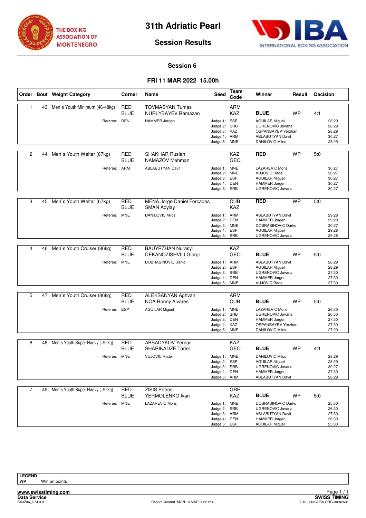



# **Session 6**

# **FRI 11 MAR 2022 15.00h**

|   |    | Order Bout Weight Category                       | Corner                    | Name                                                                 | Seed                                                                     | Team<br>Code             | Winner                                                                                                                    | Result    | <b>Decision</b> |                                           |
|---|----|--------------------------------------------------|---------------------------|----------------------------------------------------------------------|--------------------------------------------------------------------------|--------------------------|---------------------------------------------------------------------------------------------------------------------------|-----------|-----------------|-------------------------------------------|
| 1 |    | 43 Men's Youth Minimum (46-48kg)<br>Referee: DEN | <b>RED</b><br><b>BLUE</b> | <b>TOVMASYAN Tumas</b><br>NURLYBAYEV Ramazan<br><b>HAMMER Jorgen</b> | Judge 1: ESP                                                             | <b>ARM</b><br>KAZ        | <b>BLUE</b><br><b>AGUILAR Miquel</b>                                                                                      | <b>WP</b> | 4:1             | 28:29                                     |
|   |    |                                                  |                           |                                                                      | Judge 2: SRB<br>Judge 3: KAZ<br>Judge 4: ARM<br>Judge 5:                 | <b>MNE</b>               | <b>UGRENOVIC Jovana</b><br>OSPANBAYEV Yerzhan<br><b>ABLABUTYAN Davit</b><br><b>DANILOVIC Milos</b>                        |           |                 | 28:29<br>28:29<br>30:27<br>28:29          |
| 2 | 44 | Men's Youth Welter (67kg)                        | <b>RED</b><br><b>BLUE</b> | <b>SHAKHAR Ruslan</b><br>NAMAZOV Mehman                              |                                                                          | KAZ<br><b>GEO</b>        | <b>RED</b>                                                                                                                | <b>WP</b> | 5:0             |                                           |
|   |    | Referee: ARM                                     |                           | <b>ABLABUTYAN Davit</b>                                              | Judge 1: MNE<br>Judge 2:<br>Judge 3: ESP<br>Judge 4: DEN<br>Judge 5: SRB | <b>MNE</b>               | <b>LAZAREVIC Moris</b><br><b>VUJOVIC Rade</b><br><b>AGUILAR Miguel</b><br><b>HAMMER Jorgen</b><br>UGRENOVIC Jovana        |           |                 | 30:27<br>30:27<br>30:27<br>30:27<br>30:27 |
| 3 |    | 45 Men's Youth Welter (67kg)                     | <b>RED</b><br><b>BLUE</b> | <b>MENA Jorge Daniel Forcades</b><br><b>SMAN Abylay</b>              |                                                                          | <b>CUB</b><br><b>KAZ</b> | <b>RED</b>                                                                                                                | <b>WP</b> | 5:0             |                                           |
|   |    | Referee:                                         | <b>MNE</b>                | <b>DANILOVIC Milos</b>                                               | Judge 1: ARM<br>Judge 2: DEN<br>Judge 3: MNE<br>Judge 4:<br>Judge 5: SRB | ESP                      | <b>ABLABUTYAN Davit</b><br><b>HAMMER Jorgen</b><br>DOBRASINOVIC Darko<br><b>AGUILAR Miguel</b><br>UGRENOVIC Jovana        |           |                 | 29:28<br>29:28<br>30:27<br>29:28<br>29:28 |
| 4 | 46 | Men's Youth Cruiser (86kg)                       | <b>RED</b>                | <b>BAUYRZHAN Nurasyl</b>                                             |                                                                          | <b>KAZ</b>               |                                                                                                                           |           |                 |                                           |
|   |    |                                                  | <b>BLUE</b>               | DEKANOZISHVILI Giorgi                                                |                                                                          | GEO                      | <b>BLUE</b>                                                                                                               | WP        | 5:0             |                                           |
|   |    | Referee: MNE                                     |                           | DOBRASINOVIC Darko                                                   | Judge 1: ARM<br>Judge 2:<br>Judge 3: SRB<br>Judge 4: DEN<br>Judge 5: MNE | ESP                      | <b>ABLABUTYAN Davit</b><br><b>AGUILAR Miguel</b><br>UGRENOVIC Jovana<br><b>HAMMER Jorgen</b><br><b>VUJOVIC Rade</b>       |           |                 | 28:29<br>28:29<br>27:30<br>27:30<br>27:30 |
| 5 | 47 | Men's Youth Cruiser (86kg)                       | <b>RED</b><br><b>BLUE</b> | ALEKSANYAN Aghvan<br><b>NOA Ronny Alvares</b>                        |                                                                          | <b>ARM</b><br><b>CUB</b> | <b>BLUE</b>                                                                                                               | WP        | 5:0             |                                           |
|   |    | Referee:                                         | <b>ESP</b>                | <b>AGUILAR Miguel</b>                                                | Judge 1: MNE<br>Judge 2: SRB<br>Judge 3: DEN<br>Judge 4: KAZ<br>Judge 5: | <b>MNE</b>               | <b>LAZAREVIC Moris</b><br><b>UGRENOVIC Jovana</b><br><b>HAMMER Jorgen</b><br>OSPANBAYEV Yerzhan<br><b>DANILOVIC Milos</b> |           |                 | 26:30<br>26:30<br>27:30<br>27:30<br>27:29 |
| 6 | 48 | Men's Youth Super Haevy (+92kg)                  | <b>RED</b>                | <b>ABSADYKOV Yernar</b>                                              |                                                                          | KAZ                      |                                                                                                                           |           |                 |                                           |
|   |    |                                                  | <b>BLUE</b>               | <b>SHARIKADZE Tariel</b>                                             |                                                                          | <b>GEO</b>               | <b>BLUE</b>                                                                                                               | WP        | 4:1             |                                           |
|   |    | Referee: MNE                                     |                           | <b>VUJOVIC Rade</b>                                                  | Judge 1: MNE<br>Judge 2:<br>Judge 3: SRB<br>Judge 4: DEN<br>Judge 5: ARM | <b>ESP</b>               | <b>DANILOVIC Milos</b><br><b>AGUILAR Miguel</b><br>UGRENOVIC Jovana<br>HAMMER Jorgen<br><b>ABLABUTYAN Davit</b>           |           |                 | 28:29<br>28:29<br>30:27<br>27:30<br>28:29 |
| 7 |    | 49 Men's Youth Super Haevy (+92kg)               | RED                       | <b>ZISIS Petros</b>                                                  |                                                                          | GRE                      |                                                                                                                           |           |                 |                                           |
|   |    |                                                  | <b>BLUE</b>               | YERMOLENKO Ivan                                                      |                                                                          | KAZ                      | <b>BLUE</b>                                                                                                               | WP        | 5:0             |                                           |
|   |    | Referee:                                         | <b>MNE</b>                | <b>LAZAREVIC Moris</b>                                               | Judge 1: MNE<br>Judge 2:<br>Judge 3: ARM<br>Judge 4: DEN<br>Judge 5: ESP | SRB                      | DOBRASINOVIC Darko<br>UGRENOVIC Jovana<br><b>ABLABUTYAN Davit</b><br><b>HAMMER Jorgen</b><br><b>AGUILAR Miguel</b>        |           |                 | 25:30<br>26:30<br>27:30<br>26:30<br>25:30 |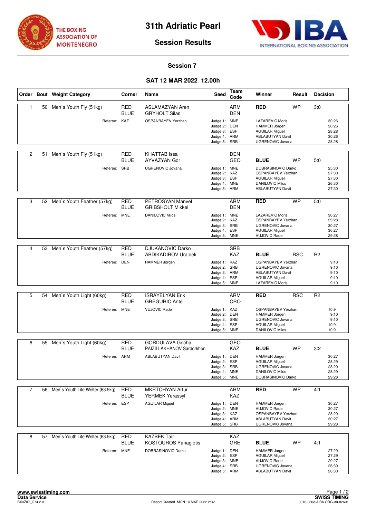



### **Session 7**

# **SAT 12 MAR 2022 12.00h**

|   |    | Order Bout Weight Category          | Corner                    | Name                                              | Seed                                                                         | Team<br>Code             | Winner                                                                                                                             | Result     | <b>Decision</b> |                                           |
|---|----|-------------------------------------|---------------------------|---------------------------------------------------|------------------------------------------------------------------------------|--------------------------|------------------------------------------------------------------------------------------------------------------------------------|------------|-----------------|-------------------------------------------|
| 1 | 50 | Men's Youth Fly (51kg)              | <b>RED</b><br><b>BLUE</b> | <b>ASLAMAZYAN Aren</b><br><b>GRYHOLT Silas</b>    |                                                                              | ARM<br><b>DEN</b>        | <b>RED</b>                                                                                                                         | <b>WP</b>  | 3:0             |                                           |
|   |    | Referee: KAZ                        |                           | <b>OSPANBAYEV Yerzhan</b>                         | Judge 1: MNE<br>Judge 2: DEN<br>Judge 3: ESP<br>Judge 4: ARM<br>Judge 5: SRB |                          | <b>LAZAREVIC Moris</b><br>HAMMER Jorgen<br><b>AGUILAR Miguel</b><br><b>ABLABUTYAN Davit</b><br><b>UGRENOVIC Jovana</b>             |            |                 | 30:26<br>30:26<br>28:28<br>30:26<br>28:28 |
| 2 | 51 | Men's Youth Fly (51kg)              | <b>RED</b><br><b>BLUE</b> | <b>KHATTAB</b> Issa<br>AYVAZYAN Gor               |                                                                              | <b>DEN</b><br><b>GEO</b> | <b>BLUE</b>                                                                                                                        | <b>WP</b>  | 5:0             |                                           |
|   |    | Referee: SRB                        |                           | <b>UGRENOVIC Jovana</b>                           | Judge 1: MNE<br>Judge 2: KAZ<br>Judge 3: ESP<br>Judge 4: MNE<br>Judge 5: ARM |                          | DOBRASINOVIC Darko<br>OSPANBAYEV Yerzhan<br><b>AGUILAR Miguel</b><br><b>DANILOVIC Milos</b><br><b>ABLABUTYAN Davit</b>             |            |                 | 25:30<br>27:30<br>27:30<br>26:30<br>27:30 |
| 3 | 52 | Men's Youth Feather (57kg)          | <b>RED</b><br><b>BLUE</b> | PETROSYAN Manvel<br><b>GRIBSHOLT Mikkel</b>       |                                                                              | <b>ARM</b><br><b>DEN</b> | <b>RED</b>                                                                                                                         | <b>WP</b>  | 5:0             |                                           |
|   |    | Referee: MNE                        |                           | <b>DANILOVIC Milos</b>                            | Judge 1: MNE<br>Judge 2: KAZ<br>Judge 3: SRB<br>Judge 4: ESP<br>Judge 5: MNE |                          | <b>LAZAREVIC Moris</b><br><b>OSPANBAYEV Yerzhan</b><br><b>UGRENOVIC Jovana</b><br><b>AGUILAR Miguel</b><br><b>VUJOVIC Rade</b>     |            |                 | 30:27<br>29:28<br>30:27<br>30:27<br>29:28 |
| 4 |    |                                     | <b>RED</b>                | <b>DJUKANOVIC Darko</b>                           |                                                                              |                          |                                                                                                                                    |            |                 |                                           |
|   |    | 53 Men's Youth Feather (57kg)       | <b>BLUE</b>               | <b>ABDIKADIROV Uralbek</b>                        |                                                                              | <b>SRB</b><br><b>KAZ</b> | <b>BLUE</b>                                                                                                                        | <b>RSC</b> | R <sub>2</sub>  |                                           |
|   |    | Referee: DEN                        |                           | HAMMER Jorgen                                     | Judge 1: KAZ<br>Judge 2: SRB<br>Judge 3: ARM<br>Judge 4: ESP<br>Judge 5: MNE |                          | <b>OSPANBAYEV Yerzhan</b><br><b>UGRENOVIC Jovana</b><br><b>ABLABUTYAN Davit</b><br><b>AGUILAR Miguel</b><br><b>LAZAREVIC Moris</b> |            |                 | 9:10<br>9:10<br>9:10<br>9:10<br>9:10      |
|   |    |                                     |                           |                                                   |                                                                              |                          |                                                                                                                                    |            |                 |                                           |
| 5 | 54 | Men's Youth Light (60kg)            | <b>RED</b><br><b>BLUE</b> | <b>ISRAYELYAN Erik</b><br><b>GREGURIC Ante</b>    |                                                                              | ARM<br>CRO               | <b>RED</b>                                                                                                                         | <b>RSC</b> | R <sub>2</sub>  |                                           |
|   |    | Referee: MNE                        |                           | <b>VUJOVIC Rade</b>                               | Judge 1: KAZ<br>Judge 2: DEN<br>Judge 3: SRB<br>Judge 4: ESP<br>Judge 5: MNE |                          | <b>OSPANBAYEV Yerzhan</b><br><b>HAMMER Jorgen</b><br>UGRENOVIC Jovana<br><b>AGUILAR Miguel</b><br><b>DANILOVIC Milos</b>           |            |                 | 10:9<br>9:10<br>9:10<br>10:9<br>10:9      |
| 6 | 55 | Men's Youth Light (60kg)            | <b>RED</b>                | <b>GORDULAVA Gocha</b>                            |                                                                              | <b>GEO</b>               |                                                                                                                                    |            |                 |                                           |
|   |    |                                     | <b>BLUE</b>               | PAIZILLAKHANOV Sardorkhon                         |                                                                              | KAZ                      | <b>BLUE</b>                                                                                                                        | <b>WP</b>  | 3:2             |                                           |
|   |    | Referee: ARM                        |                           | <b>ABLABUTYAN Davit</b>                           | Judge 1: DEN<br>Judge 2: ESP<br>Judge 3: SRB<br>Judge 4: MNE<br>Judge 5: MNE |                          | <b>HAMMER Jorgen</b><br><b>AGUILAR Miguel</b><br><b>UGRENOVIC Jovana</b><br><b>DANILOVIC Milos</b><br>DOBRASINOVIC Darko           |            |                 | 30:27<br>28:29<br>28:29<br>28:29<br>29:28 |
| 7 | 56 | Men's Youth Lite Welter (63.5kg)    | <b>RED</b>                | <b>MKRTCHYAN Artur</b>                            |                                                                              | <b>ARM</b>               | <b>RED</b>                                                                                                                         | <b>WP</b>  | 4:1             |                                           |
|   |    | Referee: ESP                        | <b>BLUE</b>               | <b>YERMEK Yerassyl</b><br><b>AGUILAR Miguel</b>   | Judge 1: DEN<br>Judge 2: MNE<br>Judge 3: KAZ<br>Judge 4: ARM<br>Judge 5: SRB | KAZ                      | <b>HAMMER Jorgen</b><br><b>VUJOVIC Rade</b><br>OSPANBAYEV Yerzhan<br><b>ABLABUTYAN Davit</b><br>UGRENOVIC Jovana                   |            |                 | 30:27<br>30:27<br>28:29<br>30:27<br>29:28 |
| 8 |    | 57 Men's Youth Lite Welter (63.5kg) | <b>RED</b><br><b>BLUE</b> | <b>KAZBEK Tair</b><br><b>KOSTOUROS Panagiotis</b> |                                                                              | KAZ<br>GRE               | <b>BLUE</b>                                                                                                                        | <b>WP</b>  | 4:1             |                                           |
|   |    | Referee: MNE                        |                           | DOBRASINOVIC Darko                                | Judge 1: DEN<br>Judge 2: ESP<br>Judge 3: MNE<br>Judge 4: SRB<br>Judge 5: ARM |                          | <b>HAMMER Jorgen</b><br><b>AGUILAR Miguel</b><br><b>VUJOVIC Rade</b><br>UGRENOVIC Jovana<br><b>ABLABUTYAN Davit</b>                |            |                 | 27:29<br>27:29<br>29:27<br>26:30<br>26:30 |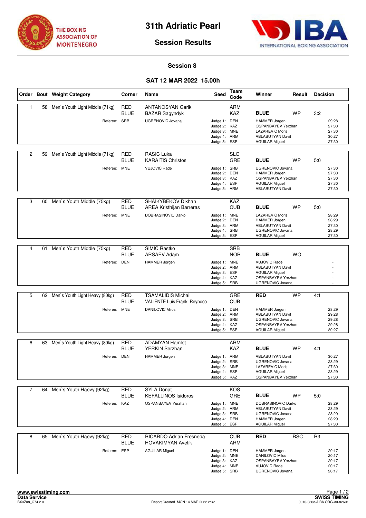



# **Session 8**

# **SAT 12 MAR 2022 15.00h**

|                |    | Order Bout Weight Category        | Corner                    | Name                                                            | Seed                                                                         | Team<br>Code             | Winner                                                                                                                        | Result     | <b>Decision</b> |                                           |
|----------------|----|-----------------------------------|---------------------------|-----------------------------------------------------------------|------------------------------------------------------------------------------|--------------------------|-------------------------------------------------------------------------------------------------------------------------------|------------|-----------------|-------------------------------------------|
| $\mathbf{1}$   | 58 | Men's Youth Light Middle (71kg)   | <b>RED</b><br><b>BLUE</b> | <b>ANTANOSYAN Garik</b><br><b>BAZAR Sagyndyk</b>                |                                                                              | <b>ARM</b><br><b>KAZ</b> | <b>BLUE</b>                                                                                                                   | <b>WP</b>  | 3:2             |                                           |
|                |    | Referee: SRB                      |                           | <b>UGRENOVIC Jovana</b>                                         | Judge 1: DEN<br>Judge 2: KAZ<br>Judge 3: MNE<br>Judge 4: ARM<br>Judge 5:     | ESP                      | <b>HAMMER Jorgen</b><br>OSPANBAYEV Yerzhan<br><b>LAZAREVIC Moris</b><br><b>ABLABUTYAN Davit</b><br><b>AGUILAR Miguel</b>      |            |                 | 29:28<br>27:30<br>27:30<br>30:27<br>27:30 |
| $\overline{c}$ | 59 | Men's Youth Light Middle (71kg)   | RED<br><b>BLUE</b>        | <b>RASIC Luka</b><br><b>KARAITIS Christos</b>                   |                                                                              | <b>SLO</b><br><b>GRE</b> | <b>BLUE</b>                                                                                                                   | <b>WP</b>  | 5:0             |                                           |
|                |    | Referee: MNE                      |                           | <b>VUJOVIC Rade</b>                                             | Judge 1: SRB<br>Judge 2:<br>Judge 3: KAZ<br>Judge 4: ESP<br>Judge 5: ARM     | DEN                      | <b>UGRENOVIC Jovana</b><br><b>HAMMER Jorgen</b><br>OSPANBAYEV Yerzhan<br><b>AGUILAR Miguel</b><br><b>ABLABUTYAN Davit</b>     |            |                 | 27:30<br>27:30<br>27:30<br>27:30<br>27:30 |
| 3              | 60 | Men's Youth Middle (75kg)         | <b>RED</b><br><b>BLUE</b> | SHAIKYBEKOV Dikhan<br><b>AREA Kristhijan Barreras</b>           |                                                                              | <b>KAZ</b><br><b>CUB</b> | <b>BLUE</b>                                                                                                                   | <b>WP</b>  | 5:0             |                                           |
|                |    | Referee:                          | <b>MNE</b>                | DOBRASINOVIC Darko                                              | Judge 1: MNE<br>Judge 2:<br>Judge 3: ARM<br>Judge 4:<br>Judge 5:             | <b>DEN</b><br>SRB<br>ESP | <b>LAZAREVIC Moris</b><br><b>HAMMER Jorgen</b><br><b>ABLABUTYAN Davit</b><br><b>UGRENOVIC Jovana</b><br><b>AGUILAR Miguel</b> |            |                 | 28:29<br>28:29<br>27:30<br>28:29<br>27:30 |
|                |    |                                   |                           |                                                                 |                                                                              |                          |                                                                                                                               |            |                 |                                           |
| 4              | 61 | Men's Youth Middle (75kg)         | <b>RED</b><br><b>BLUE</b> | SIMIC Rastko<br><b>ARSAEV Adam</b>                              |                                                                              | <b>SRB</b><br><b>NOR</b> | <b>BLUE</b>                                                                                                                   | <b>WO</b>  |                 |                                           |
|                |    | Referee: DEN                      |                           | <b>HAMMER Jorgen</b>                                            | Judge 1: MNE<br>Judge 2: ARM<br>Judge 3: ESP<br>Judge 4: KAZ<br>Judge 5: SRB |                          | <b>VUJOVIC Rade</b><br><b>ABLABUTYAN Davit</b><br><b>AGUILAR Miguel</b><br>OSPANBAYEV Yerzhan<br>UGRENOVIC Jovana             |            |                 |                                           |
|                |    |                                   |                           |                                                                 |                                                                              |                          |                                                                                                                               |            |                 |                                           |
| 5              |    | 62 Men's Youth Light Heavy (80kg) | <b>RED</b><br><b>BLUE</b> | <b>TSAMALIDIS Michail</b><br><b>VALIENTE Luis Frank Reynoso</b> |                                                                              | <b>GRE</b><br><b>CUB</b> | <b>RED</b>                                                                                                                    | <b>WP</b>  | 4:1             |                                           |
|                |    | Referee: MNE                      |                           | <b>DANILOVIC Milos</b>                                          | Judge 1: DEN<br>Judge 2: ARM<br>Judge 3: SRB<br>Judge 4: KAZ<br>Judge 5:     | ESP                      | <b>HAMMER Jorgen</b><br><b>ABLABUTYAN Davit</b><br><b>UGRENOVIC Jovana</b><br>OSPANBAYEV Yerzhan<br><b>AGUILAR Miguel</b>     |            |                 | 28:29<br>29:28<br>29:28<br>29:28<br>30:27 |
| 6              | 63 | Men's Youth Light Heavy (80kg)    | <b>RED</b>                | <b>ADAMYAN Hamlet</b>                                           |                                                                              | <b>ARM</b>               |                                                                                                                               |            |                 |                                           |
|                |    |                                   | <b>BLUE</b>               | YERKIN Serzhan                                                  |                                                                              | <b>KAZ</b>               | <b>BLUE</b>                                                                                                                   | <b>WP</b>  | 4:1             |                                           |
|                |    | Referee: DEN                      |                           | <b>HAMMER</b> Jorgen                                            | Judge 1: ARM<br>Judge 2:<br>Judge 3: MNE<br>Judge 4: ESP<br>Judge 5: KAZ     | SRB                      | <b>ABLABUTYAN Davit</b><br><b>UGRENOVIC Jovana</b><br><b>LAZAREVIC Moris</b><br><b>AGUILAR Miguel</b><br>OSPANBAYEV Yerzhan   |            |                 | 30:27<br>28:29<br>27:30<br>28:29<br>27:30 |
| $\overline{7}$ |    | 64 Men's Youth Haevy (92kg)       | RED                       | <b>SYLA Donat</b>                                               |                                                                              | KOS                      |                                                                                                                               |            |                 |                                           |
|                |    |                                   | <b>BLUE</b>               | <b>KEFALLINOS Isidoros</b>                                      |                                                                              | GRE                      | <b>BLUE</b>                                                                                                                   | <b>WP</b>  | 5:0             |                                           |
|                |    | Referee:                          | KAZ                       | <b>OSPANBAYEV Yerzhan</b>                                       | Judge 1: MNE<br>Judge 2: ARM<br>Judge 3: SRB<br>Judge 4: DEN<br>Judge 5: ESP |                          | DOBRASINOVIC Darko<br><b>ABLABUTYAN Davit</b><br><b>UGRENOVIC Jovana</b><br><b>HAMMER Jorgen</b><br><b>AGUILAR Miguel</b>     |            |                 | 28:29<br>28:29<br>28:29<br>28:29<br>27:30 |
| 8              | 65 | Men's Youth Haevy (92kg)          | <b>RED</b><br><b>BLUE</b> | RICARDO Adrian Fresneda<br><b>HOVAKIMYAN Avetik</b>             |                                                                              | <b>CUB</b><br>ARM        | <b>RED</b>                                                                                                                    | <b>RSC</b> | R <sub>3</sub>  |                                           |
|                |    | Referee: ESP                      |                           | <b>AGUILAR Miguel</b>                                           | Judge 1: DEN<br>Judge 2: MNE<br>Judge 3: KAZ<br>Judge 4: MNE<br>Judge 5: SRB |                          | <b>HAMMER Jorgen</b><br><b>DANILOVIC Milos</b><br>OSPANBAYEV Yerzhan<br><b>VUJOVIC Rade</b><br>UGRENOVIC Jovana               |            |                 | 20:17<br>20:17<br>20:17<br>20:17<br>20:17 |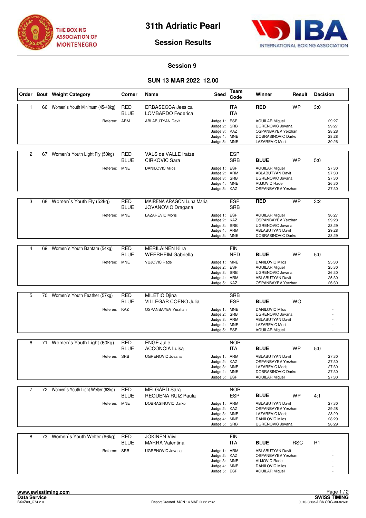



# **Session 9**

# **SUN 13 MAR 2022 12.00**

|                |    | Order Bout Weight Category           | Corner                    | Name                                                  | Seed                                                                         | Team<br>Code             | Winner                                                                                                                          | Result     | <b>Decision</b> |                                           |
|----------------|----|--------------------------------------|---------------------------|-------------------------------------------------------|------------------------------------------------------------------------------|--------------------------|---------------------------------------------------------------------------------------------------------------------------------|------------|-----------------|-------------------------------------------|
| $\mathbf{1}$   | 66 | Women's Youth Minimum (45-48kg)      | <b>RED</b><br><b>BLUE</b> | <b>ERBASECCA Jessica</b><br>LOMBARDO Federica         |                                                                              | <b>ITA</b><br><b>ITA</b> | <b>RED</b>                                                                                                                      | <b>WP</b>  | 3:0             |                                           |
|                |    | Referee: ARM                         |                           | <b>ABLABUTYAN Davit</b>                               | Judge 1: ESP<br>Judge 2: SRB<br>Judge 3: KAZ<br>Judge 4: MNE<br>Judge 5:     | MNE                      | <b>AGUILAR Miquel</b><br>UGRENOVIC Jovana<br><b>OSPANBAYEV Yerzhan</b><br>DOBRASINOVIC Darko<br><b>LAZAREVIC Moris</b>          |            |                 | 29:27<br>29:27<br>28:28<br>28:28<br>30:26 |
| $\overline{c}$ | 67 | Women's Youth Light Fly (50kg)       | RED<br><b>BLUE</b>        | VALS de VALLE Iratze<br><b>CIRKOVIC Sara</b>          |                                                                              | <b>ESP</b><br><b>SRB</b> | <b>BLUE</b>                                                                                                                     | <b>WP</b>  | 5:0             |                                           |
|                |    | Referee: MNE                         |                           | <b>DANILOVIC Milos</b>                                | Judge 1: ESP<br>Judge 2: ARM<br>Judge 3: SRB<br>Judge 4: MNE<br>Judge 5: KAZ |                          | <b>AGUILAR Miguel</b><br>ABLABUTYAN Davit<br><b>UGRENOVIC Jovana</b><br><b>VUJOVIC Rade</b><br>OSPANBAYEV Yerzhan               |            |                 | 27:30<br>27:30<br>27:30<br>26:30<br>27:30 |
| 3              |    | 68 Women's Youth Fly (52kg)          | <b>RED</b><br><b>BLUE</b> | MAIRENA ARAGON Luna Maria<br><b>JOVANOVIC Dragana</b> |                                                                              | <b>ESP</b><br><b>SRB</b> | <b>RED</b>                                                                                                                      | <b>WP</b>  | 3:2             |                                           |
|                |    | Referee:                             | <b>MNE</b>                | <b>LAZAREVIC Moris</b>                                | Judge 1: ESP<br>Judge 2: KAZ<br>Judge 3: SRB<br>Judge 4: ARM<br>Judge 5: MNE |                          | <b>AGUILAR Miguel</b><br>OSPANBAYEV Yerzhan<br><b>UGRENOVIC Jovana</b><br><b>ABLABUTYAN Davit</b><br>DOBRASINOVIC Darko         |            |                 | 30:27<br>29:28<br>28:29<br>29:28<br>28:29 |
|                |    |                                      |                           |                                                       |                                                                              |                          |                                                                                                                                 |            |                 |                                           |
| 4              | 69 | Women's Youth Bantam (54kg)          | <b>RED</b><br><b>BLUE</b> | <b>MERILAINEN Kiira</b><br><b>WEERHEIM Gabriella</b>  |                                                                              | <b>FIN</b><br><b>NED</b> | <b>BLUE</b>                                                                                                                     | <b>WP</b>  | 5:0             |                                           |
|                |    | Referee: MNE                         |                           | <b>VUJOVIC Rade</b>                                   | Judge 1: MNE<br>Judge 2:<br>Judge 3: SRB<br>Judge 4: ARM<br>Judge 5:         | ESP<br>KAZ               | <b>DANILOVIC Milos</b><br><b>AGUILAR Miguel</b><br>UGRENOVIC Jovana<br><b>ABLABUTYAN Davit</b><br>OSPANBAYEV Yerzhan            |            |                 | 25:30<br>25:30<br>26:30<br>25:30<br>26:30 |
|                |    |                                      |                           |                                                       |                                                                              |                          |                                                                                                                                 |            |                 |                                           |
| 5              |    | 70 Women's Youth Feather (57kg)      | <b>RED</b><br><b>BLUE</b> | <b>MILETIC Djina</b><br>VILLEGAR COENO Julia          |                                                                              | <b>SRB</b><br><b>ESP</b> | <b>BLUE</b>                                                                                                                     | <b>WO</b>  |                 |                                           |
|                |    | Referee: KAZ                         |                           | OSPANBAYEV Yerzhan                                    | Judge 1: MNE<br>Judge 2: SRB<br>Judge 3: ARM<br>Judge 4: MNE<br>Judge 5:     | ESP                      | <b>DANILOVIC Milos</b><br><b>UGRENOVIC Jovana</b><br><b>ABLABUTYAN Davit</b><br><b>LAZAREVIC Moris</b><br><b>AGUILAR Miguel</b> |            |                 |                                           |
| 6              | 71 | Women's Youth Light (60kg)           | <b>RED</b>                | <b>ENGE Julie</b>                                     |                                                                              | <b>NOR</b>               |                                                                                                                                 |            |                 |                                           |
|                |    |                                      | <b>BLUE</b>               | <b>ACCONCIA Luisa</b>                                 |                                                                              | <b>ITA</b>               | <b>BLUE</b>                                                                                                                     | <b>WP</b>  | 5:0             |                                           |
|                |    | Referee: SRB                         |                           | <b>UGRENOVIC Jovana</b>                               | Judge 1: ARM<br>Judge 2: KAZ<br>Judge 3: MNE<br>Judge 4: MNE<br>Judge 5: ESP |                          | <b>ABLABUTYAN Davit</b><br>OSPANBAYEV Yerzhan<br><b>LAZAREVIC Moris</b><br>DOBRASINOVIC Darko<br><b>AGUILAR Miguel</b>          |            |                 | 27:30<br>27:30<br>27:30<br>27:30<br>27:30 |
| $\overline{7}$ |    | 72 Women's Youth Light Welter (63kg) | RED                       | MELGÅRD Sara                                          |                                                                              | <b>NOR</b>               |                                                                                                                                 |            |                 |                                           |
|                |    |                                      | <b>BLUE</b>               | <b>REQUENA RUIZ Paula</b>                             |                                                                              | <b>ESP</b>               | <b>BLUE</b>                                                                                                                     | <b>WP</b>  | 4:1             |                                           |
|                |    | Referee: MNE                         |                           | DOBRASINOVIC Darko                                    | Judge 1: ARM<br>Judge 2: KAZ<br>Judge 3: MNE<br>Judge 4: MNE<br>Judge 5: SRB |                          | <b>ABLABUTYAN Davit</b><br><b>OSPANBAYEV Yerzhan</b><br><b>LAZAREVIC Moris</b><br><b>DANILOVIC Milos</b><br>UGRENOVIC Jovana    |            |                 | 27:30<br>29:28<br>28:29<br>28:29<br>28:29 |
| 8              | 73 | Women's Youth Welter (66kg)          | <b>RED</b><br><b>BLUE</b> | <b>JOKINEN Viivi</b><br><b>MARRA Valentina</b>        |                                                                              | <b>FIN</b><br>ITA        | <b>BLUE</b>                                                                                                                     | <b>RSC</b> | R <sub>1</sub>  |                                           |
|                |    | Referee: SRB                         |                           | UGRENOVIC Jovana                                      | Judge 1: ARM<br>Judge 2: KAZ<br>Judge 3: MNE<br>Judge 4: MNE<br>Judge 5: ESP |                          | <b>ABLABUTYAN Davit</b><br><b>OSPANBAYEV Yerzhan</b><br><b>VUJOVIC Rade</b><br><b>DANILOVIC Milos</b><br><b>AGUILAR Miguel</b>  |            |                 |                                           |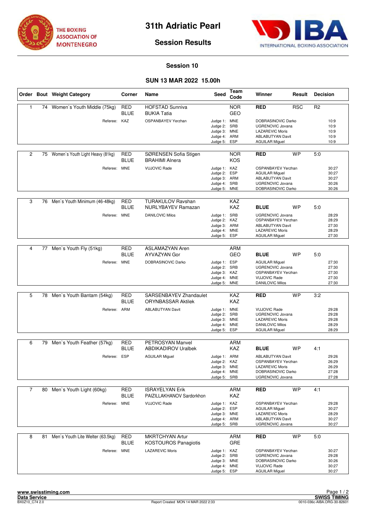



### **Session 10**

# **SUN 13 MAR 2022 15.00h**

|                |    | Order Bout Weight Category       | Corner                    | Name                                                  | <b>Seed</b>                                                                  | <b>Team</b><br>Code             | Winner                                                                                                                      | Result     | <b>Decision</b> |                                           |
|----------------|----|----------------------------------|---------------------------|-------------------------------------------------------|------------------------------------------------------------------------------|---------------------------------|-----------------------------------------------------------------------------------------------------------------------------|------------|-----------------|-------------------------------------------|
| $\mathbf{1}$   |    | 74 Women's Youth Middle (75kg)   | <b>RED</b><br><b>BLUE</b> | <b>HOFSTAD Sunniva</b><br><b>BUKIA Tatia</b>          |                                                                              | <b>NOR</b><br><b>GEO</b>        | <b>RED</b>                                                                                                                  | <b>RSC</b> | R <sub>2</sub>  |                                           |
|                |    | Referee: KAZ                     |                           | OSPANBAYEV Yerzhan                                    | Judge 1: MNE<br>Judge 2: SRB<br>Judge 3:<br>Judge 4:<br>Judge 5:             | <b>MNE</b><br>ARM<br><b>ESP</b> | DOBRASINOVIC Darko<br><b>UGRENOVIC Jovana</b><br><b>LAZAREVIC Moris</b><br><b>ABLABUTYAN Davit</b><br><b>AGUILAR Miguel</b> |            |                 | 10:9<br>10:9<br>10:9<br>10:9<br>10:9      |
| $\overline{2}$ | 75 | Women's Youth Light Heavy (81kg) | RED<br><b>BLUE</b>        | SØRENSEN Sofia Stigen<br><b>BRAHIMI Alnera</b>        |                                                                              | <b>NOR</b><br><b>KOS</b>        | RED                                                                                                                         | <b>WP</b>  | 5:0             |                                           |
|                |    | Referee: MNE                     |                           | <b>VUJOVIC Rade</b>                                   | Judge 1: KAZ<br>Judge 2:<br>Judge 3: ARM<br>Judge 4: SRB<br>Judge 5: MNE     | ESP                             | OSPANBAYEV Yerzhan<br><b>AGUILAR Miguel</b><br><b>ABLABUTYAN Davit</b><br><b>UGRENOVIC Jovana</b><br>DOBRASINOVIC Darko     |            |                 | 30:27<br>30:27<br>30:27<br>30:26<br>30:26 |
| 3              |    | 76 Men's Youth Minimum (46-48kg) | <b>RED</b><br><b>BLUE</b> | <b>TURAKULOV Ravshan</b><br><b>NURLYBAYEV Ramazan</b> |                                                                              | <b>KAZ</b><br>KAZ               | <b>BLUE</b>                                                                                                                 | <b>WP</b>  | 5:0             |                                           |
|                |    | Referee: MNE                     |                           | <b>DANILOVIC Milos</b>                                | Judge 1: SRB<br>Judge 2: KAZ<br>Judge 3: ARM<br>Judge 4:<br>Judge 5:         | MNE<br>ESP                      | <b>UGRENOVIC Jovana</b><br>OSPANBAYEV Yerzhan<br><b>ABLABUTYAN Davit</b><br><b>LAZAREVIC Moris</b><br><b>AGUILAR Miguel</b> |            |                 | 28:29<br>28:29<br>27:30<br>28:29<br>27:30 |
|                |    |                                  |                           |                                                       |                                                                              |                                 |                                                                                                                             |            |                 |                                           |
| $\overline{4}$ | 77 | Men's Youth Fly (51kg)           | <b>RED</b><br><b>BLUE</b> | <b>ASLAMAZYAN Aren</b><br>AYVAZYAN Gor                |                                                                              | ARM<br>GEO                      | <b>BLUE</b>                                                                                                                 | <b>WP</b>  | 5:0             |                                           |
|                |    | Referee: MNE                     |                           | DOBRASINOVIC Darko                                    | Judge 1: ESP<br>Judge 2: SRB<br>Judge 3: KAZ<br>Judge 4: MNE<br>Judge 5: MNE |                                 | <b>AGUILAR Miguel</b><br><b>UGRENOVIC Jovana</b><br>OSPANBAYEV Yerzhan<br><b>VUJOVIC Rade</b><br><b>DANILOVIC Milos</b>     |            |                 | 27:30<br>27:30<br>27:30<br>27:30<br>27:30 |
|                |    |                                  |                           |                                                       |                                                                              |                                 |                                                                                                                             |            |                 |                                           |
| 5              |    | 78 Men's Youth Bantam (54kg)     | <b>RED</b><br>BLUE        | SARSENBAYEV Zhandaulet<br><b>ORYNBASSAR Aktilek</b>   |                                                                              | KAZ<br><b>KAZ</b>               | <b>RED</b>                                                                                                                  | <b>WP</b>  | 3:2             |                                           |
|                |    | Referee: ARM                     |                           | <b>ABLABUTYAN Davit</b>                               | Judge 1: MNE<br>Judge 2: SRB<br>Judge 3:<br>Judge 4:<br>Judge 5:             | <b>MNE</b><br><b>MNE</b><br>ESP | <b>VUJOVIC Rade</b><br><b>UGRENOVIC Jovana</b><br><b>LAZAREVIC Moris</b><br><b>DANILOVIC Milos</b><br><b>AGUILAR Miguel</b> |            |                 | 29:28<br>29:28<br>29:28<br>28:29<br>28:29 |
|                |    |                                  |                           |                                                       |                                                                              |                                 |                                                                                                                             |            |                 |                                           |
| 6              | 79 | Men's Youth Feather (57kg)       | RED<br><b>BLUE</b>        | PETROSYAN Manvel<br><b>ABDIKADIROV Uralbek</b>        |                                                                              | <b>ARM</b><br>KAZ               | <b>BLUE</b>                                                                                                                 | <b>WP</b>  | 4:1             |                                           |
|                |    | Referee: ESP                     |                           | <b>AGUILAR Miguel</b>                                 | Judge 1: ARM<br>Judge 2:<br>Judge 3: MNE<br>Judge 4: MNE<br>Judge 5: SRB     | KAZ                             | <b>ABLABUTYAN Davit</b><br>OSPANBAYEV Yerzhan<br><b>LAZAREVIC Moris</b><br>DOBRASINOVIC Darko<br>UGRENOVIC Jovana           |            |                 | 29:26<br>26:29<br>26:29<br>27:28<br>27:28 |
| $\overline{7}$ |    | 80 Men's Youth Light (60kg)      | <b>RED</b><br><b>BLUE</b> | <b>ISRAYELYAN Erik</b><br>PAIZILLAKHANOV Sardorkhon   |                                                                              | <b>ARM</b><br>KAZ               | <b>RED</b>                                                                                                                  | <b>WP</b>  | 4:1             |                                           |
|                |    | Referee: MNE                     |                           | <b>VUJOVIC Rade</b>                                   | Judge 1: KAZ<br>Judge 2: ESP<br>Judge 3: MNE<br>Judge 4: ARM<br>Judge 5: SRB |                                 | OSPANBAYEV Yerzhan<br><b>AGUILAR Miguel</b><br><b>LAZAREVIC Moris</b><br><b>ABLABUTYAN Davit</b><br><b>UGRENOVIC Jovana</b> |            |                 | 29:28<br>30:27<br>28:29<br>30:27<br>30:27 |
| 8              | 81 | Men's Youth Lite Welter (63.5kg) | RED<br>BLUE               | <b>MKRTCHYAN Artur</b><br><b>KOSTOUROS Panagiotis</b> |                                                                              | <b>ARM</b><br>GRE               | RED                                                                                                                         | <b>WP</b>  | 5:0             |                                           |
|                |    | Referee: MNE                     |                           | <b>LAZAREVIC Moris</b>                                | Judge 1: KAZ<br>Judge 2: SRB<br>Judge 3: MNE<br>Judge 4: MNE<br>Judge 5: ESP |                                 | OSPANBAYEV Yerzhan<br>UGRENOVIC Jovana<br>DOBRASINOVIC Darko<br><b>VUJOVIC Rade</b><br><b>AGUILAR Miguel</b>                |            |                 | 30:27<br>29:28<br>30:26<br>30:27<br>30:27 |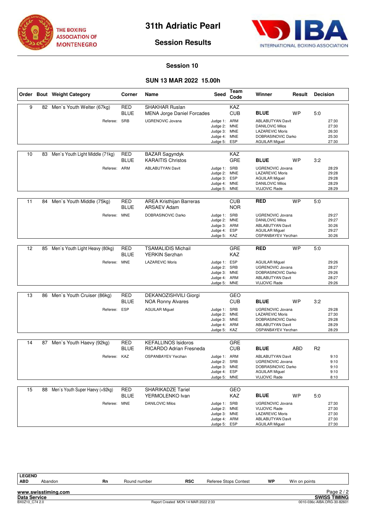



### **Session 10**

# **SUN 13 MAR 2022 15.00h**

|    |    | Order Bout Weight Category      | Corner                    | Name                                                       | <b>Seed</b>                                                                  | Team<br>Code             | Winner                                                                                                                                  | Result    | <b>Decision</b> |                                           |
|----|----|---------------------------------|---------------------------|------------------------------------------------------------|------------------------------------------------------------------------------|--------------------------|-----------------------------------------------------------------------------------------------------------------------------------------|-----------|-----------------|-------------------------------------------|
| 9  | 82 | Men's Youth Welter (67kg)       | <b>RED</b><br><b>BLUE</b> | <b>SHAKHAR Ruslan</b><br><b>MENA Jorge Daniel Forcades</b> |                                                                              | KAZ<br><b>CUB</b>        | <b>BLUE</b>                                                                                                                             | WP        | 5:0             |                                           |
|    |    | Referee: SRB                    |                           | <b>UGRENOVIC Jovana</b>                                    | Judge 1: ARM<br>Judge 2:<br>Judge 3: MNE<br>Judge 4: MNE<br>Judge 5:         | <b>MNE</b><br><b>ESP</b> | <b>ABLABUTYAN Davit</b><br><b>DANILOVIC Milos</b><br><b>LAZAREVIC Moris</b><br>DOBRASINOVIC Darko<br><b>AGUILAR Miguel</b>              |           |                 | 27:30<br>27:30<br>26:30<br>25:30<br>27:30 |
| 10 | 83 | Men's Youth Light Middle (71kg) | <b>RED</b><br><b>BLUE</b> | <b>BAZAR Sagyndyk</b><br><b>KARAITIS Christos</b>          |                                                                              | KAZ<br>GRE               | <b>BLUE</b>                                                                                                                             | <b>WP</b> | 3:2             |                                           |
|    |    | Referee: ARM                    |                           | <b>ABLABUTYAN Davit</b>                                    | Judge 1: SRB<br>Judge 2:<br>Judge 3: ESP<br>Judge 4: MNE<br>Judge 5: MNE     | <b>MNE</b>               | UGRENOVIC Jovana<br><b>LAZAREVIC Moris</b><br><b>AGUILAR Miguel</b><br><b>DANILOVIC Milos</b><br><b>VUJOVIC Rade</b>                    |           |                 | 28:29<br>29:28<br>29:28<br>28:29<br>28:29 |
| 11 | 84 | Men's Youth Middle (75kg)       | <b>RED</b><br><b>BLUE</b> | <b>AREA Kristhijan Barreras</b><br><b>ARSAEV Adam</b>      |                                                                              | <b>CUB</b><br><b>NOR</b> | <b>RED</b>                                                                                                                              | <b>WP</b> | 5:0             |                                           |
|    |    | Referee:                        | <b>MNE</b>                | DOBRASINOVIC Darko                                         | Judge 1: SRB<br>Judge 2:<br>Judge 3: ARM<br>Judge 4: ESP<br>Judge 5:         | <b>MNE</b><br>KAZ        | <b>UGRENOVIC Jovana</b><br><b>DANILOVIC Milos</b><br>ABLABUTYAN Davit<br><b>AGUILAR Miguel</b><br>OSPANBAYEV Yerzhan                    |           |                 | 29:27<br>29:27<br>30:26<br>29:27<br>30:26 |
| 12 | 85 | Men's Youth Light Heavy (80kg)  | <b>RED</b><br><b>BLUE</b> | <b>TSAMALIDIS Michail</b><br>YERKIN Serzhan                |                                                                              | GRE<br><b>KAZ</b>        | <b>RED</b>                                                                                                                              | <b>WP</b> | 5:0             |                                           |
|    |    | Referee: MNE                    |                           | <b>LAZAREVIC Moris</b>                                     | Judge 1: ESP<br>Judge 2: SRB<br>Judge 3: MNE<br>Judge 4: ARM<br>Judge 5:     | <b>MNE</b>               | <b>AGUILAR Miguel</b><br><b>UGRENOVIC Jovana</b><br>DOBRASINOVIC Darko<br><b>ABLABUTYAN Davit</b><br><b>VUJOVIC Rade</b>                |           |                 | 29:26<br>28:27<br>29:26<br>28:27<br>29:26 |
| 13 | 86 | Men's Youth Cruiser (86kg)      | <b>RED</b><br><b>BLUE</b> | DEKANOZISHVILI Giorgi<br><b>NOA Ronny Alvares</b>          |                                                                              | GEO<br><b>CUB</b>        | <b>BLUE</b>                                                                                                                             | WP        | 3:2             |                                           |
|    |    | Referee:                        | <b>ESP</b>                | <b>AGUILAR Miguel</b>                                      | Judge 1: SRB<br>Judge 2: MNE<br>Judge 3:<br>Judge 4: ARM<br>Judge 5: KAZ     | <b>MNE</b>               | <b>UGRENOVIC Jovana</b><br><b>LAZAREVIC Moris</b><br>DOBRASINOVIC Darko<br><b>ABLABUTYAN Davit</b><br>OSPANBAYEV Yerzhan                |           |                 | 29:28<br>27:30<br>29:28<br>28:29<br>28:29 |
| 14 | 87 | Men's Youth Haevy (92kg)        | RED                       | <b>KEFALLINOS Isidoros</b>                                 |                                                                              | GRE                      |                                                                                                                                         |           |                 |                                           |
|    |    | Referee: KAZ                    | <b>BLUE</b>               | <b>RICARDO Adrian Fresneda</b><br>OSPANBAYEV Yerzhan       | Judge 1: ARM<br>Judge 2:<br>Judge 3: MNE<br>Judge 4: ESP<br>Judge 5: MNE     | <b>CUB</b><br>SRB        | <b>BLUE</b><br><b>ABLABUTYAN Davit</b><br><b>UGRENOVIC Jovana</b><br>DOBRASINOVIC Darko<br><b>AGUILAR Miguel</b><br><b>VUJOVIC Rade</b> | ABD       | R <sub>2</sub>  | 9:10<br>9:10<br>9:10<br>9:10<br>8:10      |
| 15 | 88 | Men's Youth Super Haevy (+92kg) | <b>RED</b><br><b>BLUE</b> | <b>SHARIKADZE Tariel</b><br>YERMOLENKO Ivan                |                                                                              | GEO<br>KAZ               | <b>BLUE</b>                                                                                                                             | WP        | 5:0             |                                           |
|    |    | Referee: MNE                    |                           | <b>DANILOVIC Milos</b>                                     | Judge 1: SRB<br>Judge 2: MNE<br>Judge 3: MNE<br>Judge 4: ARM<br>Judge 5: ESP |                          | UGRENOVIC Jovana<br><b>VUJOVIC Rade</b><br><b>LAZAREVIC Moris</b><br><b>ABLABUTYAN Davit</b><br><b>AGUILAR Miguel</b>                   |           |                 | 27:30<br>27:30<br>27:30<br>27:30<br>27:30 |

LEGEND<br>ABD

**www.swisstiming.com**

**ABD** Abandon **Rn** Round number **RSC** Referee Stops Contest **WP** Win on points

Page 2/2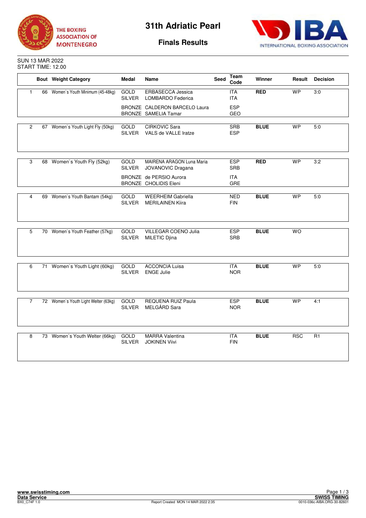



**Finals Results**

SUN 13 MAR 2022 START TIME: 12.00

|                | <b>Bout Weight Category</b>          | <b>Medal</b>                 | Name                                                         | <b>Seed</b> | Team<br>Code             | Winner      | Result     | <b>Decision</b> |
|----------------|--------------------------------------|------------------------------|--------------------------------------------------------------|-------------|--------------------------|-------------|------------|-----------------|
| $\mathbf{1}$   | 66 Women's Youth Minimum (45-48kg)   | <b>GOLD</b><br>SILVER        | ERBASECCA Jessica<br><b>LOMBARDO Federica</b>                |             | <b>ITA</b><br><b>ITA</b> | RED         | WP         | 3:0             |
|                |                                      |                              | BRONZE CALDERON BARCELO Laura<br><b>BRONZE SAMELIA Tamar</b> |             | <b>ESP</b><br>GEO        |             |            |                 |
|                |                                      |                              |                                                              |             |                          |             |            |                 |
| $\overline{2}$ | 67 Women's Youth Light Fly (50kg)    | <b>GOLD</b><br><b>SILVER</b> | <b>CIRKOVIC Sara</b><br>VALS de VALLE Iratze                 |             | <b>SRB</b><br><b>ESP</b> | <b>BLUE</b> | <b>WP</b>  | 5:0             |
|                |                                      |                              |                                                              |             |                          |             |            |                 |
| 3              | 68 Women's Youth Fly (52kg)          | GOLD<br><b>SILVER</b>        | <b>MAIRENA ARAGON Luna Maria</b><br>JOVANOVIC Dragana        |             | <b>ESP</b><br><b>SRB</b> | <b>RED</b>  | <b>WP</b>  | 3:2             |
|                |                                      |                              | BRONZE de PERSIO Aurora<br>BRONZE CHOLIDIS Eleni             |             | <b>ITA</b><br>GRE        |             |            |                 |
|                |                                      |                              |                                                              |             |                          |             |            |                 |
| 4              | 69 Women's Youth Bantam (54kg)       | GOLD<br><b>SILVER</b>        | <b>WEERHEIM Gabriella</b><br><b>MERILAINEN Kiira</b>         |             | <b>NED</b><br><b>FIN</b> | <b>BLUE</b> | <b>WP</b>  | 5:0             |
|                |                                      |                              |                                                              |             |                          |             |            |                 |
| 5              | 70 Women's Youth Feather (57kg)      | <b>GOLD</b><br>SILVER        | VILLEGAR COENO Julia<br>MILETIC Djina                        |             | <b>ESP</b><br><b>SRB</b> | <b>BLUE</b> | <b>WO</b>  |                 |
|                |                                      |                              |                                                              |             |                          |             |            |                 |
| 6              | 71 Women's Youth Light (60kg)        | <b>GOLD</b><br><b>SILVER</b> | <b>ACCONCIA Luisa</b><br><b>ENGE Julie</b>                   |             | <b>ITA</b><br><b>NOR</b> | <b>BLUE</b> | <b>WP</b>  | 5:0             |
|                |                                      |                              |                                                              |             |                          |             |            |                 |
| $\overline{7}$ | 72 Women's Youth Light Welter (63kg) | GOLD<br><b>SILVER</b>        | <b>REQUENA RUIZ Paula</b><br>MELGÅRD Sara                    |             | <b>ESP</b><br><b>NOR</b> | <b>BLUE</b> | <b>WP</b>  | 4:1             |
|                |                                      |                              |                                                              |             |                          |             |            |                 |
| 8              | 73 Women's Youth Welter (66kg)       | GOLD<br>SILVER               | <b>MARRA Valentina</b><br><b>JOKINEN Viivi</b>               |             | <b>ITA</b><br><b>FIN</b> | <b>BLUE</b> | <b>RSC</b> | R <sub>1</sub>  |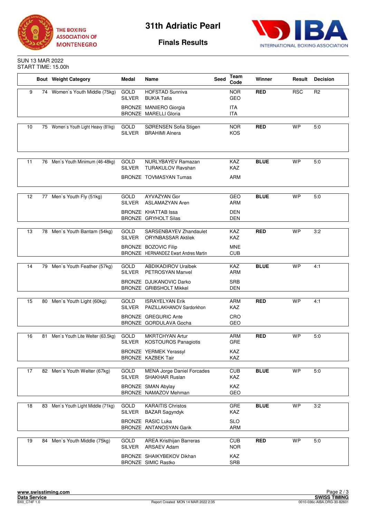



**Finals Results**

### SUN 13 MAR 2022 START TIME: 15.00h

|                   |    | <b>Bout</b> Weight Category         | Medal                        | Name                                                                                                                | <b>Seed</b> | Team<br>Code                                  | Winner      | Result     | <b>Decision</b> |
|-------------------|----|-------------------------------------|------------------------------|---------------------------------------------------------------------------------------------------------------------|-------------|-----------------------------------------------|-------------|------------|-----------------|
| 9                 |    | 74 Women's Youth Middle (75kg)      | GOLD<br><b>SILVER</b>        | <b>HOFSTAD Sunniva</b><br><b>BUKIA Tatia</b>                                                                        |             | <b>NOR</b><br>GEO                             | <b>RED</b>  | <b>RSC</b> | R <sub>2</sub>  |
|                   |    |                                     |                              | BRONZE MANIERO Giorgia<br><b>BRONZE MARELLI Gloria</b>                                                              |             | <b>ITA</b><br><b>ITA</b>                      |             |            |                 |
| 10                |    | 75 Women's Youth Light Heavy (81kg) | GOLD<br><b>SILVER</b>        | SØRENSEN Sofia Stigen<br><b>BRAHIMI Alnera</b>                                                                      |             | <b>NOR</b><br>KOS                             | <b>RED</b>  | <b>WP</b>  | 5:0             |
| 11                |    | 76 Men's Youth Minimum (46-48kg)    | GOLD<br><b>SILVER</b>        | <b>NURLYBAYEV Ramazan</b><br><b>TURAKULOV Ravshan</b><br>BRONZE TOVMASYAN Tumas                                     |             | KAZ<br>KAZ<br><b>ARM</b>                      | <b>BLUE</b> | <b>WP</b>  | 5:0             |
| $12 \overline{ }$ |    | 77 Men's Youth Fly (51kg)           | <b>GOLD</b><br><b>SILVER</b> | <b>AYVAZYAN Gor</b><br><b>ASLAMAZYAN Aren</b><br>BRONZE KHATTAB Issa<br><b>BRONZE GRYHOLT Silas</b>                 |             | GEO<br><b>ARM</b><br><b>DEN</b><br>DEN        | <b>BLUE</b> | <b>WP</b>  | 5:0             |
| 13                | 78 | Men's Youth Bantam (54kg)           | GOLD<br><b>SILVER</b>        | SARSENBAYEV Zhandaulet<br><b>ORYNBASSAR Aktilek</b><br>BRONZE BOZOVIC Filip<br>BRONZE HERNANDEZ Ewart Andres Martin |             | <b>KAZ</b><br>KAZ<br><b>MNE</b><br><b>CUB</b> | <b>RED</b>  | <b>WP</b>  | 3:2             |
| 14                |    | 79 Men's Youth Feather (57kg)       | GOLD<br><b>SILVER</b>        | <b>ABDIKADIROV Uralbek</b><br>PETROSYAN Manvel<br>BRONZE DJUKANOVIC Darko<br>BRONZE GRIBSHOLT Mikkel                |             | KAZ<br><b>ARM</b><br><b>SRB</b><br><b>DEN</b> | <b>BLUE</b> | <b>WP</b>  | 4:1             |
| 15                | 80 | Men's Youth Light (60kg)            | <b>GOLD</b><br><b>SILVER</b> | <b>ISRAYELYAN Erik</b><br>PAIZILLAKHANOV Sardorkhon<br><b>BRONZE GREGURIC Ante</b><br>BRONZE GORDULAVA Gocha        |             | <b>ARM</b><br>KAZ<br>CRO<br>GEO               | <b>RED</b>  | <b>WP</b>  | 4:1             |
| 16                | 81 | Men's Youth Lite Welter (63.5kg)    | GOLD<br>SILVER               | <b>MKRTCHYAN Artur</b><br><b>KOSTOUROS Panagiotis</b><br><b>BRONZE YERMEK Yerassyl</b><br>BRONZE KAZBEK Tair        |             | <b>ARM</b><br>GRE<br>KAZ<br>KAZ               | <b>RED</b>  | <b>WP</b>  | 5:0             |
| 17                |    | 82 Men's Youth Welter (67kg)        | <b>GOLD</b><br><b>SILVER</b> | <b>MENA Jorge Daniel Forcades</b><br><b>SHAKHAR Ruslan</b><br>BRONZE SMAN Abylay<br>BRONZE NAMAZOV Mehman           |             | <b>CUB</b><br>KAZ<br>KAZ<br>GEO               | <b>BLUE</b> | <b>WP</b>  | 5:0             |
| 18                | 83 | Men's Youth Light Middle (71kg)     | GOLD<br><b>SILVER</b>        | <b>KARAITIS Christos</b><br><b>BAZAR Sagyndyk</b><br><b>BRONZE RASIC Luka</b><br>BRONZE ANTANOSYAN Garik            |             | GRE<br>KAZ<br><b>SLO</b><br><b>ARM</b>        | <b>BLUE</b> | <b>WP</b>  | 3:2             |
| 19                | 84 | Men's Youth Middle (75kg)           | GOLD<br><b>SILVER</b>        | AREA Kristhijan Barreras<br><b>ARSAEV Adam</b><br>BRONZE SHAIKYBEKOV Dikhan<br>BRONZE SIMIC Rastko                  |             | <b>CUB</b><br><b>NOR</b><br>KAZ<br>SRB        | <b>RED</b>  | <b>WP</b>  | 5:0             |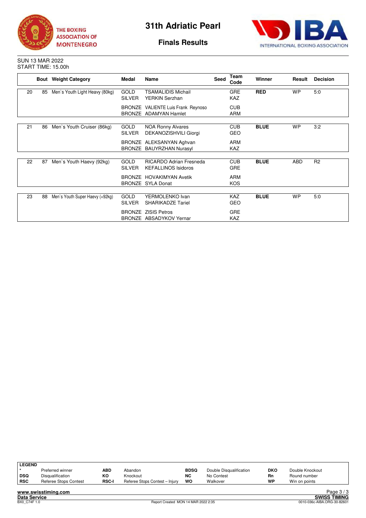



**Finals Results**

### SUN 13 MAR 2022 START TIME: 15.00h

|    |    | <b>Bout</b> Weight Category     | Medal                        | Name                                                         |  | Team<br>Code             | <b>Winner</b> | Result    | <b>Decision</b> |
|----|----|---------------------------------|------------------------------|--------------------------------------------------------------|--|--------------------------|---------------|-----------|-----------------|
| 20 | 85 | Men's Youth Light Heavy (80kg)  | <b>GOLD</b><br><b>SILVER</b> | <b>TSAMALIDIS Michail</b><br>YERKIN Serzhan                  |  | GRE<br><b>KAZ</b>        | <b>RED</b>    | <b>WP</b> | 5:0             |
|    |    |                                 |                              | BRONZE VALIENTE Luis Frank Reynoso<br>BRONZE ADAMYAN Hamlet  |  | <b>CUB</b><br><b>ARM</b> |               |           |                 |
| 21 | 86 | Men's Youth Cruiser (86kg)      | <b>GOLD</b><br><b>SILVER</b> | <b>NOA Ronny Alvares</b><br>DEKANOZISHVILI Giorgi            |  | <b>CUB</b><br><b>GEO</b> | <b>BLUE</b>   | <b>WP</b> | 3:2             |
|    |    |                                 |                              | BRONZE ALEKSANYAN Aghvan<br>BRONZE BAUYRZHAN Nurasyl         |  | <b>ARM</b><br>KAZ        |               |           |                 |
| 22 | 87 | Men's Youth Haevy (92kg)        | <b>GOLD</b><br><b>SILVER</b> | <b>RICARDO Adrian Fresneda</b><br><b>KEFALLINOS Isidoros</b> |  | <b>CUB</b><br><b>GRE</b> | <b>BLUE</b>   | ABD       | R <sub>2</sub>  |
|    |    |                                 |                              | <b>BRONZE HOVAKIMYAN Avetik</b><br><b>BRONZE SYLA Donat</b>  |  | <b>ARM</b><br><b>KOS</b> |               |           |                 |
| 23 | 88 | Men's Youth Super Haevy (+92kg) | <b>GOLD</b><br><b>SILVER</b> | YERMOLENKO Ivan<br><b>SHARIKADZE Tariel</b>                  |  | <b>KAZ</b><br><b>GEO</b> | <b>BLUE</b>   | <b>WP</b> | 5:0             |
|    |    |                                 | <b>BRONZE</b>                | <b>BRONZE ZISIS Petros</b><br>ABSADYKOV Yernar               |  | <b>GRE</b><br><b>KAZ</b> |               |           |                 |

| <b>LEGEND</b> | Preferred winner      | <b>ABD</b>   | Abandon                        | <b>BDSQ</b> | Double Disqualification | <b>DKO</b> | Double Knockout |            |
|---------------|-----------------------|--------------|--------------------------------|-------------|-------------------------|------------|-----------------|------------|
| DSQ           | Disqualification      | ĸо           | Knockout                       | <b>NC</b>   | No Contest              | Rn         | Round number    |            |
| <b>RSC</b>    | Referee Stops Contest | <b>RSC-I</b> | Referee Stops Contest - Injury | wo          | Walkover                | <b>WP</b>  | Win on points   |            |
|               | www.swisstiming.com   |              |                                |             |                         |            |                 | Page $3/3$ |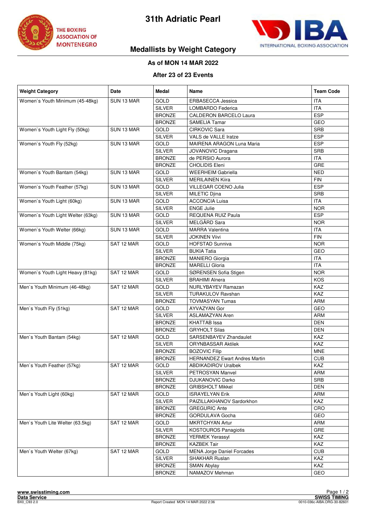



# **Medallists by Weight Category**

# **As of MON 14 MAR 2022**

### **After 23 of 23 Events**

| <b>Weight Category</b>            | Date       | Medal         | Name                                 | <b>Team Code</b> |
|-----------------------------------|------------|---------------|--------------------------------------|------------------|
| Women's Youth Minimum (45-48kg)   | SUN 13 MAR | <b>GOLD</b>   | ERBASECCA Jessica                    | <b>ITA</b>       |
|                                   |            | <b>SILVER</b> | LOMBARDO Federica                    | <b>ITA</b>       |
|                                   |            | <b>BRONZE</b> | <b>CALDERON BARCELO Laura</b>        | <b>ESP</b>       |
|                                   |            | <b>BRONZE</b> | <b>SAMELIA Tamar</b>                 | GEO              |
| Women's Youth Light Fly (50kg)    | SUN 13 MAR | <b>GOLD</b>   | <b>CIRKOVIC Sara</b>                 | <b>SRB</b>       |
|                                   |            | <b>SILVER</b> | VALS de VALLE Iratze                 | <b>ESP</b>       |
| Women's Youth Fly (52kg)          | SUN 13 MAR | <b>GOLD</b>   | MAIRENA ARAGON Luna Maria            | <b>ESP</b>       |
|                                   |            | <b>SILVER</b> | <b>JOVANOVIC Dragana</b>             | <b>SRB</b>       |
|                                   |            | <b>BRONZE</b> | de PERSIO Aurora                     | <b>ITA</b>       |
|                                   |            | <b>BRONZE</b> | <b>CHOLIDIS Eleni</b>                | GRE              |
| Women's Youth Bantam (54kg)       | SUN 13 MAR | <b>GOLD</b>   | <b>WEERHEIM Gabriella</b>            | <b>NED</b>       |
|                                   |            | <b>SILVER</b> | <b>MERILAINEN Kiira</b>              | <b>FIN</b>       |
| Women's Youth Feather (57kg)      | SUN 13 MAR | GOLD          | VILLEGAR COENO Julia                 | ESP              |
|                                   |            | <b>SILVER</b> | <b>MILETIC Djina</b>                 | <b>SRB</b>       |
| Women's Youth Light (60kg)        | SUN 13 MAR | <b>GOLD</b>   | <b>ACCONCIA Luisa</b>                | <b>ITA</b>       |
|                                   |            | <b>SILVER</b> | <b>ENGE Julie</b>                    | <b>NOR</b>       |
| Women's Youth Light Welter (63kg) | SUN 13 MAR | GOLD          | <b>REQUENA RUIZ Paula</b>            | <b>ESP</b>       |
|                                   |            | <b>SILVER</b> | MELGÅRD Sara                         | <b>NOR</b>       |
| Women's Youth Welter (66kg)       | SUN 13 MAR | <b>GOLD</b>   | <b>MARRA Valentina</b>               | <b>ITA</b>       |
|                                   |            | <b>SILVER</b> | <b>JOKINEN Viivi</b>                 | <b>FIN</b>       |
| Women's Youth Middle (75kg)       | SAT 12 MAR | GOLD          | <b>HOFSTAD Sunniva</b>               | <b>NOR</b>       |
|                                   |            | <b>SILVER</b> | <b>BUKIA Tatia</b>                   | GEO              |
|                                   |            | <b>BRONZE</b> | <b>MANIERO Giorgia</b>               | <b>ITA</b>       |
|                                   |            | <b>BRONZE</b> | <b>MARELLI Gloria</b>                | <b>ITA</b>       |
| Women's Youth Light Heavy (81kg)  | SAT 12 MAR | <b>GOLD</b>   | SØRENSEN Sofia Stigen                | <b>NOR</b>       |
|                                   |            | <b>SILVER</b> | <b>BRAHIMI Alnera</b>                | <b>KOS</b>       |
| Men's Youth Minimum (46-48kg)     | SAT 12 MAR | GOLD          | NURLYBAYEV Ramazan                   | <b>KAZ</b>       |
|                                   |            | <b>SILVER</b> | <b>TURAKULOV Ravshan</b>             | KAZ              |
|                                   |            | <b>BRONZE</b> | <b>TOVMASYAN Tumas</b>               | ARM              |
| Men's Youth Fly (51kg)            | SAT 12 MAR | <b>GOLD</b>   | AYVAZYAN Gor                         | GEO              |
|                                   |            | <b>SILVER</b> | <b>ASLAMAZYAN Aren</b>               | ARM              |
|                                   |            | <b>BRONZE</b> | <b>KHATTAB</b> Issa                  | <b>DEN</b>       |
|                                   |            | <b>BRONZE</b> | <b>GRYHOLT Silas</b>                 | <b>DEN</b>       |
| Men's Youth Bantam (54kg)         | SAT 12 MAR | GOLD          | SARSENBAYEV Zhandaulet               | KAZ              |
|                                   |            | <b>SILVER</b> | <b>ORYNBASSAR Aktilek</b>            | KAZ              |
|                                   |            | <b>BRONZE</b> | <b>BOZOVIC Filip</b>                 | <b>MNE</b>       |
|                                   |            | <b>BRONZE</b> | <b>HERNANDEZ Ewart Andres Martin</b> | <b>CUB</b>       |
| Men's Youth Feather (57kg)        | SAT 12 MAR | GOLD          | <b>ABDIKADIROV Uralbek</b>           | KAZ              |
|                                   |            | <b>SILVER</b> | <b>PETROSYAN Manvel</b>              | <b>ARM</b>       |
|                                   |            | <b>BRONZE</b> | <b>DJUKANOVIC Darko</b>              | <b>SRB</b>       |
|                                   |            | <b>BRONZE</b> | <b>GRIBSHOLT Mikkel</b>              | <b>DEN</b>       |
| Men's Youth Light (60kg)          | SAT 12 MAR | <b>GOLD</b>   | <b>ISRAYELYAN Erik</b>               | ARM              |
|                                   |            | <b>SILVER</b> | PAIZILLAKHANOV Sardorkhon            | <b>KAZ</b>       |
|                                   |            | <b>BRONZE</b> | <b>GREGURIC Ante</b>                 | CRO              |
|                                   |            | <b>BRONZE</b> | GORDULAVA Gocha                      | GEO              |
| Men's Youth Lite Welter (63.5kg)  | SAT 12 MAR | <b>GOLD</b>   | <b>MKRTCHYAN Artur</b>               | ARM              |
|                                   |            | <b>SILVER</b> | <b>KOSTOUROS Panagiotis</b>          | <b>GRE</b>       |
|                                   |            | <b>BRONZE</b> | <b>YERMEK Yerassyl</b>               | KAZ              |
|                                   |            | <b>BRONZE</b> | <b>KAZBEK Tair</b>                   | KAZ              |
| Men's Youth Welter (67kg)         | SAT 12 MAR | GOLD          | <b>MENA Jorge Daniel Forcades</b>    | <b>CUB</b>       |
|                                   |            | <b>SILVER</b> | SHAKHAR Ruslan                       | <b>KAZ</b>       |
|                                   |            | <b>BRONZE</b> | <b>SMAN Abylay</b>                   | KAZ              |
|                                   |            | <b>BRONZE</b> | NAMAZOV Mehman                       | GEO              |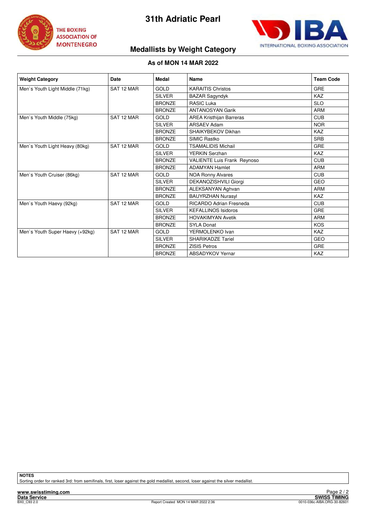



# **Medallists by Weight Category**

### **As of MON 14 MAR 2022**

| <b>Weight Category</b>          | Date       | Medal         | Name                               | <b>Team Code</b> |
|---------------------------------|------------|---------------|------------------------------------|------------------|
| Men's Youth Light Middle (71kg) | SAT 12 MAR | GOLD          | <b>KARAITIS Christos</b>           | GRE              |
|                                 |            | <b>SILVER</b> | <b>BAZAR Sagyndyk</b>              | <b>KAZ</b>       |
|                                 |            | <b>BRONZE</b> | <b>RASIC Luka</b>                  | <b>SLO</b>       |
|                                 |            | <b>BRONZE</b> | <b>ANTANOSYAN Garik</b>            | <b>ARM</b>       |
| Men's Youth Middle (75kg)       | SAT 12 MAR | <b>GOLD</b>   | <b>AREA Kristhijan Barreras</b>    | <b>CUB</b>       |
|                                 |            | <b>SILVER</b> | <b>ARSAEV Adam</b>                 | <b>NOR</b>       |
|                                 |            | <b>BRONZE</b> | SHAIKYBEKOV Dikhan                 | <b>KAZ</b>       |
|                                 |            | <b>BRONZE</b> | SIMIC Rastko                       | <b>SRB</b>       |
| Men's Youth Light Heavy (80kg)  | SAT 12 MAR | <b>GOLD</b>   | <b>TSAMALIDIS Michail</b>          | <b>GRE</b>       |
|                                 |            | <b>SILVER</b> | YERKIN Serzhan                     | <b>KAZ</b>       |
|                                 |            | <b>BRONZE</b> | <b>VALIENTE Luis Frank Reynoso</b> | <b>CUB</b>       |
|                                 |            | <b>BRONZE</b> | <b>ADAMYAN Hamlet</b>              | <b>ARM</b>       |
| Men's Youth Cruiser (86kg)      | SAT 12 MAR | <b>GOLD</b>   | <b>NOA Ronny Alvares</b>           | <b>CUB</b>       |
|                                 |            | <b>SILVER</b> | DEKANOZISHVILI Giorgi              | <b>GEO</b>       |
|                                 |            | <b>BRONZE</b> | ALEKSANYAN Aghvan                  | <b>ARM</b>       |
|                                 |            | <b>BRONZE</b> | <b>BAUYRZHAN Nurasyl</b>           | <b>KAZ</b>       |
| Men's Youth Haevy (92kg)        | SAT 12 MAR | <b>GOLD</b>   | <b>RICARDO Adrian Fresneda</b>     | <b>CUB</b>       |
|                                 |            | <b>SILVER</b> | <b>KEFALLINOS Isidoros</b>         | GRE              |
|                                 |            | <b>BRONZE</b> | <b>HOVAKIMYAN Avetik</b>           | <b>ARM</b>       |
|                                 |            | <b>BRONZE</b> | <b>SYLA Donat</b>                  | <b>KOS</b>       |
| Men's Youth Super Haevy (+92kg) | SAT 12 MAR | <b>GOLD</b>   | YERMOLENKO Ivan                    | <b>KAZ</b>       |
|                                 |            | <b>SILVER</b> | <b>SHARIKADZE Tariel</b>           | <b>GEO</b>       |
|                                 |            | <b>BRONZE</b> | <b>ZISIS Petros</b>                | <b>GRE</b>       |
|                                 |            | <b>BRONZE</b> | <b>ABSADYKOV Yernar</b>            | <b>KAZ</b>       |

**NOTES**

Sorting order for ranked 3rd: from semifinals, first, loser against the gold medallist, second, loser against the silver medallist.

**www.swisstiming.com**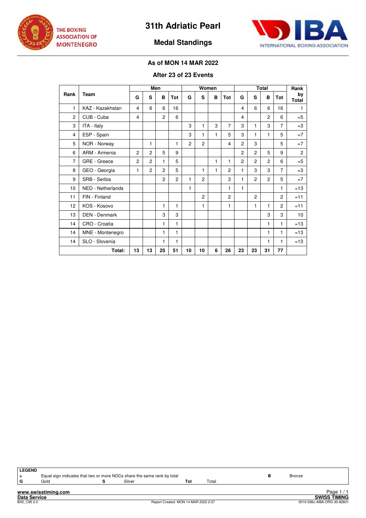



# **Medal Standings**

# **As of MON 14 MAR 2022**

# **After 23 of 23 Events**

|                      |                          |                |                | Men            |                |                |                | Women |                |                |                | <b>Total</b>   |                | Rank        |
|----------------------|--------------------------|----------------|----------------|----------------|----------------|----------------|----------------|-------|----------------|----------------|----------------|----------------|----------------|-------------|
| Rank                 | Team                     | G              | S              | B              | Tot            | G              | S              | в     | Tot            | G              | S              | B              | Tot            | by<br>Total |
| 1                    | KAZ - Kazakhstan         | 4              | 6              | 6              | 16             |                |                |       |                | 4              | 6              | 6              | 16             | 1           |
| $\overline{2}$       | CUB - Cuba               | 4              |                | $\overline{c}$ | 6              |                |                |       |                | 4              |                | $\overline{2}$ | 6              | $=$ 5       |
| 3                    | ITA - Italy              |                |                |                |                | 3              | 1              | 3     | 7              | 3              | 1              | 3              | 7              | $=3$        |
| 4                    | ESP - Spain              |                |                |                |                | 3              | 1              | 1     | 5              | 3              | 1              | 1              | 5              | $=7$        |
| 5                    | NOR - Norway             |                | 1              |                | 1              | $\overline{c}$ | $\overline{c}$ |       | 4              | 2              | 3              |                | 5              | $=7$        |
| 6                    | ARM - Armenia            | $\overline{2}$ | $\overline{c}$ | 5              | 9              |                |                |       |                | $\overline{2}$ | $\overline{2}$ | 5              | 9              | 2           |
| 7                    | GRE - Greece             | $\overline{2}$ | $\overline{c}$ | 1              | 5              |                |                | 1     | 1              | $\overline{c}$ | $\overline{2}$ | $\overline{c}$ | 6              | $=$ 5       |
| 8                    | GEO - Georgia            | 1              | $\mathcal{P}$  | $\mathcal{P}$  | 5              |                | 1              | 1     | $\overline{c}$ | 1              | 3              | 3              | $\overline{7}$ | $=3$        |
| 9                    | SRB - Serbia             |                |                | $\overline{2}$ | $\overline{c}$ | 1              | $\overline{c}$ |       | 3              | 1              | $\overline{2}$ | $\overline{2}$ | 5              | $=7$        |
| 10                   | <b>NED - Netherlands</b> |                |                |                |                | 1              |                |       | 1              | 1              |                |                | 1              | $=13$       |
| 11                   | FIN - Finland            |                |                |                |                |                | $\overline{c}$ |       | $\mathcal{P}$  |                | $\mathcal{P}$  |                | $\overline{c}$ | $=11$       |
| 12                   | KOS - Kosovo             |                |                | 1              | 1              |                | 1              |       | 1              |                | $\mathbf{1}$   | 1              | $\overline{c}$ | $=11$       |
| 13                   | <b>DEN - Denmark</b>     |                |                | 3              | 3              |                |                |       |                |                |                | 3              | 3              | 10          |
| 14                   | CRO - Croatia            |                |                | 1              | 1              |                |                |       |                |                |                | 1              | 1              | $=13$       |
| 14                   | MNE - Montenegro         |                |                | 1              | 1              |                |                |       |                |                |                | 1              | 1              | $=13$       |
| SLO - Slovenia<br>14 |                          |                |                | 1              | 1              |                |                |       |                |                |                | 1              | 1              | $=13$       |
|                      | 13                       | 13             | 25             | 51             | 10             | 10             | 6              | 26    | 23             | 23             | 31             | 77             |                |             |

| <b>LEGEND</b><br>$\equiv$ | Equal sign indicates that two or more NOCs share the same rank by total |        |     |       | Bronze |        |
|---------------------------|-------------------------------------------------------------------------|--------|-----|-------|--------|--------|
|                           | Gold                                                                    | Silver | Tot | Total |        |        |
|                           | www.swisstiming.com                                                     |        |     |       |        | Page 1 |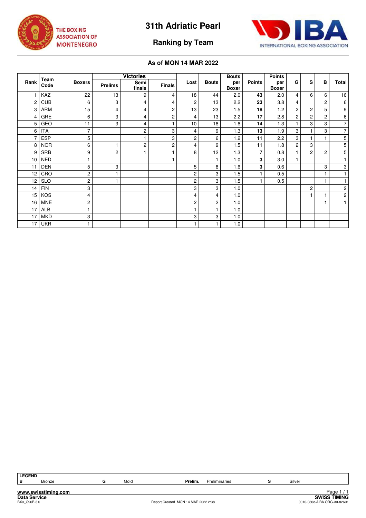



**Ranking by Team**

|                 |              |               |                | <b>Victories</b>        |                |                |              | <b>Bouts</b>        |               | <b>Points</b>       |                |                |                |                |
|-----------------|--------------|---------------|----------------|-------------------------|----------------|----------------|--------------|---------------------|---------------|---------------------|----------------|----------------|----------------|----------------|
| Rank            | Team<br>Code | <b>Boxers</b> | <b>Prelims</b> | Semi<br>finals          | <b>Finals</b>  | Lost           | <b>Bouts</b> | per<br><b>Boxer</b> | <b>Points</b> | per<br><b>Boxer</b> | G              | s              | в              | Total          |
|                 | KAZ          | 22            | 13             | 9                       | 4              | 18             | 44           | 2.0                 | 43            | 2.0                 | $\overline{4}$ | 6              | 6              | 16             |
| $\overline{c}$  | <b>CUB</b>   | 6             | 3              | 4                       | 4              | 2              | 13           | 2.2                 | 23            | 3.8                 | $\overline{4}$ |                | $\overline{c}$ | 6              |
| 3               | <b>ARM</b>   | 15            | $\overline{4}$ | 4                       | $\overline{2}$ | 13             | 23           | 1.5                 | 18            | 1.2                 | $\overline{2}$ | $\overline{c}$ | 5              | 9              |
| 4               | GRE          | 6             | 3              | 4                       | $\overline{2}$ | 4              | 13           | 2.2                 | 17            | 2.8                 | $\overline{2}$ | 2              | $\overline{2}$ | 6              |
| 5               | GEO          | 11            | 3              | 4                       |                | 10             | 18           | 1.6                 | 14            | 1.3                 |                | 3              | 3              | $\overline{7}$ |
| 6               | ITA          | 7             |                | $\overline{\mathbf{c}}$ | 3              | 4              | 9            | 1.3                 | 13            | 1.9                 | 3              | 1              | 3              | $\overline{7}$ |
|                 | <b>ESP</b>   | 5             |                |                         | 3              | 2              | 6            | 1.2                 | 11            | 2.2                 | 3              | 1              | $\mathbf{1}$   | 5              |
| 8               | <b>NOR</b>   | 6             | 1              | $\overline{c}$          | $\overline{c}$ | $\overline{4}$ | 9            | 1.5                 | 11            | 1.8                 | $\overline{c}$ | 3              |                | 5              |
| 9               | <b>SRB</b>   | 9             | 2              | 1                       |                | 8              | 12           | 1.3                 | 7             | 0.8                 |                | 2              | $\overline{c}$ | 5              |
| 10              | <b>NED</b>   |               |                |                         |                |                | 1            | 1.0                 | 3             | 3.0                 |                |                |                | 1              |
| 11              | <b>DEN</b>   | 5             | 3              |                         |                | 5              | 8            | 1.6                 | 3             | 0.6                 |                |                | 3              | 3              |
| 12              | CRO          | 2             | 1              |                         |                | 2              | 3            | 1.5                 |               | 0.5                 |                |                | $\mathbf{1}$   | 1              |
| 12              | <b>SLO</b>   | 2             |                |                         |                | 2              | 3            | 1.5                 |               | 0.5                 |                |                | $\mathbf{1}$   | 1              |
| 14              | <b>FIN</b>   | 3             |                |                         |                | 3              | 3            | 1.0                 |               |                     |                | $\overline{c}$ |                | 2              |
| 15 <sup>1</sup> | <b>KOS</b>   | 4             |                |                         |                | 4              | 4            | 1.0                 |               |                     |                | $\overline{1}$ | $\overline{1}$ | 2              |
| 16              | <b>MNE</b>   | 2             |                |                         |                | $\overline{c}$ | 2            | 1.0                 |               |                     |                |                | $\mathbf{1}$   | $\mathbf{1}$   |
| 17              | <b>ALB</b>   |               |                |                         |                | $\mathbf{1}$   | 1            | 1.0                 |               |                     |                |                |                |                |
| 17              | <b>MKD</b>   | 3             |                |                         |                | 3              | 3            | 1.0                 |               |                     |                |                |                |                |
| 17              | <b>UKR</b>   |               |                |                         |                | 1              |              | 1.0                 |               |                     |                |                |                |                |

| <b>LEGEND</b>       |                     |      |                                     |               |        |                             |
|---------------------|---------------------|------|-------------------------------------|---------------|--------|-----------------------------|
| в                   | <b>Bronze</b>       | Gold | Prelim.                             | Preliminaries | Silver |                             |
|                     |                     |      |                                     |               |        |                             |
|                     | www.swisstiming.com |      |                                     |               |        | Page $1/1$                  |
| <b>Data Service</b> |                     |      |                                     |               |        | <b>SWISS TIMING</b>         |
| BX0 C96B 3.0        |                     |      | Report Created MON 14 MAR 2022 2:38 |               |        | 0010-036c-AIBA.ORG-30-82601 |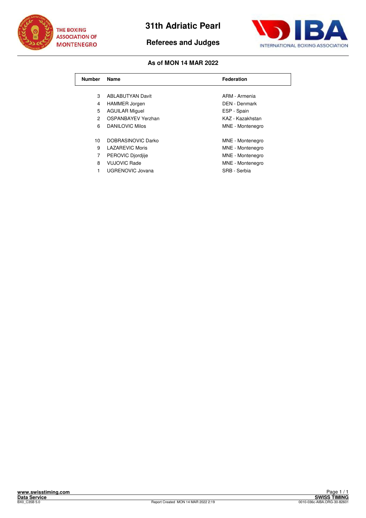

**Referees and Judges**



| <b>Number</b> | Name                    | <b>Federation</b>    |
|---------------|-------------------------|----------------------|
|               |                         |                      |
| 3             | <b>ABLABUTYAN Davit</b> | ARM - Armenia        |
| 4             | <b>HAMMER Jorgen</b>    | <b>DEN - Denmark</b> |
| 5             | <b>AGUILAR Miguel</b>   | ESP - Spain          |
| 2             | OSPANBAYEV Yerzhan      | KAZ - Kazakhstan     |
| 6             | DANILOVIC Milos         | MNE - Montenegro     |
|               |                         |                      |
| 10            | DOBRASINOVIC Darko      | MNE - Montenegro     |
| 9             | <b>LAZAREVIC Moris</b>  | MNE - Montenegro     |
| 7             | PEROVIC Djordjije       | MNE - Montenegro     |
| 8             | <b>VUJOVIC Rade</b>     | MNE - Montenegro     |
| 1             | UGRENOVIC Jovana        | SRB - Serbia         |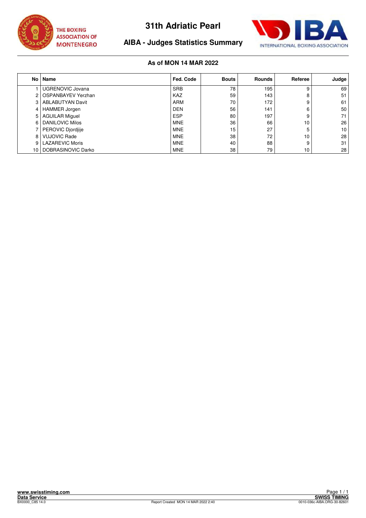



# **AIBA - Judges Statistics Summary**

| No l | Name                      | Fed. Code  | <b>Bouts</b> | <b>Rounds</b> | Referee | Judge           |
|------|---------------------------|------------|--------------|---------------|---------|-----------------|
|      | UGRENOVIC Jovana          | <b>SRB</b> | 78           | 195           | 9       | 69              |
| 2    | <b>OSPANBAYEV Yerzhan</b> | <b>KAZ</b> | 59           | 143           | 8       | 51              |
| 3    | <b>ABLABUTYAN Davit</b>   | <b>ARM</b> | 70           | 172           | 9       | 61              |
| 4    | <b>HAMMER Jorgen</b>      | <b>DEN</b> | 56           | 141           | 6       | 50              |
| 5    | <b>AGUILAR Miguel</b>     | <b>ESP</b> | 80           | 197           | 9       | 71              |
| 6    | <b>DANILOVIC Milos</b>    | <b>MNE</b> | 36           | 66            | 10      | 26              |
|      | PEROVIC Djordjije         | <b>MNE</b> | 15           | 27            | 5       | 10 <sup>°</sup> |
| 8    | <b>VUJOVIC Rade</b>       | <b>MNE</b> | 38           | 72            | 10      | 28              |
| 9    | <b>LAZAREVIC Moris</b>    | <b>MNE</b> | 40           | 88            | 9       | 31              |
| 10   | DOBRASINOVIC Darko        | <b>MNE</b> | 38           | 79            | 10      | 28              |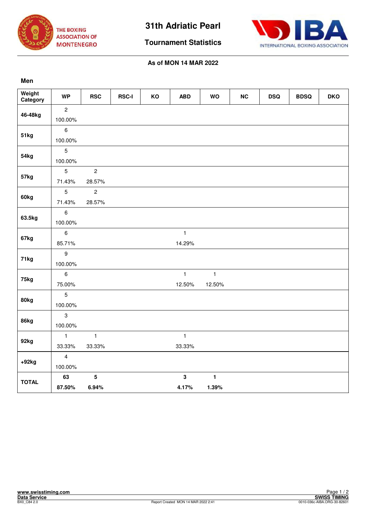



**Tournament Statistics**

# **As of MON 14 MAR 2022**

### **Men**

| Weight<br>Category | <b>WP</b>               | <b>RSC</b>      | <b>RSC-I</b> | KO | <b>ABD</b>   | <b>WO</b>    | NC | <b>DSQ</b> | <b>BDSQ</b> | <b>DKO</b> |
|--------------------|-------------------------|-----------------|--------------|----|--------------|--------------|----|------------|-------------|------------|
| 46-48kg            | $\overline{2}$          |                 |              |    |              |              |    |            |             |            |
|                    | 100.00%                 |                 |              |    |              |              |    |            |             |            |
|                    | $\,6\,$                 |                 |              |    |              |              |    |            |             |            |
| 51kg               | 100.00%                 |                 |              |    |              |              |    |            |             |            |
|                    | $\overline{5}$          |                 |              |    |              |              |    |            |             |            |
| 54kg               | 100.00%                 |                 |              |    |              |              |    |            |             |            |
|                    | $\sqrt{5}$              | $\overline{c}$  |              |    |              |              |    |            |             |            |
| 57kg               | 71.43%                  | 28.57%          |              |    |              |              |    |            |             |            |
|                    | 5                       | $\overline{c}$  |              |    |              |              |    |            |             |            |
| 60kg               | 71.43%                  | 28.57%          |              |    |              |              |    |            |             |            |
|                    | $\,6\,$                 |                 |              |    |              |              |    |            |             |            |
| 63.5kg             | 100.00%                 |                 |              |    |              |              |    |            |             |            |
| 67kg               | $\,6\,$                 |                 |              |    | $\mathbf{1}$ |              |    |            |             |            |
|                    | 85.71%                  |                 |              |    | 14.29%       |              |    |            |             |            |
| 71kg               | $\boldsymbol{9}$        |                 |              |    |              |              |    |            |             |            |
|                    | 100.00%                 |                 |              |    |              |              |    |            |             |            |
| 75kg               | $\,6\,$                 |                 |              |    | $\mathbf{1}$ | $\mathbf{1}$ |    |            |             |            |
|                    | 75.00%                  |                 |              |    | 12.50%       | 12.50%       |    |            |             |            |
| 80kg               | $\overline{5}$          |                 |              |    |              |              |    |            |             |            |
|                    | 100.00%                 |                 |              |    |              |              |    |            |             |            |
| 86kg               | $\mathbf{3}$            |                 |              |    |              |              |    |            |             |            |
|                    | 100.00%                 |                 |              |    |              |              |    |            |             |            |
| 92kg               | $\mathbf{1}$            | $\mathbf{1}$    |              |    | $\mathbf{1}$ |              |    |            |             |            |
|                    | 33.33%                  | 33.33%          |              |    | 33.33%       |              |    |            |             |            |
| $+92kg$            | $\overline{\mathbf{4}}$ |                 |              |    |              |              |    |            |             |            |
|                    | 100.00%                 |                 |              |    |              |              |    |            |             |            |
| <b>TOTAL</b>       | 63                      | $5\phantom{.0}$ |              |    | $\mathbf{3}$ | $\mathbf{1}$ |    |            |             |            |
|                    | 87.50%                  | 6.94%           |              |    | 4.17%        | 1.39%        |    |            |             |            |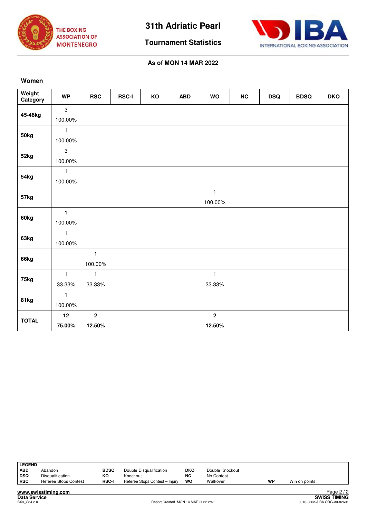



**Tournament Statistics**

### **As of MON 14 MAR 2022**

### **Women**

| Weight<br>Category | <b>WP</b>      | <b>RSC</b>              | <b>RSC-I</b> | KO | <b>ABD</b> | <b>WO</b>      | NC | <b>DSQ</b> | <b>BDSQ</b> | <b>DKO</b> |
|--------------------|----------------|-------------------------|--------------|----|------------|----------------|----|------------|-------------|------------|
| 45-48kg            | $\mathbf{3}$   |                         |              |    |            |                |    |            |             |            |
|                    | 100.00%        |                         |              |    |            |                |    |            |             |            |
| 50kg               | $\mathbf{1}$   |                         |              |    |            |                |    |            |             |            |
|                    | 100.00%        |                         |              |    |            |                |    |            |             |            |
| 52kg               | $\overline{3}$ |                         |              |    |            |                |    |            |             |            |
|                    | 100.00%        |                         |              |    |            |                |    |            |             |            |
| 54kg               | $\mathbf{1}$   |                         |              |    |            |                |    |            |             |            |
|                    | 100.00%        |                         |              |    |            |                |    |            |             |            |
|                    |                |                         |              |    |            | $\mathbf{1}$   |    |            |             |            |
| 57kg               |                |                         |              |    |            | 100.00%        |    |            |             |            |
| 60kg               | $\mathbf{1}$   |                         |              |    |            |                |    |            |             |            |
|                    | 100.00%        |                         |              |    |            |                |    |            |             |            |
|                    | $\mathbf{1}$   |                         |              |    |            |                |    |            |             |            |
| 63kg               | 100.00%        |                         |              |    |            |                |    |            |             |            |
|                    |                | $\mathbf{1}$            |              |    |            |                |    |            |             |            |
| 66kg               |                | 100.00%                 |              |    |            |                |    |            |             |            |
|                    | $\mathbf{1}$   | $\mathbf{1}$            |              |    |            | $\mathbf{1}$   |    |            |             |            |
| 75kg               | 33.33%         | 33.33%                  |              |    |            | 33.33%         |    |            |             |            |
|                    | $\mathbf{1}$   |                         |              |    |            |                |    |            |             |            |
| 81kg               | 100.00%        |                         |              |    |            |                |    |            |             |            |
|                    | 12             | $\overline{\mathbf{2}}$ |              |    |            | $\overline{2}$ |    |            |             |            |
| <b>TOTAL</b>       | 75.00%         | 12.50%                  |              |    |            | 12.50%         |    |            |             |            |

| <b>LEGEND</b><br><b>ABD</b><br>  DSQ | Abandon<br>Disqualification | <b>BDSQ</b><br>КO | Double Disqualification<br>Knockout | <b>DKO</b><br><b>NC</b> | Double Knockout<br>No Contest |    |               |            |
|--------------------------------------|-----------------------------|-------------------|-------------------------------------|-------------------------|-------------------------------|----|---------------|------------|
| <b>RSC</b>                           | Referee Stops Contest       | <b>RSC-I</b>      | Referee Stops Contest - Injury      | wo                      | Walkover                      | WP | Win on points |            |
|                                      | www.swisstiming.com         |                   |                                     |                         |                               |    |               | Page $2/2$ |